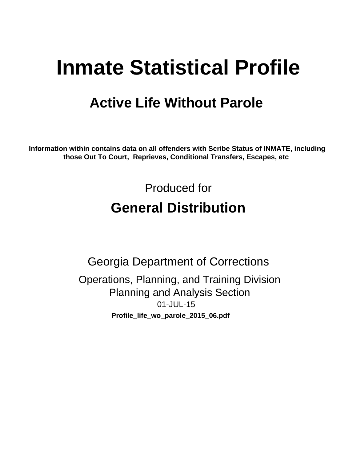# **Inmate Statistical Profile**

# **Active Life Without Parole**

Information within contains data on all offenders with Scribe Status of INMATE, including those Out To Court, Reprieves, Conditional Transfers, Escapes, etc

> Produced for **General Distribution**

**Georgia Department of Corrections** Operations, Planning, and Training Division **Planning and Analysis Section** 01-JUL-15 Profile\_life\_wo\_parole\_2015\_06.pdf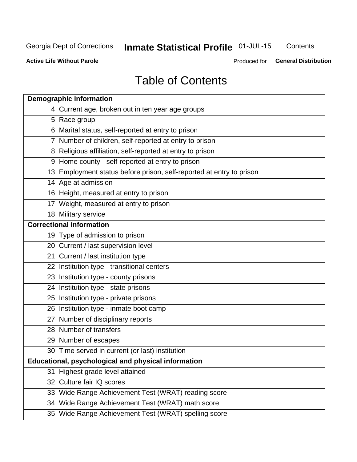# **Inmate Statistical Profile 01-JUL-15**

Contents

**Active Life Without Parole** 

Produced for General Distribution

# **Table of Contents**

| <b>Demographic information</b>                                       |
|----------------------------------------------------------------------|
| 4 Current age, broken out in ten year age groups                     |
| 5 Race group                                                         |
| 6 Marital status, self-reported at entry to prison                   |
| 7 Number of children, self-reported at entry to prison               |
| 8 Religious affiliation, self-reported at entry to prison            |
| 9 Home county - self-reported at entry to prison                     |
| 13 Employment status before prison, self-reported at entry to prison |
| 14 Age at admission                                                  |
| 16 Height, measured at entry to prison                               |
| 17 Weight, measured at entry to prison                               |
| 18 Military service                                                  |
| <b>Correctional information</b>                                      |
| 19 Type of admission to prison                                       |
| 20 Current / last supervision level                                  |
| 21 Current / last institution type                                   |
| 22 Institution type - transitional centers                           |
| 23 Institution type - county prisons                                 |
| 24 Institution type - state prisons                                  |
| 25 Institution type - private prisons                                |
| 26 Institution type - inmate boot camp                               |
| 27 Number of disciplinary reports                                    |
| 28 Number of transfers                                               |
| 29 Number of escapes                                                 |
| 30 Time served in current (or last) institution                      |
| Educational, psychological and physical information                  |
| 31 Highest grade level attained                                      |
| 32 Culture fair IQ scores                                            |
| 33 Wide Range Achievement Test (WRAT) reading score                  |
| 34 Wide Range Achievement Test (WRAT) math score                     |
| 35 Wide Range Achievement Test (WRAT) spelling score                 |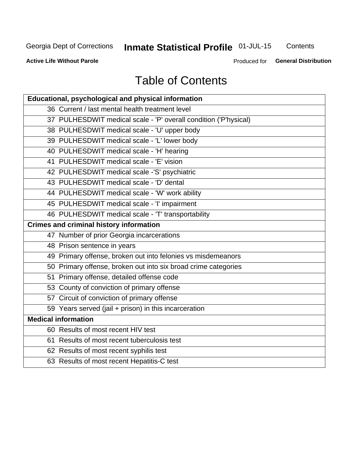# **Inmate Statistical Profile 01-JUL-15**

Contents

**Active Life Without Parole** 

Produced for General Distribution

# **Table of Contents**

| <b>Educational, psychological and physical information</b>       |
|------------------------------------------------------------------|
| 36 Current / last mental health treatment level                  |
| 37 PULHESDWIT medical scale - 'P' overall condition ('P'hysical) |
| 38 PULHESDWIT medical scale - 'U' upper body                     |
| 39 PULHESDWIT medical scale - 'L' lower body                     |
| 40 PULHESDWIT medical scale - 'H' hearing                        |
| 41 PULHESDWIT medical scale - 'E' vision                         |
| 42 PULHESDWIT medical scale -'S' psychiatric                     |
| 43 PULHESDWIT medical scale - 'D' dental                         |
| 44 PULHESDWIT medical scale - 'W' work ability                   |
| 45 PULHESDWIT medical scale - 'I' impairment                     |
| 46 PULHESDWIT medical scale - 'T' transportability               |
| <b>Crimes and criminal history information</b>                   |
| 47 Number of prior Georgia incarcerations                        |
| 48 Prison sentence in years                                      |
| 49 Primary offense, broken out into felonies vs misdemeanors     |
| 50 Primary offense, broken out into six broad crime categories   |
| 51 Primary offense, detailed offense code                        |
| 53 County of conviction of primary offense                       |
| 57 Circuit of conviction of primary offense                      |
| 59 Years served (jail + prison) in this incarceration            |
| <b>Medical information</b>                                       |
| 60 Results of most recent HIV test                               |
| 61 Results of most recent tuberculosis test                      |
| 62 Results of most recent syphilis test                          |
| 63 Results of most recent Hepatitis-C test                       |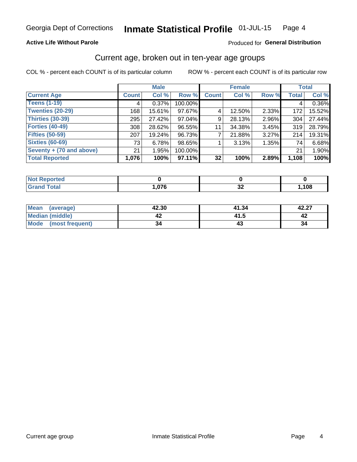### **Active Life Without Parole**

### Produced for General Distribution

# Current age, broken out in ten-year age groups

COL % - percent each COUNT is of its particular column

|                          | <b>Male</b>  |        |         | <b>Female</b> |        |       |              | <b>Total</b> |
|--------------------------|--------------|--------|---------|---------------|--------|-------|--------------|--------------|
| <b>Current Age</b>       | <b>Count</b> | Col %  | Row %   | <b>Count</b>  | Col %  | Row % | <b>Total</b> | Col %        |
| <b>Teens (1-19)</b>      | 4            | 0.37%  | 100.00% |               |        |       | 4            | 0.36%        |
| <b>Twenties (20-29)</b>  | 168          | 15.61% | 97.67%  | 4             | 12.50% | 2.33% | 172          | 15.52%       |
| Thirties (30-39)         | 295          | 27.42% | 97.04%  | 9             | 28.13% | 2.96% | 304          | 27.44%       |
| <b>Forties (40-49)</b>   | 308          | 28.62% | 96.55%  | 11            | 34.38% | 3.45% | 319          | 28.79%       |
| <b>Fifties (50-59)</b>   | 207          | 19.24% | 96.73%  |               | 21.88% | 3.27% | 214          | 19.31%       |
| <b>Sixties (60-69)</b>   | 73           | 6.78%  | 98.65%  |               | 3.13%  | 1.35% | 74 l         | 6.68%        |
| Seventy + (70 and above) | 21           | 1.95%  | 100.00% |               |        |       | 21           | 1.90%        |
| <b>Total Reported</b>    | 1,076        | 100%   | 97.11%  | 32            | 100%   | 2.89% | 1,108        | 100%         |

| rted -<br>m. |             |    |      |
|--------------|-------------|----|------|
| $C0+0$       | 0.70<br>, c | ◡▵ | ,108 |

| Mean<br>(average)       | 42.30 | 41.34 | 42.27 |
|-------------------------|-------|-------|-------|
| <b>Median (middle)</b>  |       | 41.5  |       |
| Mode<br>(most frequent) | 34    |       | 34    |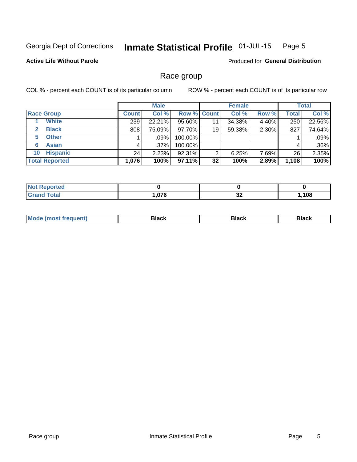#### Inmate Statistical Profile 01-JUL-15 Page 5

### **Active Life Without Parole**

Produced for General Distribution

# Race group

COL % - percent each COUNT is of its particular column

|                              | <b>Male</b>  |         |                    | <b>Female</b> |        |       | <b>Total</b> |        |
|------------------------------|--------------|---------|--------------------|---------------|--------|-------|--------------|--------|
| <b>Race Group</b>            | <b>Count</b> | Col %   | <b>Row % Count</b> |               | Col %  | Row % | Total        | Col %  |
| <b>White</b>                 | 239          | 22.21%  | $95.60\%$          | 11            | 34.38% | 4.40% | 250          | 22.56% |
| <b>Black</b><br>$\mathbf{2}$ | 808          | 75.09%  | 97.70%             | 19            | 59.38% | 2.30% | 827          | 74.64% |
| <b>Other</b><br>5.           |              | $.09\%$ | 100.00%            |               |        |       |              | .09%   |
| <b>Asian</b><br>6            | 4            | $.37\%$ | 100.00%            |               |        |       | 4            | .36%   |
| <b>Hispanic</b><br>10        | 24           | 2.23%   | 92.31%             | ົ             | 6.25%  | 7.69% | 26           | 2.35%  |
| <b>Total Reported</b>        | 1,076        | 100%    | $97.11\%$          | 32            | 100%   | 2.89% | 1,108        | 100%   |

| ∩rteα        |      |                            |      |
|--------------|------|----------------------------|------|
| <b>Total</b> | .076 | $\ddot{\phantom{0}}$<br>◡▵ | 108, |

| –•••• |  | M |  |  |  |
|-------|--|---|--|--|--|
|-------|--|---|--|--|--|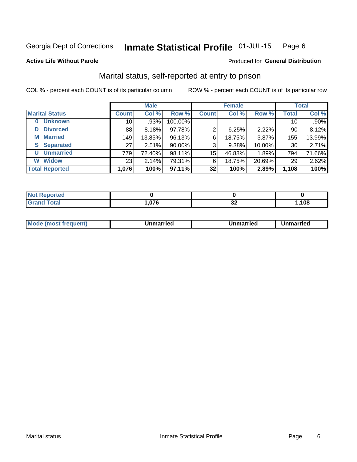#### Inmate Statistical Profile 01-JUL-15 Page 6

**Active Life Without Parole** 

### Produced for General Distribution

# Marital status, self-reported at entry to prison

COL % - percent each COUNT is of its particular column

|                            |              | <b>Male</b> |         |              | <b>Female</b> |        |                 | <b>Total</b> |
|----------------------------|--------------|-------------|---------|--------------|---------------|--------|-----------------|--------------|
| <b>Marital Status</b>      | <b>Count</b> | Col %       | Row %   | <b>Count</b> | Col %         | Row %  | <b>Total</b>    | Col %        |
| <b>Unknown</b><br>$\bf{0}$ | 10           | .93%        | 100.00% |              |               |        | 10 <sub>1</sub> | .90%         |
| <b>Divorced</b><br>D       | 88           | 8.18%       | 97.78%  | 2            | 6.25%         | 2.22%  | 90              | 8.12%        |
| <b>Married</b><br>М        | 149          | 13.85%      | 96.13%  | 6            | 18.75%        | 3.87%  | 155             | 13.99%       |
| <b>Separated</b><br>S      | 27           | 2.51%       | 90.00%  | 3            | 9.38%         | 10.00% | 30              | 2.71%        |
| <b>Unmarried</b><br>U      | 779          | 72.40%      | 98.11%  | 15           | 46.88%        | 1.89%  | 794             | 71.66%       |
| <b>Widow</b><br>W          | 23           | 2.14%       | 79.31%  | 6            | 18.75%        | 20.69% | 29              | 2.62%        |
| <b>Total Reported</b>      | 1,076        | 100%        | 97.11%  | 32           | 100%          | 2.89%  | 1,108           | 100%         |

| <b>Not Repo</b><br>prted |     |         |     |
|--------------------------|-----|---------|-----|
| <b>⊺otal</b>             | 07c | ~<br>◡▵ | 108 |

|  | M | . | Unmarried | າmarried<br>_____ |
|--|---|---|-----------|-------------------|
|--|---|---|-----------|-------------------|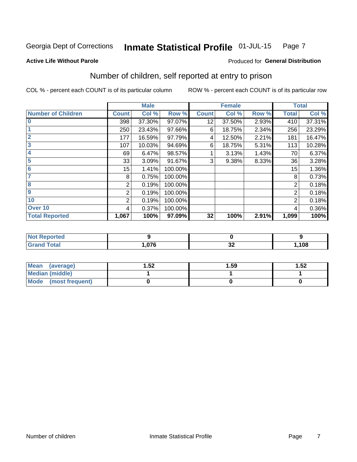#### Inmate Statistical Profile 01-JUL-15 Page 7

**Active Life Without Parole** 

### Produced for General Distribution

# Number of children, self reported at entry to prison

COL % - percent each COUNT is of its particular column

|                           |                | <b>Male</b> |         |              | <b>Female</b> |       |              | <b>Total</b> |
|---------------------------|----------------|-------------|---------|--------------|---------------|-------|--------------|--------------|
| <b>Number of Children</b> | <b>Count</b>   | Col %       | Row %   | <b>Count</b> | Col %         | Row % | <b>Total</b> | Col %        |
| $\bf{0}$                  | 398            | 37.30%      | 97.07%  | 12           | 37.50%        | 2.93% | 410          | 37.31%       |
|                           | 250            | 23.43%      | 97.66%  | 6            | 18.75%        | 2.34% | 256          | 23.29%       |
| $\overline{2}$            | 177            | 16.59%      | 97.79%  | 4            | 12.50%        | 2.21% | 181          | 16.47%       |
| 3                         | 107            | 10.03%      | 94.69%  | 6            | 18.75%        | 5.31% | 113          | 10.28%       |
| 4                         | 69             | 6.47%       | 98.57%  |              | 3.13%         | 1.43% | 70           | 6.37%        |
| 5                         | 33             | 3.09%       | 91.67%  | 3            | 9.38%         | 8.33% | 36           | 3.28%        |
| $6\phantom{1}6$           | 15             | 1.41%       | 100.00% |              |               |       | 15           | 1.36%        |
| 7                         | 8              | 0.75%       | 100.00% |              |               |       | 8            | 0.73%        |
| $\overline{\mathbf{8}}$   | 2              | 0.19%       | 100.00% |              |               |       | 2            | 0.18%        |
| 9                         | 2              | 0.19%       | 100.00% |              |               |       | 2            | 0.18%        |
| 10                        | $\overline{2}$ | 0.19%       | 100.00% |              |               |       | 2            | 0.18%        |
| Over 10                   | 4              | 0.37%       | 100.00% |              |               |       | 4            | $0.36\%$     |
| <b>Total Reported</b>     | 1,067          | 100%        | 97.09%  | 32           | 100%          | 2.91% | 1,099        | 100%         |

| .<br>теа |      |                |      |
|----------|------|----------------|------|
|          | .076 | - -<br>~<br>◡▴ | ,108 |

| Mean (average)       | ∣.52 | 1.59 | 1.52 |
|----------------------|------|------|------|
| Median (middle)      |      |      |      |
| Mode (most frequent) |      |      |      |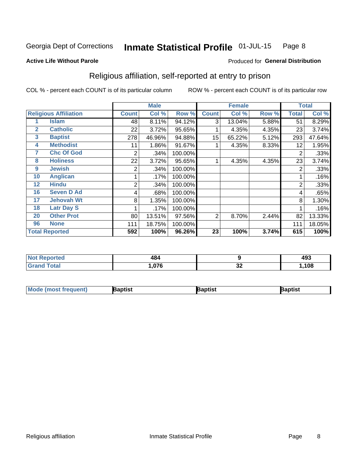#### Inmate Statistical Profile 01-JUL-15 Page 8

### **Active Life Without Parole**

### Produced for General Distribution

# Religious affiliation, self-reported at entry to prison

COL % - percent each COUNT is of its particular column

|              |                              |              | <b>Male</b> |         |              | <b>Female</b> |       |                | <b>Total</b> |
|--------------|------------------------------|--------------|-------------|---------|--------------|---------------|-------|----------------|--------------|
|              | <b>Religious Affiliation</b> | <b>Count</b> | Col %       | Row %   | <b>Count</b> | Col %         | Row % | <b>Total</b>   | Col %        |
|              | <b>Islam</b>                 | 48           | 8.11%       | 94.12%  | 3            | 13.04%        | 5.88% | 51             | 8.29%        |
| $\mathbf{2}$ | <b>Catholic</b>              | 22           | 3.72%       | 95.65%  |              | 4.35%         | 4.35% | 23             | 3.74%        |
| 3            | <b>Baptist</b>               | 278          | 46.96%      | 94.88%  | 15           | 65.22%        | 5.12% | 293            | 47.64%       |
| 4            | <b>Methodist</b>             | 11           | 1.86%       | 91.67%  |              | 4.35%         | 8.33% | 12             | 1.95%        |
| 7            | <b>Chc Of God</b>            | 2            | .34%        | 100.00% |              |               |       | 2              | .33%         |
| 8            | <b>Holiness</b>              | 22           | 3.72%       | 95.65%  |              | 4.35%         | 4.35% | 23             | 3.74%        |
| 9            | <b>Jewish</b>                | 2            | .34%        | 100.00% |              |               |       | $\overline{2}$ | .33%         |
| 10           | <b>Anglican</b>              |              | .17%        | 100.00% |              |               |       |                | .16%         |
| 12           | <b>Hindu</b>                 | 2            | .34%        | 100.00% |              |               |       | $\overline{2}$ | .33%         |
| 16           | <b>Seven D Ad</b>            | 4            | .68%        | 100.00% |              |               |       | 4              | .65%         |
| 17           | <b>Jehovah Wt</b>            | 8            | 1.35%       | 100.00% |              |               |       | 8              | 1.30%        |
| 18           | <b>Latr Day S</b>            |              | .17%        | 100.00% |              |               |       |                | .16%         |
| 20           | <b>Other Prot</b>            | 80           | 13.51%      | 97.56%  | 2            | 8.70%         | 2.44% | 82             | 13.33%       |
| 96           | <b>None</b>                  | 111          | 18.75%      | 100.00% |              |               |       | 111            | 18.05%       |
|              | <b>Total Reported</b>        | 592          | 100%        | 96.26%  | 23           | 100%          | 3.74% | 615            | 100%         |

| Reported<br>  | 484  |          | 493  |
|---------------|------|----------|------|
| <i>i</i> otal | ,076 | ^^<br>◡▵ | ,108 |

| <b>Mode (most frequent)</b> | Baptist | Baptist | Baptist |
|-----------------------------|---------|---------|---------|
|-----------------------------|---------|---------|---------|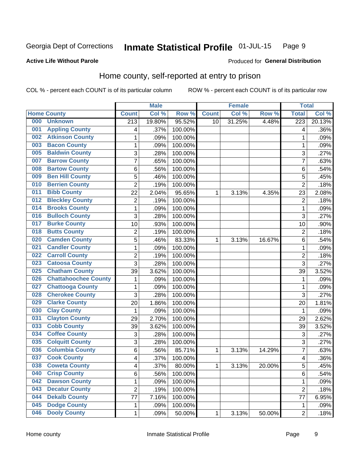#### Inmate Statistical Profile 01-JUL-15 Page 9

### **Active Life Without Parole**

### Produced for General Distribution

# Home county, self-reported at entry to prison

COL % - percent each COUNT is of its particular column

|     |                             |                  | <b>Male</b> |         |              | <b>Female</b> |        | <b>Total</b>     |        |
|-----|-----------------------------|------------------|-------------|---------|--------------|---------------|--------|------------------|--------|
|     | <b>Home County</b>          | <b>Count</b>     | Col %       | Row %   | <b>Count</b> | Col %         | Row %  | <b>Total</b>     | Col %  |
| 000 | <b>Unknown</b>              | $\overline{213}$ | 19.80%      | 95.52%  | 10           | 31.25%        | 4.48%  | $\overline{223}$ | 20.13% |
| 001 | <b>Appling County</b>       | 4                | .37%        | 100.00% |              |               |        | 4                | .36%   |
| 002 | <b>Atkinson County</b>      | 1                | .09%        | 100.00% |              |               |        | 1                | .09%   |
| 003 | <b>Bacon County</b>         | $\mathbf 1$      | .09%        | 100.00% |              |               |        | 1                | .09%   |
| 005 | <b>Baldwin County</b>       | 3                | .28%        | 100.00% |              |               |        | 3                | .27%   |
| 007 | <b>Barrow County</b>        | $\overline{7}$   | .65%        | 100.00% |              |               |        | 7                | .63%   |
| 008 | <b>Bartow County</b>        | 6                | .56%        | 100.00% |              |               |        | 6                | .54%   |
| 009 | <b>Ben Hill County</b>      | 5                | .46%        | 100.00% |              |               |        | 5                | .45%   |
| 010 | <b>Berrien County</b>       | $\overline{2}$   | .19%        | 100.00% |              |               |        | $\overline{2}$   | .18%   |
| 011 | <b>Bibb County</b>          | 22               | 2.04%       | 95.65%  | 1            | 3.13%         | 4.35%  | 23               | 2.08%  |
| 012 | <b>Bleckley County</b>      | $\overline{c}$   | .19%        | 100.00% |              |               |        | $\overline{2}$   | .18%   |
| 014 | <b>Brooks County</b>        | 1                | .09%        | 100.00% |              |               |        | 1                | .09%   |
| 016 | <b>Bulloch County</b>       | 3                | .28%        | 100.00% |              |               |        | 3                | .27%   |
| 017 | <b>Burke County</b>         | 10               | .93%        | 100.00% |              |               |        | 10               | .90%   |
| 018 | <b>Butts County</b>         | $\overline{2}$   | .19%        | 100.00% |              |               |        | $\overline{2}$   | .18%   |
| 020 | <b>Camden County</b>        | 5                | .46%        | 83.33%  | 1            | 3.13%         | 16.67% | 6                | .54%   |
| 021 | <b>Candler County</b>       | $\mathbf 1$      | .09%        | 100.00% |              |               |        | 1                | .09%   |
| 022 | <b>Carroll County</b>       | $\overline{c}$   | .19%        | 100.00% |              |               |        | $\overline{2}$   | .18%   |
| 023 | <b>Catoosa County</b>       | 3                | .28%        | 100.00% |              |               |        | 3                | .27%   |
| 025 | <b>Chatham County</b>       | 39               | 3.62%       | 100.00% |              |               |        | 39               | 3.52%  |
| 026 | <b>Chattahoochee County</b> | $\mathbf 1$      | .09%        | 100.00% |              |               |        | 1                | .09%   |
| 027 | <b>Chattooga County</b>     | $\mathbf 1$      | .09%        | 100.00% |              |               |        | 1                | .09%   |
| 028 | <b>Cherokee County</b>      | 3                | .28%        | 100.00% |              |               |        | 3                | .27%   |
| 029 | <b>Clarke County</b>        | 20               | 1.86%       | 100.00% |              |               |        | 20               | 1.81%  |
| 030 | <b>Clay County</b>          | $\mathbf 1$      | .09%        | 100.00% |              |               |        | 1                | .09%   |
| 031 | <b>Clayton County</b>       | 29               | 2.70%       | 100.00% |              |               |        | 29               | 2.62%  |
| 033 | <b>Cobb County</b>          | 39               | 3.62%       | 100.00% |              |               |        | 39               | 3.52%  |
| 034 | <b>Coffee County</b>        | 3                | .28%        | 100.00% |              |               |        | 3                | .27%   |
| 035 | <b>Colquitt County</b>      | 3                | .28%        | 100.00% |              |               |        | 3                | .27%   |
| 036 | <b>Columbia County</b>      | 6                | .56%        | 85.71%  | 1            | 3.13%         | 14.29% | 7                | .63%   |
| 037 | <b>Cook County</b>          | 4                | .37%        | 100.00% |              |               |        | 4                | .36%   |
| 038 | <b>Coweta County</b>        | 4                | .37%        | 80.00%  | 1            | 3.13%         | 20.00% | 5                | .45%   |
| 040 | <b>Crisp County</b>         | 6                | .56%        | 100.00% |              |               |        | 6                | .54%   |
| 042 | <b>Dawson County</b>        | 1                | .09%        | 100.00% |              |               |        | 1                | .09%   |
| 043 | <b>Decatur County</b>       | $\overline{c}$   | .19%        | 100.00% |              |               |        | $\overline{2}$   | .18%   |
| 044 | <b>Dekalb County</b>        | 77               | 7.16%       | 100.00% |              |               |        | 77               | 6.95%  |
| 045 | <b>Dodge County</b>         | $\mathbf 1$      | .09%        | 100.00% |              |               |        | 1                | .09%   |
| 046 | <b>Dooly County</b>         | $\mathbf{1}$     | .09%        | 50.00%  | $\mathbf 1$  | 3.13%         | 50.00% | $\overline{2}$   | .18%   |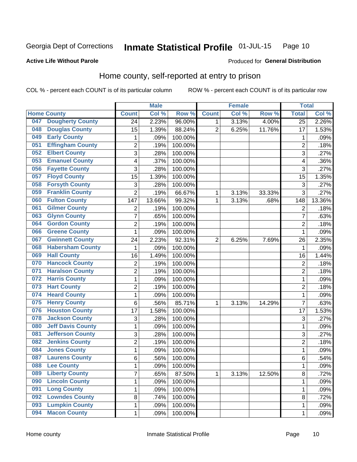#### Inmate Statistical Profile 01-JUL-15 Page 10

Produced for General Distribution

### **Active Life Without Parole**

# Home county, self-reported at entry to prison

COL % - percent each COUNT is of its particular column

|     |                          |                | <b>Male</b> |         |                | <b>Female</b> |        | <b>Total</b>    |        |
|-----|--------------------------|----------------|-------------|---------|----------------|---------------|--------|-----------------|--------|
|     | <b>Home County</b>       | <b>Count</b>   | Col %       | Row %   | <b>Count</b>   | Col %         | Row %  | <b>Total</b>    | Col %  |
| 047 | <b>Dougherty County</b>  | 24             | 2.23%       | 96.00%  | 1              | 3.13%         | 4.00%  | $\overline{25}$ | 2.26%  |
| 048 | <b>Douglas County</b>    | 15             | 1.39%       | 88.24%  | $\overline{2}$ | 6.25%         | 11.76% | 17              | 1.53%  |
| 049 | <b>Early County</b>      | $\mathbf 1$    | .09%        | 100.00% |                |               |        | 1               | .09%   |
| 051 | <b>Effingham County</b>  | $\overline{c}$ | .19%        | 100.00% |                |               |        | $\overline{2}$  | .18%   |
| 052 | <b>Elbert County</b>     | 3              | .28%        | 100.00% |                |               |        | 3               | .27%   |
| 053 | <b>Emanuel County</b>    | 4              | .37%        | 100.00% |                |               |        | 4               | .36%   |
| 056 | <b>Fayette County</b>    | 3              | .28%        | 100.00% |                |               |        | 3               | .27%   |
| 057 | <b>Floyd County</b>      | 15             | 1.39%       | 100.00% |                |               |        | 15              | 1.35%  |
| 058 | <b>Forsyth County</b>    | 3              | .28%        | 100.00% |                |               |        | 3               | .27%   |
| 059 | <b>Franklin County</b>   | $\overline{2}$ | .19%        | 66.67%  | 1              | 3.13%         | 33.33% | 3               | .27%   |
| 060 | <b>Fulton County</b>     | 147            | 13.66%      | 99.32%  | 1              | 3.13%         | .68%   | 148             | 13.36% |
| 061 | <b>Gilmer County</b>     | $\overline{2}$ | .19%        | 100.00% |                |               |        | $\overline{2}$  | .18%   |
| 063 | <b>Glynn County</b>      | $\overline{7}$ | .65%        | 100.00% |                |               |        | 7               | .63%   |
| 064 | <b>Gordon County</b>     | $\overline{2}$ | .19%        | 100.00% |                |               |        | $\overline{2}$  | .18%   |
| 066 | <b>Greene County</b>     | 1              | .09%        | 100.00% |                |               |        | 1               | .09%   |
| 067 | <b>Gwinnett County</b>   | 24             | 2.23%       | 92.31%  | $\overline{2}$ | 6.25%         | 7.69%  | 26              | 2.35%  |
| 068 | <b>Habersham County</b>  | 1              | .09%        | 100.00% |                |               |        | 1               | .09%   |
| 069 | <b>Hall County</b>       | 16             | 1.49%       | 100.00% |                |               |        | 16              | 1.44%  |
| 070 | <b>Hancock County</b>    | 2              | .19%        | 100.00% |                |               |        | $\overline{2}$  | .18%   |
| 071 | <b>Haralson County</b>   | $\overline{2}$ | .19%        | 100.00% |                |               |        | $\overline{2}$  | .18%   |
| 072 | <b>Harris County</b>     | $\mathbf 1$    | .09%        | 100.00% |                |               |        | 1               | .09%   |
| 073 | <b>Hart County</b>       | $\overline{2}$ | .19%        | 100.00% |                |               |        | $\overline{2}$  | .18%   |
| 074 | <b>Heard County</b>      | $\mathbf{1}$   | .09%        | 100.00% |                |               |        | 1               | .09%   |
| 075 | <b>Henry County</b>      | 6              | .56%        | 85.71%  | 1              | 3.13%         | 14.29% | $\overline{7}$  | .63%   |
| 076 | <b>Houston County</b>    | 17             | 1.58%       | 100.00% |                |               |        | 17              | 1.53%  |
| 078 | <b>Jackson County</b>    | 3              | .28%        | 100.00% |                |               |        | 3               | .27%   |
| 080 | <b>Jeff Davis County</b> | $\mathbf 1$    | .09%        | 100.00% |                |               |        | 1               | .09%   |
| 081 | <b>Jefferson County</b>  | 3              | .28%        | 100.00% |                |               |        | 3               | .27%   |
| 082 | <b>Jenkins County</b>    | $\overline{c}$ | .19%        | 100.00% |                |               |        | $\overline{2}$  | .18%   |
| 084 | <b>Jones County</b>      | $\mathbf{1}$   | .09%        | 100.00% |                |               |        | 1               | .09%   |
| 087 | <b>Laurens County</b>    | 6              | .56%        | 100.00% |                |               |        | 6               | .54%   |
| 088 | <b>Lee County</b>        | 1              | .09%        | 100.00% |                |               |        | 1               | .09%   |
| 089 | <b>Liberty County</b>    | $\overline{7}$ | .65%        | 87.50%  | $\mathbf{1}$   | 3.13%         | 12.50% | 8               | .72%   |
| 090 | <b>Lincoln County</b>    | $\mathbf 1$    | .09%        | 100.00% |                |               |        | 1               | .09%   |
| 091 | <b>Long County</b>       | $\mathbf{1}$   | .09%        | 100.00% |                |               |        | 1               | .09%   |
| 092 | <b>Lowndes County</b>    | 8              | .74%        | 100.00% |                |               |        | 8               | .72%   |
| 093 | <b>Lumpkin County</b>    | $\mathbf{1}$   | .09%        | 100.00% |                |               |        | 1               | .09%   |
| 094 | <b>Macon County</b>      | $\mathbf{1}$   | .09%        | 100.00% |                |               |        | 1               | .09%   |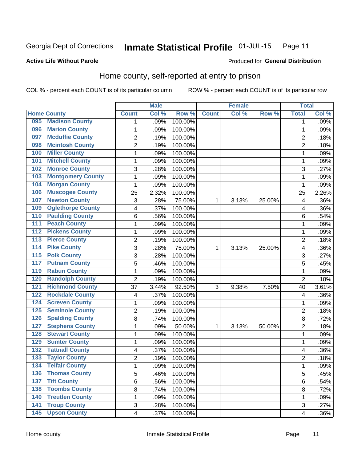#### **Inmate Statistical Profile 01-JUL-15** Page 11

### **Active Life Without Parole**

# Produced for General Distribution

# Home county, self-reported at entry to prison

COL % - percent each COUNT is of its particular column

|                  |                          |                         | <b>Male</b> |         | <b>Female</b> |       | <b>Total</b> |                         |       |
|------------------|--------------------------|-------------------------|-------------|---------|---------------|-------|--------------|-------------------------|-------|
|                  | <b>Home County</b>       | <b>Count</b>            | Col %       | Row %   | <b>Count</b>  | Col % | Row %        | <b>Total</b>            | Col % |
| 095              | <b>Madison County</b>    | 1                       | .09%        | 100.00% |               |       |              | 1                       | .09%  |
| 096              | <b>Marion County</b>     | $\mathbf{1}$            | .09%        | 100.00% |               |       |              | 1                       | .09%  |
| 097              | <b>Mcduffie County</b>   | $\overline{c}$          | .19%        | 100.00% |               |       |              | $\overline{2}$          | .18%  |
| 098              | <b>Mcintosh County</b>   | $\overline{2}$          | .19%        | 100.00% |               |       |              | $\overline{2}$          | .18%  |
| 100              | <b>Miller County</b>     | 1                       | .09%        | 100.00% |               |       |              | 1                       | .09%  |
| 101              | <b>Mitchell County</b>   | $\mathbf 1$             | .09%        | 100.00% |               |       |              | 1                       | .09%  |
| 102              | <b>Monroe County</b>     | 3                       | .28%        | 100.00% |               |       |              | 3                       | .27%  |
| 103              | <b>Montgomery County</b> | $\mathbf 1$             | .09%        | 100.00% |               |       |              | 1                       | .09%  |
| 104              | <b>Morgan County</b>     | 1                       | .09%        | 100.00% |               |       |              | 1                       | .09%  |
| 106              | <b>Muscogee County</b>   | 25                      | 2.32%       | 100.00% |               |       |              | 25                      | 2.26% |
| 107              | <b>Newton County</b>     | 3                       | .28%        | 75.00%  | 1             | 3.13% | 25.00%       | 4                       | .36%  |
| 109              | <b>Oglethorpe County</b> | 4                       | .37%        | 100.00% |               |       |              | 4                       | .36%  |
| 110              | <b>Paulding County</b>   | 6                       | .56%        | 100.00% |               |       |              | 6                       | .54%  |
| 111              | <b>Peach County</b>      | $\mathbf 1$             | .09%        | 100.00% |               |       |              | 1                       | .09%  |
| $\overline{112}$ | <b>Pickens County</b>    | $\mathbf 1$             | .09%        | 100.00% |               |       |              | 1                       | .09%  |
| 113              | <b>Pierce County</b>     | $\mathbf 2$             | .19%        | 100.00% |               |       |              | $\overline{2}$          | .18%  |
| 114              | <b>Pike County</b>       | 3                       | .28%        | 75.00%  | 1             | 3.13% | 25.00%       | 4                       | .36%  |
| 115              | <b>Polk County</b>       | 3                       | .28%        | 100.00% |               |       |              | 3                       | .27%  |
| 117              | <b>Putnam County</b>     | 5                       | .46%        | 100.00% |               |       |              | 5                       | .45%  |
| 119              | <b>Rabun County</b>      | $\mathbf 1$             | .09%        | 100.00% |               |       |              | 1                       | .09%  |
| 120              | <b>Randolph County</b>   | $\overline{2}$          | .19%        | 100.00% |               |       |              | $\overline{2}$          | .18%  |
| 121              | <b>Richmond County</b>   | 37                      | 3.44%       | 92.50%  | 3             | 9.38% | 7.50%        | 40                      | 3.61% |
| 122              | <b>Rockdale County</b>   | 4                       | .37%        | 100.00% |               |       |              | 4                       | .36%  |
| 124              | <b>Screven County</b>    | 1                       | .09%        | 100.00% |               |       |              | 1                       | .09%  |
| 125              | <b>Seminole County</b>   | $\overline{2}$          | .19%        | 100.00% |               |       |              | $\overline{2}$          | .18%  |
| 126              | <b>Spalding County</b>   | 8                       | .74%        | 100.00% |               |       |              | 8                       | .72%  |
| 127              | <b>Stephens County</b>   | $\mathbf 1$             | .09%        | 50.00%  | 1             | 3.13% | 50.00%       | $\overline{2}$          | .18%  |
| 128              | <b>Stewart County</b>    | $\mathbf 1$             | .09%        | 100.00% |               |       |              | 1                       | .09%  |
| 129              | <b>Sumter County</b>     | 1                       | .09%        | 100.00% |               |       |              | 1                       | .09%  |
| 132              | <b>Tattnall County</b>   | 4                       | .37%        | 100.00% |               |       |              | $\overline{\mathbf{4}}$ | .36%  |
| 133              | <b>Taylor County</b>     | $\overline{2}$          | .19%        | 100.00% |               |       |              | $\overline{2}$          | .18%  |
| $\overline{134}$ | <b>Telfair County</b>    | 1                       | .09%        | 100.00% |               |       |              | 1                       | .09%  |
| 136              | <b>Thomas County</b>     | 5                       | .46%        | 100.00% |               |       |              | 5                       | .45%  |
| $\overline{137}$ | <b>Tift County</b>       | 6                       | .56%        | 100.00% |               |       |              | 6                       | .54%  |
| 138              | <b>Toombs County</b>     | 8                       | .74%        | 100.00% |               |       |              | 8                       | .72%  |
| 140              | <b>Treutlen County</b>   | $\mathbf{1}$            | .09%        | 100.00% |               |       |              | 1                       | .09%  |
| 141              | <b>Troup County</b>      | 3                       | .28%        | 100.00% |               |       |              | 3                       | .27%  |
| $\overline{145}$ | <b>Upson County</b>      | $\overline{\mathbf{4}}$ | .37%        | 100.00% |               |       |              | 4                       | .36%  |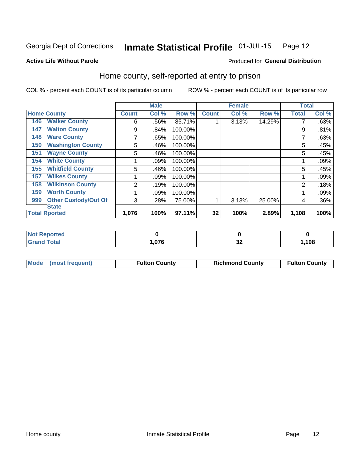#### Inmate Statistical Profile 01-JUL-15 Page 12

Produced for General Distribution

### **Active Life Without Parole**

# Home county, self-reported at entry to prison

COL % - percent each COUNT is of its particular column

|                                    |              | <b>Male</b> |         |              | <b>Female</b> |        | <b>Total</b> |       |
|------------------------------------|--------------|-------------|---------|--------------|---------------|--------|--------------|-------|
| <b>Home County</b>                 | <b>Count</b> | Col %       | Row %   | <b>Count</b> | Col %         | Row %  | <b>Total</b> | Col % |
| <b>Walker County</b><br>146        | 6            | .56%        | 85.71%  |              | 3.13%         | 14.29% |              | .63%  |
| <b>Walton County</b><br>147        | 9            | .84%        | 100.00% |              |               |        | 9            | .81%  |
| <b>Ware County</b><br>148          | 7            | .65%        | 100.00% |              |               |        |              | .63%  |
| <b>Washington County</b><br>150    | 5            | .46%        | 100.00% |              |               |        | 5            | .45%  |
| <b>Wayne County</b><br>151         | 5            | .46%        | 100.00% |              |               |        | 5            | .45%  |
| <b>White County</b><br>154         |              | .09%        | 100.00% |              |               |        |              | .09%  |
| <b>Whitfield County</b><br>155     | 5            | .46%        | 100.00% |              |               |        | 5            | .45%  |
| <b>Wilkes County</b><br>157        |              | .09%        | 100.00% |              |               |        |              | .09%  |
| <b>Wilkinson County</b><br>158     | 2            | .19%        | 100.00% |              |               |        | 2            | .18%  |
| <b>Worth County</b><br>159         |              | .09%        | 100.00% |              |               |        |              | .09%  |
| <b>Other Custody/Out Of</b><br>999 | 3            | .28%        | 75.00%  |              | 3.13%         | 25.00% | 4            | .36%  |
| <b>State</b>                       |              |             |         |              |               |        |              |       |
| <b>Total Rported</b>               | 1,076        | 100%        | 97.11%  | 32           | 100%          | 2.89%  | 1,108        | 100%  |

| oorted<br><b>NOT</b> |      |              |      |
|----------------------|------|--------------|------|
| <b>otal</b>          | ,076 | $\sim$<br>◡▵ | ,108 |

| Mode (most frequent) | <b>Fulton County</b> | <b>Richmond County</b> | <b>Fulton County</b> |
|----------------------|----------------------|------------------------|----------------------|
|                      |                      |                        |                      |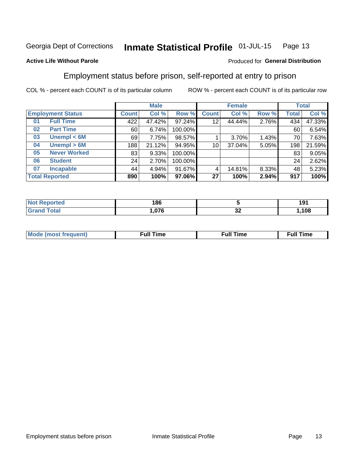#### Inmate Statistical Profile 01-JUL-15 Page 13

### **Active Life Without Parole**

### Produced for General Distribution

# Employment status before prison, self-reported at entry to prison

COL % - percent each COUNT is of its particular column

|                           |              | <b>Male</b> |         |              | <b>Female</b> |       |       | <b>Total</b> |
|---------------------------|--------------|-------------|---------|--------------|---------------|-------|-------|--------------|
| <b>Employment Status</b>  | <b>Count</b> | Col %       | Row %   | <b>Count</b> | Col %         | Row % | Total | Col %        |
| <b>Full Time</b><br>01    | 422          | 47.42%      | 97.24%  | 12           | 44.44%        | 2.76% | 434   | 47.33%       |
| <b>Part Time</b><br>02    | 60           | 6.74%       | 100.00% |              |               |       | 60    | 6.54%        |
| Unempl $<$ 6M<br>03       | 69           | 7.75%       | 98.57%  |              | 3.70%         | 1.43% | 70    | 7.63%        |
| Unempl > 6M<br>04         | 188          | 21.12%      | 94.95%  | 10           | 37.04%        | 5.05% | 198   | 21.59%       |
| <b>Never Worked</b><br>05 | 83           | $9.33\%$    | 100.00% |              |               |       | 83    | 9.05%        |
| <b>Student</b><br>06      | 24           | 2.70%       | 100.00% |              |               |       | 24    | 2.62%        |
| <b>Incapable</b><br>07    | 44           | 4.94%       | 91.67%  |              | 14.81%        | 8.33% | 48    | 5.23%        |
| <b>Total Reported</b>     | 890          | 100%        | 97.06%  | 27           | 100%          | 2.94% | 917   | 100%         |

| тес | 186  |                   | 10 <sup>4</sup><br>1 J I |
|-----|------|-------------------|--------------------------|
|     | .076 | ^^<br>◡<br>$\sim$ | ,108                     |

| Mc | ∙u∥<br>----<br>ıme | ίuΙ<br>Πmε |
|----|--------------------|------------|
|    |                    |            |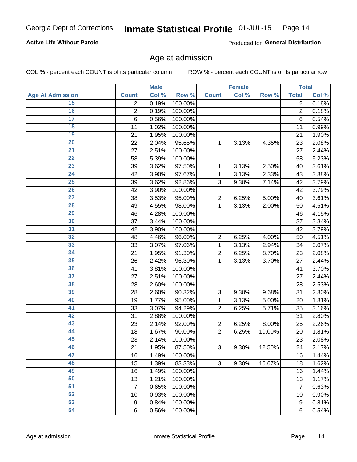### **Active Life Without Parole**

Produced for General Distribution

# Age at admission

COL % - percent each COUNT is of its particular column

|                         |                 | <b>Male</b> |         |                | <b>Female</b> |        |                  | <b>Total</b> |
|-------------------------|-----------------|-------------|---------|----------------|---------------|--------|------------------|--------------|
| <b>Age At Admission</b> | <b>Count</b>    | Col %       | Row %   | <b>Count</b>   | Col %         | Row %  | <b>Total</b>     | Col %        |
| 15                      | 2               | 0.19%       | 100.00% |                |               |        | $\overline{2}$   | 0.18%        |
| 16                      | $\overline{2}$  | 0.19%       | 100.00% |                |               |        | $\overline{2}$   | 0.18%        |
| $\overline{17}$         | $6\phantom{1}6$ | 0.56%       | 100.00% |                |               |        | 6                | 0.54%        |
| 18                      | 11              | 1.02%       | 100.00% |                |               |        | 11               | 0.99%        |
| 19                      | 21              | 1.95%       | 100.00% |                |               |        | 21               | 1.90%        |
| $\overline{20}$         | 22              | 2.04%       | 95.65%  | 1              | 3.13%         | 4.35%  | 23               | 2.08%        |
| $\overline{21}$         | 27              | 2.51%       | 100.00% |                |               |        | 27               | 2.44%        |
| 22                      | 58              | 5.39%       | 100.00% |                |               |        | 58               | 5.23%        |
| 23                      | 39              | 3.62%       | 97.50%  | 1              | 3.13%         | 2.50%  | 40               | 3.61%        |
| 24                      | 42              | 3.90%       | 97.67%  | 1              | 3.13%         | 2.33%  | 43               | 3.88%        |
| $\overline{25}$         | 39              | 3.62%       | 92.86%  | 3              | 9.38%         | 7.14%  | 42               | 3.79%        |
| 26                      | 42              | 3.90%       | 100.00% |                |               |        | 42               | 3.79%        |
| $\overline{27}$         | 38              | 3.53%       | 95.00%  | $\overline{2}$ | 6.25%         | 5.00%  | 40               | 3.61%        |
| 28                      | 49              | 4.55%       | 98.00%  | 1              | 3.13%         | 2.00%  | 50               | 4.51%        |
| 29                      | 46              | 4.28%       | 100.00% |                |               |        | 46               | 4.15%        |
| 30                      | 37              | 3.44%       | 100.00% |                |               |        | 37               | 3.34%        |
| 31                      | 42              | 3.90%       | 100.00% |                |               |        | 42               | 3.79%        |
| 32                      | 48              | 4.46%       | 96.00%  | $\overline{2}$ | 6.25%         | 4.00%  | 50               | 4.51%        |
| 33                      | 33              | 3.07%       | 97.06%  | 1              | 3.13%         | 2.94%  | 34               | 3.07%        |
| 34                      | 21              | 1.95%       | 91.30%  | $\overline{2}$ | 6.25%         | 8.70%  | 23               | 2.08%        |
| 35                      | 26              | 2.42%       | 96.30%  | 1              | 3.13%         | 3.70%  | 27               | 2.44%        |
| 36                      | 41              | 3.81%       | 100.00% |                |               |        | 41               | 3.70%        |
| $\overline{37}$         | 27              | 2.51%       | 100.00% |                |               |        | 27               | 2.44%        |
| 38                      | 28              | 2.60%       | 100.00% |                |               |        | 28               | 2.53%        |
| 39                      | 28              | 2.60%       | 90.32%  | 3              | 9.38%         | 9.68%  | 31               | 2.80%        |
| 40                      | 19              | 1.77%       | 95.00%  | 1              | 3.13%         | 5.00%  | 20               | 1.81%        |
| 41                      | 33              | 3.07%       | 94.29%  | $\overline{2}$ | 6.25%         | 5.71%  | 35               | 3.16%        |
| 42                      | 31              | 2.88%       | 100.00% |                |               |        | 31               | 2.80%        |
| 43                      | 23              | 2.14%       | 92.00%  | $\overline{2}$ | 6.25%         | 8.00%  | 25               | 2.26%        |
| 44                      | 18              | 1.67%       | 90.00%  | $\overline{2}$ | 6.25%         | 10.00% | 20               | 1.81%        |
| 45                      | 23              | 2.14%       | 100.00% |                |               |        | 23               | 2.08%        |
| 46                      | 21              | 1.95%       | 87.50%  | 3              | 9.38%         | 12.50% | 24               | 2.17%        |
| 47                      | 16              | 1.49%       | 100.00% |                |               |        | 16               | 1.44%        |
| 48                      | 15              | 1.39%       | 83.33%  | 3              | 9.38%         | 16.67% | 18               | 1.62%        |
| 49                      | 16              | 1.49%       | 100.00% |                |               |        | 16               | 1.44%        |
| 50                      | 13              | 1.21%       | 100.00% |                |               |        | 13               | 1.17%        |
| $\overline{51}$         | 7               | 0.65%       | 100.00% |                |               |        | $\overline{7}$   | 0.63%        |
| 52                      | 10              | 0.93%       | 100.00% |                |               |        | 10               | 0.90%        |
| 53                      | 9               | 0.84%       | 100.00% |                |               |        | $\boldsymbol{9}$ | 0.81%        |
| 54                      | 6               | 0.56%       | 100.00% |                |               |        | 6                | 0.54%        |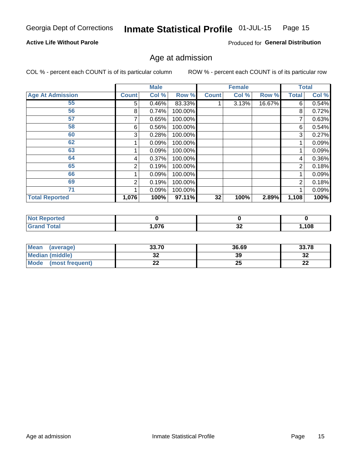#### Inmate Statistical Profile 01-JUL-15 Page 15

## **Active Life Without Parole**

Produced for General Distribution

# Age at admission

COL % - percent each COUNT is of its particular column

|                         |              | <b>Male</b> |         |              | <b>Female</b> |        |              | <b>Total</b> |
|-------------------------|--------------|-------------|---------|--------------|---------------|--------|--------------|--------------|
| <b>Age At Admission</b> | <b>Count</b> | Col %       | Row %   | <b>Count</b> | Col %         | Row %  | <b>Total</b> | Col %        |
| 55                      | 5            | 0.46%       | 83.33%  |              | 3.13%         | 16.67% | 6            | 0.54%        |
| 56                      | 8            | 0.74%       | 100.00% |              |               |        | 8            | 0.72%        |
| 57                      |              | 0.65%       | 100.00% |              |               |        | 7            | 0.63%        |
| 58                      | 6            | 0.56%       | 100.00% |              |               |        | 6            | 0.54%        |
| 60                      | 3            | 0.28%       | 100.00% |              |               |        | 3            | 0.27%        |
| 62                      |              | 0.09%       | 100.00% |              |               |        |              | 0.09%        |
| 63                      |              | 0.09%       | 100.00% |              |               |        |              | 0.09%        |
| 64                      | 4            | 0.37%       | 100.00% |              |               |        | 4            | 0.36%        |
| 65                      | 2            | 0.19%       | 100.00% |              |               |        | 2            | 0.18%        |
| 66                      |              | 0.09%       | 100.00% |              |               |        |              | 0.09%        |
| 69                      | 2            | 0.19%       | 100.00% |              |               |        | 2            | 0.18%        |
| 71                      |              | 0.09%       | 100.00% |              |               |        |              | 0.09%        |
| <b>Total Reported</b>   | 1,076        | 100%        | 97.11%  | 32           | 100%          | 2.89%  | 1,108        | 100%         |

| <b>Reported</b><br><b>N</b> |      |                      |      |
|-----------------------------|------|----------------------|------|
| <b>cotal</b><br>_____       | .076 | $\overline{ }$<br>◡▵ | ,108 |

| Mean<br>(average)              | 33.70 | 36.69 | 33.78    |
|--------------------------------|-------|-------|----------|
| <b>Median (middle)</b>         | JŁ    | 39    | າາ<br>ാച |
| <b>Mode</b><br>(most frequent) | --    | 49    | n,<br>LL |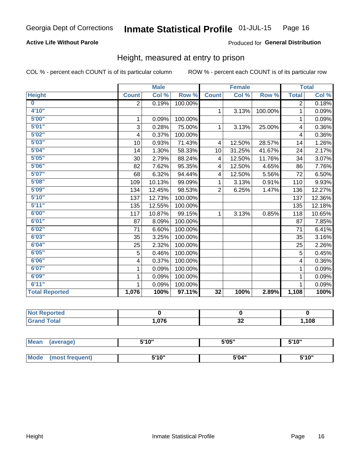# **Active Life Without Parole**

### Produced for General Distribution

# Height, measured at entry to prison

COL % - percent each COUNT is of its particular column

|                       |              | <b>Male</b> |         |                | <b>Female</b>              |         |                | <b>Total</b> |
|-----------------------|--------------|-------------|---------|----------------|----------------------------|---------|----------------|--------------|
| <b>Height</b>         | <b>Count</b> | Col %       | Row %   | <b>Count</b>   | $\overline{\text{Col }^9}$ | Row %   | <b>Total</b>   | Col %        |
| $\bf{0}$              | 2            | 0.19%       | 100.00% |                |                            |         | $\overline{2}$ | 0.18%        |
| 4'10"                 |              |             |         | $\mathbf{1}$   | 3.13%                      | 100.00% | 1              | 0.09%        |
| 5'00''                | 1            | 0.09%       | 100.00% |                |                            |         | 1              | 0.09%        |
| 5'01"                 | 3            | 0.28%       | 75.00%  | 1              | 3.13%                      | 25.00%  | 4              | 0.36%        |
| 5'02"                 | 4            | 0.37%       | 100.00% |                |                            |         | 4              | 0.36%        |
| 5'03''                | 10           | 0.93%       | 71.43%  | 4              | 12.50%                     | 28.57%  | 14             | 1.26%        |
| 5'04"                 | 14           | 1.30%       | 58.33%  | 10             | 31.25%                     | 41.67%  | 24             | 2.17%        |
| 5'05"                 | 30           | 2.79%       | 88.24%  | 4              | 12.50%                     | 11.76%  | 34             | 3.07%        |
| 5'06''                | 82           | 7.62%       | 95.35%  | 4              | 12.50%                     | 4.65%   | 86             | 7.76%        |
| 5'07"                 | 68           | 6.32%       | 94.44%  | 4              | 12.50%                     | 5.56%   | 72             | 6.50%        |
| 5'08''                | 109          | 10.13%      | 99.09%  | 1              | 3.13%                      | 0.91%   | 110            | 9.93%        |
| 5'09''                | 134          | 12.45%      | 98.53%  | $\overline{2}$ | 6.25%                      | 1.47%   | 136            | 12.27%       |
| 5'10''                | 137          | 12.73%      | 100.00% |                |                            |         | 137            | 12.36%       |
| 5'11''                | 135          | 12.55%      | 100.00% |                |                            |         | 135            | 12.18%       |
| 6'00''                | 117          | 10.87%      | 99.15%  | $\mathbf{1}$   | 3.13%                      | 0.85%   | 118            | 10.65%       |
| 6'01''                | 87           | 8.09%       | 100.00% |                |                            |         | 87             | 7.85%        |
| 6'02"                 | 71           | 6.60%       | 100.00% |                |                            |         | 71             | 6.41%        |
| 6'03''                | 35           | 3.25%       | 100.00% |                |                            |         | 35             | 3.16%        |
| 6'04"                 | 25           | 2.32%       | 100.00% |                |                            |         | 25             | 2.26%        |
| 6'05"                 | 5            | 0.46%       | 100.00% |                |                            |         | 5              | 0.45%        |
| 6'06''                | 4            | 0.37%       | 100.00% |                |                            |         | 4              | 0.36%        |
| 6'07''                | 1            | 0.09%       | 100.00% |                |                            |         | 1              | 0.09%        |
| 6'09''                | 1            | 0.09%       | 100.00% |                |                            |         | 1              | 0.09%        |
| 6'11''                | 1            | 0.09%       | 100.00% |                |                            |         | 1              | 0.09%        |
| <b>Total Reported</b> | 1,076        | 100%        | 97.11%  | 32             | 100%                       | 2.89%   | 1,108          | 100%         |

| <b>NOT</b><br>rtea<br>- ARTHUR<br>$\sim$ |     |          |     |
|------------------------------------------|-----|----------|-----|
| $f$ oto $f$                              | በ76 | ^^<br>◡▵ | 108 |

| <b>Mean</b> | (average)       | 5'10" | 5'05" | 5'10"<br>J |
|-------------|-----------------|-------|-------|------------|
|             |                 |       |       |            |
| <b>Mode</b> | (most frequent) | 5'10" | 5'04" | 5'10"      |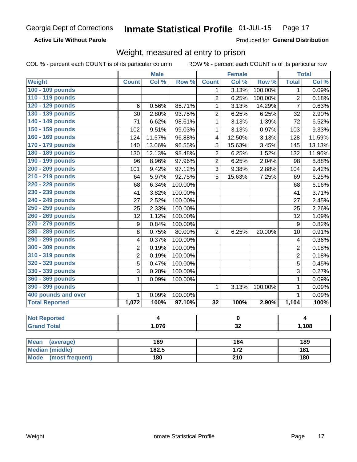**Active Life Without Parole** 

Produced for General Distribution

# Weight, measured at entry to prison

COL % - percent each COUNT is of its particular column

|                       |                  | <b>Male</b> |         | <b>Female</b>   |                 |         | <b>Total</b>   |        |  |
|-----------------------|------------------|-------------|---------|-----------------|-----------------|---------|----------------|--------|--|
| Weight                | <b>Count</b>     | Col%        | Row %   | <b>Count</b>    | Col %           | Row %   | <b>Total</b>   | Col %  |  |
| 100 - 109 pounds      |                  |             |         | 1               | 3.13%           | 100.00% | 1              | 0.09%  |  |
| 110 - 119 pounds      |                  |             |         | $\overline{2}$  | 6.25%           | 100.00% | $\overline{2}$ | 0.18%  |  |
| 120 - 129 pounds      | 6                | 0.56%       | 85.71%  | 1               | 3.13%           | 14.29%  | $\overline{7}$ | 0.63%  |  |
| 130 - 139 pounds      | 30               | 2.80%       | 93.75%  | $\overline{2}$  | 6.25%           | 6.25%   | 32             | 2.90%  |  |
| 140 - 149 pounds      | 71               | 6.62%       | 98.61%  | 1               | 3.13%           | 1.39%   | 72             | 6.52%  |  |
| 150 - 159 pounds      | 102              | 9.51%       | 99.03%  | 1               | 3.13%           | 0.97%   | 103            | 9.33%  |  |
| 160 - 169 pounds      | 124              | 11.57%      | 96.88%  | 4               | 12.50%          | 3.13%   | 128            | 11.59% |  |
| 170 - 179 pounds      | 140              | 13.06%      | 96.55%  | 5               | 15.63%          | 3.45%   | 145            | 13.13% |  |
| 180 - 189 pounds      | 130              | 12.13%      | 98.48%  | $\overline{2}$  | 6.25%           | 1.52%   | 132            | 11.96% |  |
| 190 - 199 pounds      | 96               | 8.96%       | 97.96%  | $\overline{2}$  | 6.25%           | 2.04%   | 98             | 8.88%  |  |
| 200 - 209 pounds      | 101              | 9.42%       | 97.12%  | 3               | 9.38%           | 2.88%   | 104            | 9.42%  |  |
| 210 - 219 pounds      | 64               | 5.97%       | 92.75%  | 5               | 15.63%          | 7.25%   | 69             | 6.25%  |  |
| 220 - 229 pounds      | 68               | 6.34%       | 100.00% |                 |                 |         | 68             | 6.16%  |  |
| 230 - 239 pounds      | 41               | 3.82%       | 100.00% |                 |                 |         | 41             | 3.71%  |  |
| 240 - 249 pounds      | 27               | 2.52%       | 100.00% |                 |                 |         | 27             | 2.45%  |  |
| 250 - 259 pounds      | 25               | 2.33%       | 100.00% |                 |                 |         | 25             | 2.26%  |  |
| 260 - 269 pounds      | 12               | 1.12%       | 100.00% |                 |                 |         | 12             | 1.09%  |  |
| 270 - 279 pounds      | $\boldsymbol{9}$ | 0.84%       | 100.00% |                 |                 |         | 9              | 0.82%  |  |
| 280 - 289 pounds      | 8                | 0.75%       | 80.00%  | $\overline{2}$  | 6.25%           | 20.00%  | 10             | 0.91%  |  |
| 290 - 299 pounds      | 4                | 0.37%       | 100.00% |                 |                 |         | 4              | 0.36%  |  |
| 300 - 309 pounds      | $\overline{2}$   | 0.19%       | 100.00% |                 |                 |         | $\overline{2}$ | 0.18%  |  |
| 310 - 319 pounds      | $\overline{2}$   | 0.19%       | 100.00% |                 |                 |         | $\overline{2}$ | 0.18%  |  |
| 320 - 329 pounds      | 5                | 0.47%       | 100.00% |                 |                 |         | 5              | 0.45%  |  |
| 330 - 339 pounds      | 3                | 0.28%       | 100.00% |                 |                 |         | 3              | 0.27%  |  |
| 360 - 369 pounds      | 1                | 0.09%       | 100.00% |                 |                 |         | $\mathbf 1$    | 0.09%  |  |
| 390 - 399 pounds      |                  |             |         | 1               | 3.13%           | 100.00% | $\mathbf 1$    | 0.09%  |  |
| 400 pounds and over   | 1                | 0.09%       | 100.00% |                 |                 |         | $\mathbf{1}$   | 0.09%  |  |
| <b>Total Reported</b> | 1,072            | 100%        | 97.10%  | $\overline{32}$ | 100%            | 2.90%   | 1,104          | 100%   |  |
|                       |                  |             |         |                 |                 |         |                |        |  |
| <b>Not Reported</b>   |                  | 4           |         |                 | $\pmb{0}$       |         |                | 4      |  |
| <b>Grand Total</b>    |                  | 1,076       |         |                 | $\overline{32}$ |         |                | 1,108  |  |

| <b>Mean</b><br>(average)       | 189   | 184 | 189 |
|--------------------------------|-------|-----|-----|
| <b>Median (middle)</b>         | 182.5 | 172 | 181 |
| <b>Mode</b><br>(most frequent) | 180   | 210 | 180 |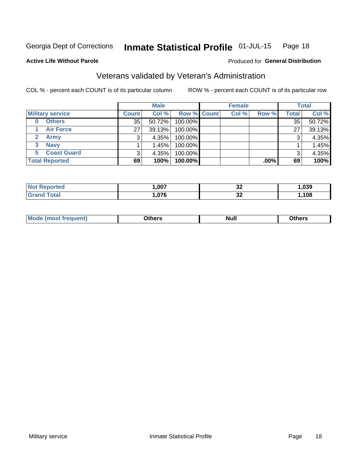#### Inmate Statistical Profile 01-JUL-15 Page 18

### **Active Life Without Parole**

### Produced for General Distribution

# Veterans validated by Veteran's Administration

COL % - percent each COUNT is of its particular column

|                          | <b>Male</b>  |        |                    | <b>Female</b> |       |         | <b>Total</b> |        |
|--------------------------|--------------|--------|--------------------|---------------|-------|---------|--------------|--------|
| <b>Military service</b>  | <b>Count</b> | Col %  | <b>Row % Count</b> |               | Col % | Row %   | <b>Total</b> | Col %  |
| <b>Others</b><br>0       | 35           | 50.72% | 100.00%            |               |       |         | 35           | 50.72% |
| <b>Air Force</b>         | 27           | 39.13% | 100.00%            |               |       |         | 27           | 39.13% |
| <b>Army</b>              |              | 4.35%  | 100.00%            |               |       |         | 3            | 4.35%  |
| <b>Navy</b><br>3         |              | 1.45%  | 100.00%            |               |       |         |              | 1.45%  |
| <b>Coast Guard</b><br>5. | 3            | 4.35%  | 100.00%            |               |       |         | 3            | 4.35%  |
| <b>Total Reported</b>    | 69           | 100%   | 100.00%            |               |       | $.00\%$ | 69           | 100%   |

| rreo   | ,007 | …<br>◡▵  | ,039 |
|--------|------|----------|------|
| $\sim$ | 07c  | ^^<br>◡▵ | ,108 |

| Mo<br><b>Null</b><br>วthers<br>____<br>____ |
|---------------------------------------------|
|---------------------------------------------|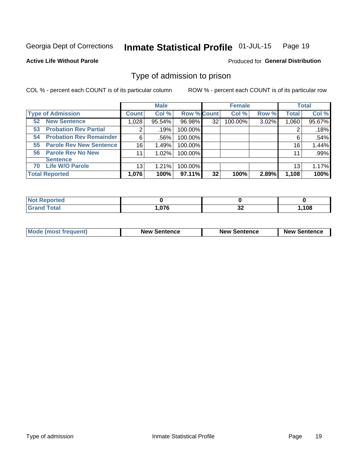#### Inmate Statistical Profile 01-JUL-15 Page 19

**Active Life Without Parole** 

Produced for General Distribution

# Type of admission to prison

COL % - percent each COUNT is of its particular column

|                                      |              | <b>Male</b> |                    |    | <b>Female</b> |       |              | <b>Total</b> |
|--------------------------------------|--------------|-------------|--------------------|----|---------------|-------|--------------|--------------|
| <b>Type of Admission</b>             | <b>Count</b> | Col %       | <b>Row % Count</b> |    | Col %         | Row % | <b>Total</b> | Col %        |
| <b>New Sentence</b><br>52            | 1.028        | 95.54%      | 96.98%             | 32 | 100.00%       | 3.02% | 1,060        | 95.67%       |
| <b>Probation Rev Partial</b><br>53   | 2            | .19%        | 100.00%            |    |               |       | 2            | .18%         |
| <b>Probation Rev Remainder</b><br>54 | 6            | .56%        | 100.00%            |    |               |       | 6            | .54%         |
| <b>Parole Rev New Sentence</b><br>55 | 16           | 1.49%       | 100.00%            |    |               |       | 16           | 1.44%        |
| 56 Parole Rev No New                 | 11           | 1.02%       | 100.00%            |    |               |       | 11           | .99%         |
| <b>Sentence</b>                      |              |             |                    |    |               |       |              |              |
| <b>Life W/O Parole</b><br>70         | 13           | 1.21%       | 100.00%            |    |               |       | 13           | 1.17%        |
| <b>Total Reported</b>                | 1,076        | 100%        | 97.11%             | 32 | 100%          | 2.89% | 1,108        | 100%         |

| orted<br>-N. |                   |        |       |
|--------------|-------------------|--------|-------|
| <b>cotal</b> | 0.7c              | $\sim$ | 108,، |
| $\mathbf{v}$ | $. \mathsf{U}$ /b | ◡▵     |       |

| <b>Mode (most frequent)</b> | <b>New Sentence</b> | <b>New Sentence</b> | <b>New Sentence</b> |
|-----------------------------|---------------------|---------------------|---------------------|
|                             |                     |                     |                     |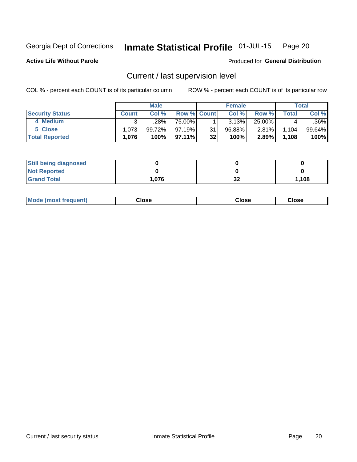#### Inmate Statistical Profile 01-JUL-15 Page 20

**Active Life Without Parole** 

# Produced for General Distribution

# Current / last supervision level

COL % - percent each COUNT is of its particular column

|                        |              | <b>Male</b> |                    |    | <b>Female</b> |          |              | <b>Total</b> |
|------------------------|--------------|-------------|--------------------|----|---------------|----------|--------------|--------------|
| <b>Security Status</b> | <b>Count</b> | Col%        | <b>Row % Count</b> |    | Col %         | Row %    | <b>Total</b> | Col %        |
| 4 Medium               |              | .28%        | 75.00%             |    | 3.13%         | 25.00%   |              | $.36\%$      |
| 5 Close                | 1.073        | $99.72\%$   | 97.19%             | 31 | 96.88%        | $2.81\%$ | 1,104        | $99.64\%$    |
| <b>Total Reported</b>  | 1.076        | 100%        | 97.11%             | 32 | 100%          | $2.89\%$ | 1,108        | 100%         |

| <b>Still being diagnosed</b> |      |          |       |
|------------------------------|------|----------|-------|
| <b>Not Reported</b>          |      |          |       |
| <b>Grand Total</b>           | ,076 | າາ<br>JZ | l.108 |

| <b>AhoM</b><br>rreauent) | <b>Close</b> | Close | Close |
|--------------------------|--------------|-------|-------|
|                          |              |       |       |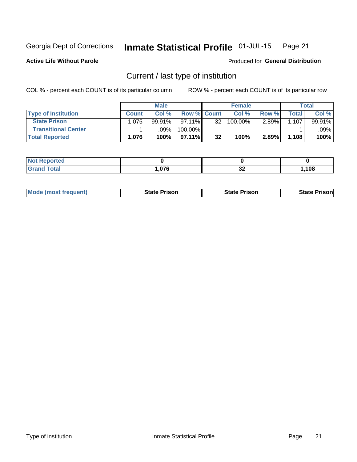#### Inmate Statistical Profile 01-JUL-15 Page 21

**Active Life Without Parole** 

Produced for General Distribution

# Current / last type of institution

COL % - percent each COUNT is of its particular column

|                            |              | <b>Male</b> |             |    | <b>Female</b> |          |        | <b>Total</b> |
|----------------------------|--------------|-------------|-------------|----|---------------|----------|--------|--------------|
| <b>Type of Institution</b> | <b>Count</b> | Col %       | Row % Count |    | Col %         | Row %    | Total⊤ | Col %        |
| <b>State Prison</b>        | 1.075        | 99.91%      | 97.11%      | 32 | $100.00\%$    | $2.89\%$ | 1.107  | 99.91%       |
| <b>Transitional Center</b> |              | .09%        | 100.00%     |    |               |          |        | .09% l       |
| <b>Total Reported</b>      | 1,076        | $100\%$     | $97.11\%$   | 32 | 100%          | 2.89%    | 1,108' | 100%         |

| المنتقب المتعارف<br>portea |     |         |      |
|----------------------------|-----|---------|------|
| <b>otal</b>                | 07c | ^^<br>ᅆ | ,108 |

| <b>Mode (most frequent)</b> | State Prison | <b>State Prison</b> | Prison<br>State |
|-----------------------------|--------------|---------------------|-----------------|
|                             |              |                     |                 |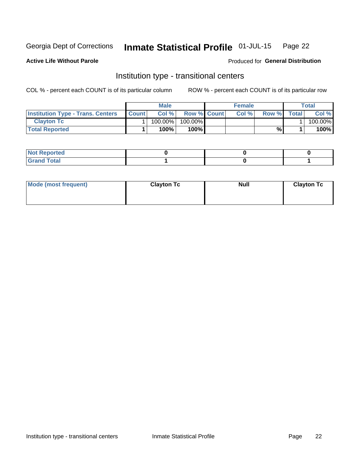#### Inmate Statistical Profile 01-JUL-15 Page 22

**Active Life Without Parole** 

### Produced for General Distribution

# Institution type - transitional centers

COL % - percent each COUNT is of its particular column

|                                          |              | Male       |                    | <b>Female</b> |       |              | Total   |
|------------------------------------------|--------------|------------|--------------------|---------------|-------|--------------|---------|
| <b>Institution Type - Trans. Centers</b> | <b>Count</b> | Col%       | <b>Row % Count</b> | Col%          | Row % | <b>Total</b> | Col %   |
| <b>Clayton Tc</b>                        |              | $100.00\%$ | 100.00%            |               |       |              | 100.00% |
| <b>Total Reported</b>                    |              | $100\%$    | $100\%$            |               | %     |              | 100%    |

| <b>Not Reported</b> |  |  |
|---------------------|--|--|
| int<br>i vtal       |  |  |

| Mode (most frequent) | <b>Clayton Tc</b> | <b>Null</b> | <b>Clayton Tc</b> |
|----------------------|-------------------|-------------|-------------------|
|                      |                   |             |                   |
|                      |                   |             |                   |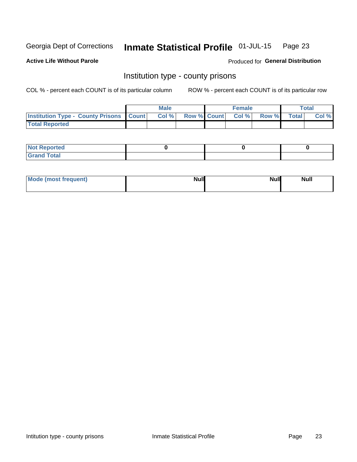#### Inmate Statistical Profile 01-JUL-15 Page 23

**Active Life Without Parole** 

**Produced for General Distribution** 

# Institution type - county prisons

COL % - percent each COUNT is of its particular column

|                                                    | <b>Male</b> |  | <b>Female</b>            |             | <b>Total</b> |
|----------------------------------------------------|-------------|--|--------------------------|-------------|--------------|
| <b>Institution Type - County Prisons   Count  </b> | Col %       |  | <b>Row % Count Col %</b> | Row % Total | Col %        |
| <b>Total Reported</b>                              |             |  |                          |             |              |

| <b>Not Reported</b>   |  |  |
|-----------------------|--|--|
| <b>Total</b><br>Granc |  |  |

| Mode (most frequent) | <b>Null</b> | <b>Null</b><br><b>Null</b> |
|----------------------|-------------|----------------------------|
|                      |             |                            |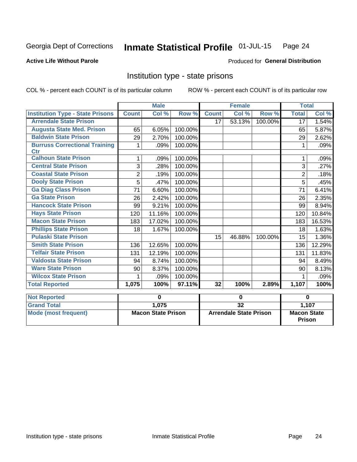#### Inmate Statistical Profile 01-JUL-15 Page 24

### **Active Life Without Parole**

### Produced for General Distribution

# Institution type - state prisons

COL % - percent each COUNT is of its particular column

|                                         |                | <b>Male</b>               |         |                 | <b>Female</b>                 |         | <b>Total</b>                        |          |
|-----------------------------------------|----------------|---------------------------|---------|-----------------|-------------------------------|---------|-------------------------------------|----------|
| <b>Institution Type - State Prisons</b> | <b>Count</b>   | Col %                     | Row %   | <b>Count</b>    | Col %                         | Row %   | <b>Total</b>                        | Col %    |
| <b>Arrendale State Prison</b>           |                |                           |         | 17              | 53.13%                        | 100.00% | 17                                  | 1.54%    |
| <b>Augusta State Med. Prison</b>        | 65             | 6.05%                     | 100.00% |                 |                               |         | 65                                  | 5.87%    |
| <b>Baldwin State Prison</b>             | 29             | 2.70%                     | 100.00% |                 |                               |         | 29                                  | 2.62%    |
| <b>Burruss Correctional Training</b>    | 1              | .09%                      | 100.00% |                 |                               |         | 1                                   | .09%     |
| Ctr                                     |                |                           |         |                 |                               |         |                                     |          |
| <b>Calhoun State Prison</b>             | 1              | .09%                      | 100.00% |                 |                               |         | 1                                   | .09%     |
| <b>Central State Prison</b>             | 3              | .28%                      | 100.00% |                 |                               |         | 3                                   | .27%     |
| <b>Coastal State Prison</b>             | $\overline{2}$ | .19%                      | 100.00% |                 |                               |         | $\overline{2}$                      | .18%     |
| <b>Dooly State Prison</b>               | 5              | .47%                      | 100.00% |                 |                               |         | 5                                   | .45%     |
| <b>Ga Diag Class Prison</b>             | 71             | 6.60%                     | 100.00% |                 |                               |         | 71                                  | 6.41%    |
| <b>Ga State Prison</b>                  | 26             | 2.42%                     | 100.00% |                 |                               |         | 26                                  | 2.35%    |
| <b>Hancock State Prison</b>             | 99             | 9.21%                     | 100.00% |                 |                               |         | 99                                  | 8.94%    |
| <b>Hays State Prison</b>                | 120            | 11.16%                    | 100.00% |                 |                               |         | 120                                 | 10.84%   |
| <b>Macon State Prison</b>               | 183            | 17.02%                    | 100.00% |                 |                               |         | 183                                 | 16.53%   |
| <b>Phillips State Prison</b>            | 18             | 1.67%                     | 100.00% |                 |                               |         | 18                                  | 1.63%    |
| <b>Pulaski State Prison</b>             |                |                           |         | 15              | 46.88%                        | 100.00% | 15                                  | 1.36%    |
| <b>Smith State Prison</b>               | 136            | 12.65%                    | 100.00% |                 |                               |         | 136                                 | 12.29%   |
| <b>Telfair State Prison</b>             | 131            | 12.19%                    | 100.00% |                 |                               |         | 131                                 | 11.83%   |
| <b>Valdosta State Prison</b>            | 94             | 8.74%                     | 100.00% |                 |                               |         | 94                                  | 8.49%    |
| <b>Ware State Prison</b>                | 90             | 8.37%                     | 100.00% |                 |                               |         | 90                                  | 8.13%    |
| <b>Wilcox State Prison</b>              |                | .09%                      | 100.00% |                 |                               |         |                                     | .09%     |
| <b>Total Reported</b>                   | 1,075          | 100%                      | 97.11%  | 32              | 100%                          | 2.89%   | 1,107                               | 100%     |
|                                         |                | 0                         |         |                 |                               |         |                                     | $\bf{0}$ |
| <b>Not Reported</b>                     |                |                           |         | 0               |                               |         |                                     |          |
| <b>Grand Total</b>                      |                | 1,075                     |         | $\overline{32}$ |                               |         |                                     | 1,107    |
| <b>Mode (most frequent)</b>             |                | <b>Macon State Prison</b> |         |                 | <b>Arrendale State Prison</b> |         | <b>Macon State</b><br><b>Prison</b> |          |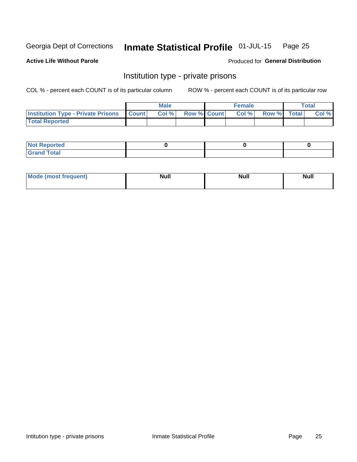#### Inmate Statistical Profile 01-JUL-15 Page 25

**Active Life Without Parole** 

Produced for General Distribution

# Institution type - private prisons

COL % - percent each COUNT is of its particular column

|                                                     | <b>Male</b> |                    | <b>Female</b> |             | Total |
|-----------------------------------------------------|-------------|--------------------|---------------|-------------|-------|
| <b>Institution Type - Private Prisons   Count  </b> | Col%        | <b>Row % Count</b> | Col %         | Row % Total | Col % |
| <b>Total Reported</b>                               |             |                    |               |             |       |

| Not Reported          |  |  |
|-----------------------|--|--|
| <b>Cotal</b><br>_____ |  |  |

| <b>Mo</b><br><b><i>Channel Market</i></b><br>ו זונים | N I I I<br><b>Null</b> | <b>Null</b> | . .<br>_____ |
|------------------------------------------------------|------------------------|-------------|--------------|
|                                                      |                        |             |              |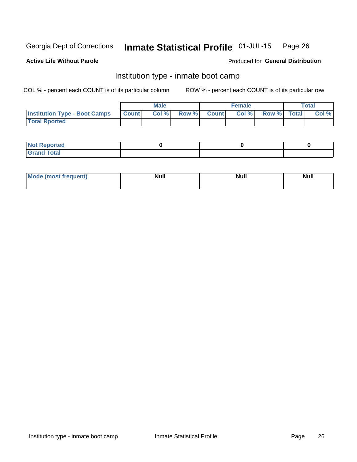#### Inmate Statistical Profile 01-JUL-15 Page 26

### **Active Life Without Parole**

### Produced for General Distribution

# Institution type - inmate boot camp

COL % - percent each COUNT is of its particular column

|                                      |              | <b>Male</b> |             | <b>Female</b> |             | Total |
|--------------------------------------|--------------|-------------|-------------|---------------|-------------|-------|
| <b>Institution Type - Boot Camps</b> | <b>Count</b> | Col %       | Row % Count | Col%          | Row % Total | Col % |
| <b>Total Rported</b>                 |              |             |             |               |             |       |

| <b>Not Reported</b>                   |  |  |
|---------------------------------------|--|--|
| <b>Total</b><br><b>C HAM</b><br>_____ |  |  |

| Mod<br>uamo | Nul.<br>$- - - - - -$ | <b>Null</b> | . .<br>uu.<br>------ |
|-------------|-----------------------|-------------|----------------------|
|             |                       |             |                      |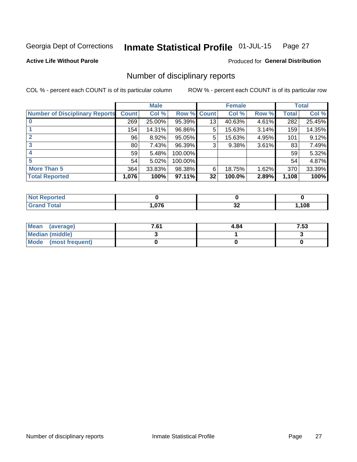#### Inmate Statistical Profile 01-JUL-15 Page 27

### **Active Life Without Parole**

# Produced for General Distribution

# Number of disciplinary reports

COL % - percent each COUNT is of its particular column

|                                       |                 | <b>Male</b> |         |              | <b>Female</b> |          |              | <b>Total</b> |
|---------------------------------------|-----------------|-------------|---------|--------------|---------------|----------|--------------|--------------|
| <b>Number of Disciplinary Reports</b> | <b>Count</b>    | Col %       | Row %   | <b>Count</b> | Col %         | Row %    | <b>Total</b> | Col %        |
|                                       | 269             | 25.00%      | 95.39%  | 13           | 40.63%        | 4.61%    | 282          | 25.45%       |
|                                       | 154             | 14.31%      | 96.86%  | 5            | 15.63%        | 3.14%    | 159          | 14.35%       |
| 2                                     | 96              | $8.92\%$    | 95.05%  | 5            | 15.63%        | 4.95%    | 101          | 9.12%        |
| 3                                     | 80 <sub>1</sub> | 7.43%       | 96.39%  | 3            | 9.38%         | $3.61\%$ | 83           | 7.49%        |
|                                       | 59              | 5.48%       | 100.00% |              |               |          | 59           | 5.32%        |
| 5                                     | 54              | 5.02%       | 100.00% |              |               |          | 54           | 4.87%        |
| <b>More Than 5</b>                    | 364             | 33.83%      | 98.38%  | 6            | 18.75%        | 1.62%    | 370          | 33.39%       |
| <b>Total Reported</b>                 | 1,076           | 100%        | 97.11%  | 32           | 100.0%        | 2.89%    | 1,108        | 100%         |

| 'ted |      |          |     |
|------|------|----------|-----|
|      | .076 | ^^<br>JД | 108 |

| Mean (average)       | 7.61 | 4.84 | 7.53 |
|----------------------|------|------|------|
| Median (middle)      |      |      |      |
| Mode (most frequent) |      |      |      |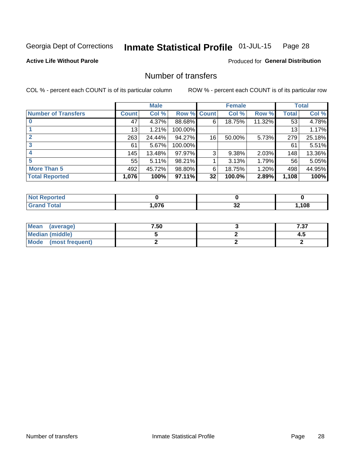#### Inmate Statistical Profile 01-JUL-15 Page 28

**Active Life Without Parole** 

**Produced for General Distribution** 

# Number of transfers

COL % - percent each COUNT is of its particular column

|                            |                 | <b>Male</b> |         |              | <b>Female</b> |        |              | <b>Total</b> |
|----------------------------|-----------------|-------------|---------|--------------|---------------|--------|--------------|--------------|
| <b>Number of Transfers</b> | Count l         | Col %       | Row %   | <b>Count</b> | Col %         | Row %  | <b>Total</b> | Col %        |
|                            | 47              | 4.37%       | 88.68%  | 6            | 18.75%        | 11.32% | 53           | 4.78%        |
|                            | 13 <sup>1</sup> | 1.21%       | 100.00% |              |               |        | 13           | 1.17%        |
|                            | 263             | 24.44%      | 94.27%  | 16           | 50.00%        | 5.73%  | 279          | 25.18%       |
| 3                          | 61              | 5.67%       | 100.00% |              |               |        | 61           | 5.51%        |
|                            | 145             | 13.48%      | 97.97%  | 3            | 9.38%         | 2.03%  | 148          | 13.36%       |
| 5                          | 55              | 5.11%       | 98.21%  |              | 3.13%         | 1.79%  | 56           | 5.05%        |
| <b>More Than 5</b>         | 492             | 45.72%      | 98.80%  | 6            | 18.75%        | 1.20%  | 498          | 44.95%       |
| <b>Total Reported</b>      | 1,076           | 100%        | 97.11%  | 32           | 100.0%        | 2.89%  | 1,108        | 100%         |

| <u>orteo</u><br>NOT |      |          |      |
|---------------------|------|----------|------|
| <b>otal</b>         | .076 | ^^<br>◡▵ | ,108 |

| Mean (average)       | 7.50 | 7 27<br>، ت. ۱ |
|----------------------|------|----------------|
| Median (middle)      |      | 4.3            |
| Mode (most frequent) |      |                |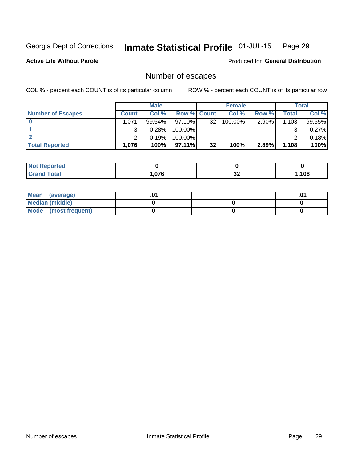#### Inmate Statistical Profile 01-JUL-15 Page 29

### **Active Life Without Parole**

Produced for General Distribution

# Number of escapes

COL % - percent each COUNT is of its particular column

|                          |              | <b>Male</b> |                    |                 | <b>Female</b> |       |       | Total  |
|--------------------------|--------------|-------------|--------------------|-----------------|---------------|-------|-------|--------|
| <b>Number of Escapes</b> | <b>Count</b> | Col %       | <b>Row % Count</b> |                 | Col %         | Row % | Total | Col %  |
|                          | .071         | $99.54\%$   | 97.10%             | 32 <sub>1</sub> | $100.00\%$    | 2.90% | 1,103 | 99.55% |
|                          |              | 0.28%       | 100.00%            |                 |               |       |       | 0.27%  |
|                          |              | 0.19%       | 100.00%            |                 |               |       |       | 0.18%  |
| <b>Total Reported</b>    | 1,076        | 100%        | $97.11\%$          | 32              | 100%          | 2.89% | 1.108 | 100%   |

| <b>Reported</b><br>NOT |      |    |      |
|------------------------|------|----|------|
| Total                  | .076 | ◡▵ | ,108 |

| Mean (average)       |  | .01 |
|----------------------|--|-----|
| Median (middle)      |  |     |
| Mode (most frequent) |  |     |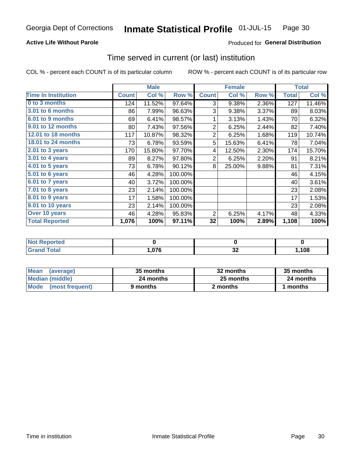# **Active Life Without Parole**

### Produced for General Distribution

# Time served in current (or last) institution

COL % - percent each COUNT is of its particular column

|                            |              | <b>Male</b> |         |                | <b>Female</b> |       |              | <b>Total</b> |
|----------------------------|--------------|-------------|---------|----------------|---------------|-------|--------------|--------------|
| <b>Time In Institution</b> | <b>Count</b> | Col %       | Row %   | <b>Count</b>   | Col %         | Row % | <b>Total</b> | Col %        |
| 0 to 3 months              | 124          | 11.52%      | 97.64%  | 3              | 9.38%         | 2.36% | 127          | 11.46%       |
| <b>3.01 to 6 months</b>    | 86           | 7.99%       | 96.63%  | 3              | 9.38%         | 3.37% | 89           | 8.03%        |
| 6.01 to 9 months           | 69           | 6.41%       | 98.57%  | 1              | 3.13%         | 1.43% | 70           | 6.32%        |
| 9.01 to 12 months          | 80           | 7.43%       | 97.56%  | $\overline{2}$ | 6.25%         | 2.44% | 82           | 7.40%        |
| 12.01 to 18 months         | 117          | 10.87%      | 98.32%  | $\overline{2}$ | 6.25%         | 1.68% | 119          | 10.74%       |
| <b>18.01 to 24 months</b>  | 73           | 6.78%       | 93.59%  | 5              | 15.63%        | 6.41% | 78           | 7.04%        |
| $2.01$ to 3 years          | 170          | 15.80%      | 97.70%  | 4              | 12.50%        | 2.30% | 174          | 15.70%       |
| $3.01$ to 4 years          | 89           | 8.27%       | 97.80%  | $\overline{2}$ | 6.25%         | 2.20% | 91           | 8.21%        |
| $4.01$ to 5 years          | 73           | 6.78%       | 90.12%  | 8              | 25.00%        | 9.88% | 81           | 7.31%        |
| 5.01 to 6 years            | 46           | 4.28%       | 100.00% |                |               |       | 46           | 4.15%        |
| 6.01 to 7 years            | 40           | 3.72%       | 100.00% |                |               |       | 40           | 3.61%        |
| 7.01 to 8 years            | 23           | 2.14%       | 100.00% |                |               |       | 23           | 2.08%        |
| 8.01 to 9 years            | 17           | 1.58%       | 100.00% |                |               |       | 17           | 1.53%        |
| 9.01 to 10 years           | 23           | 2.14%       | 100.00% |                |               |       | 23           | 2.08%        |
| Over 10 years              | 46           | 4.28%       | 95.83%  | 2              | 6.25%         | 4.17% | 48           | 4.33%        |
| <b>Total Reported</b>      | 1,076        | 100%        | 97.11%  | 32             | 100%          | 2.89% | 1,108        | 100%         |

| <b>Not Reported</b> |                  |          |      |
|---------------------|------------------|----------|------|
| Total               | 07C<br>. . v / c | ^^<br>νĿ | ,108 |

| <b>Mean</b><br>(average) | 35 months | 32 months | 35 months |
|--------------------------|-----------|-----------|-----------|
| Median (middle)          | 24 months | 25 months | 24 months |
| Mode (most frequent)     | 9 months  | 2 months  | 1 months  |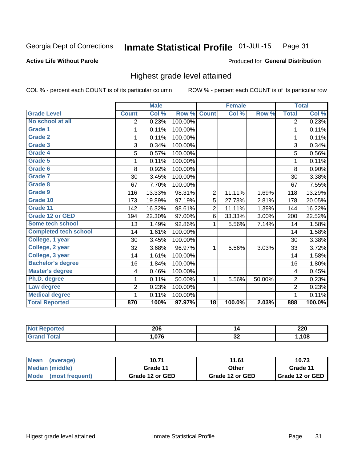### **Active Life Without Parole**

### Produced for General Distribution

# Highest grade level attained

COL % - percent each COUNT is of its particular column

|                              |                | <b>Male</b> |         |                | <b>Female</b>             |        |                         | <b>Total</b> |
|------------------------------|----------------|-------------|---------|----------------|---------------------------|--------|-------------------------|--------------|
| <b>Grade Level</b>           | <b>Count</b>   | Col %       | Row %   | <b>Count</b>   | $\overline{\text{Col}}$ % | Row %  | <b>Total</b>            | Col %        |
| No school at all             | 2              | 0.23%       | 100.00% |                |                           |        | 2                       | 0.23%        |
| Grade 1                      | 1              | 0.11%       | 100.00% |                |                           |        | 1                       | 0.11%        |
| Grade 2                      | 1              | 0.11%       | 100.00% |                |                           |        | 1                       | 0.11%        |
| Grade 3                      | 3              | 0.34%       | 100.00% |                |                           |        | 3                       | 0.34%        |
| <b>Grade 4</b>               | 5              | 0.57%       | 100.00% |                |                           |        | 5                       | 0.56%        |
| Grade 5                      | 1              | 0.11%       | 100.00% |                |                           |        | 1                       | 0.11%        |
| Grade 6                      | 8              | 0.92%       | 100.00% |                |                           |        | 8                       | 0.90%        |
| <b>Grade 7</b>               | 30             | 3.45%       | 100.00% |                |                           |        | 30                      | 3.38%        |
| Grade 8                      | 67             | 7.70%       | 100.00% |                |                           |        | 67                      | 7.55%        |
| Grade 9                      | 116            | 13.33%      | 98.31%  | $\overline{c}$ | 11.11%                    | 1.69%  | 118                     | 13.29%       |
| Grade 10                     | 173            | 19.89%      | 97.19%  | 5              | 27.78%                    | 2.81%  | 178                     | 20.05%       |
| Grade 11                     | 142            | 16.32%      | 98.61%  | $\overline{c}$ | 11.11%                    | 1.39%  | 144                     | 16.22%       |
| <b>Grade 12 or GED</b>       | 194            | 22.30%      | 97.00%  | 6              | 33.33%                    | 3.00%  | 200                     | 22.52%       |
| Some tech school             | 13             | 1.49%       | 92.86%  | 1              | 5.56%                     | 7.14%  | 14                      | 1.58%        |
| <b>Completed tech school</b> | 14             | 1.61%       | 100.00% |                |                           |        | 14                      | 1.58%        |
| College, 1 year              | 30             | 3.45%       | 100.00% |                |                           |        | 30                      | 3.38%        |
| College, 2 year              | 32             | 3.68%       | 96.97%  | 1              | 5.56%                     | 3.03%  | 33                      | 3.72%        |
| College, 3 year              | 14             | 1.61%       | 100.00% |                |                           |        | 14                      | 1.58%        |
| <b>Bachelor's degree</b>     | 16             | 1.84%       | 100.00% |                |                           |        | 16                      | 1.80%        |
| <b>Master's degree</b>       | 4              | 0.46%       | 100.00% |                |                           |        | $\overline{\mathbf{4}}$ | 0.45%        |
| Ph.D. degree                 | 1              | 0.11%       | 50.00%  | 1              | 5.56%                     | 50.00% | $\overline{c}$          | 0.23%        |
| Law degree                   | $\overline{2}$ | 0.23%       | 100.00% |                |                           |        | $\overline{2}$          | 0.23%        |
| <b>Medical degree</b>        |                | 0.11%       | 100.00% |                |                           |        | 1                       | 0.11%        |
| <b>Total Reported</b>        | 870            | 100%        | 97.97%  | 18             | 100.0%                    | 2.03%  | 888                     | 100.0%       |

| rreo | 206  | ▝            | つつの<br>ZZU |
|------|------|--------------|------------|
|      | .076 | $\sim$<br>◡▵ | ,108       |

| Mean<br>(average)              | 10.71           | 11.61           | 10.73             |  |  |
|--------------------------------|-----------------|-----------------|-------------------|--|--|
| Median (middle)                | Grade 11        | Other           | Grade 11          |  |  |
| <b>Mode</b><br>(most frequent) | Grade 12 or GED | Grade 12 or GED | I Grade 12 or GED |  |  |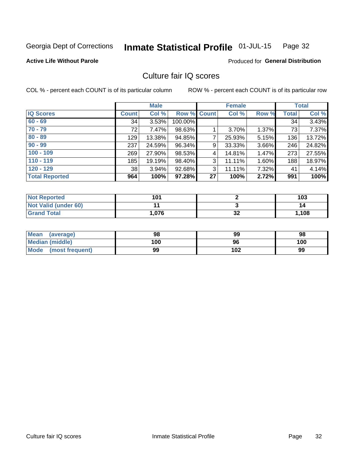#### Inmate Statistical Profile 01-JUL-15 Page 32

### **Active Life Without Parole**

### Produced for General Distribution

# Culture fair IQ scores

COL % - percent each COUNT is of its particular column

|                       |              | <b>Male</b> |                    |    | <b>Female</b> |          |              | <b>Total</b> |
|-----------------------|--------------|-------------|--------------------|----|---------------|----------|--------------|--------------|
| <b>IQ Scores</b>      | <b>Count</b> | Col %       | <b>Row % Count</b> |    | Col %         | Row %    | <b>Total</b> | Col %        |
| $60 - 69$             | 34           | 3.53%       | 100.00%            |    |               |          | 34           | 3.43%        |
| $70 - 79$             | 72           | 7.47%       | 98.63%             |    | 3.70%         | 1.37%    | 73           | 7.37%        |
| $80 - 89$             | 129          | 13.38%      | 94.85%             | 7  | 25.93%        | 5.15%    | 136          | 13.72%       |
| $90 - 99$             | 237          | 24.59%      | 96.34%             | 9  | 33.33%        | $3.66\%$ | 246          | 24.82%       |
| $100 - 109$           | 269          | 27.90%      | 98.53%             | 4  | 14.81%        | 1.47%    | 273          | 27.55%       |
| $110 - 119$           | 185          | 19.19%      | 98.40%             | 3  | 11.11%        | 1.60%    | 188          | 18.97%       |
| $120 - 129$           | 38           | 3.94%       | 92.68%             | 3  | 11.11%        | 7.32%    | 41           | 4.14%        |
| <b>Total Reported</b> | 964          | 100%        | 97.28%             | 27 | 100%          | 2.72%    | 991          | 100%         |

| <b>Not Reported</b>         | 101    |          | 103   |
|-----------------------------|--------|----------|-------|
| <b>Not Valid (under 60)</b> |        |          | 14    |
| <b>Grand Total</b>          | 076. ا | າາ<br>⊿ت | 1,108 |

| Mean<br>(average)       | 98  | 99  | 98  |
|-------------------------|-----|-----|-----|
| <b>Median (middle)</b>  | 100 | 96  | 100 |
| Mode<br>(most frequent) | 99  | 102 | 99  |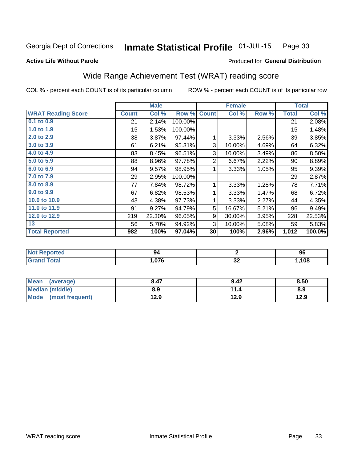#### Inmate Statistical Profile 01-JUL-15 Page 33

**Active Life Without Parole** 

### Produced for General Distribution

# Wide Range Achievement Test (WRAT) reading score

COL % - percent each COUNT is of its particular column

|                                  |              | <b>Male</b>   |         |                | <b>Female</b> |       |              | <b>Total</b> |
|----------------------------------|--------------|---------------|---------|----------------|---------------|-------|--------------|--------------|
| <b>WRAT Reading Score</b>        | <b>Count</b> | Col %         | Row %   | <b>Count</b>   | Col %         | Row % | <b>Total</b> | Col %        |
| $0.1$ to $0.9$                   | 21           | 2.14%         | 100.00% |                |               |       | 21           | 2.08%        |
| 1.0 to 1.9                       | 15           | 1.53%         | 100.00% |                |               |       | 15           | 1.48%        |
| 2.0 to 2.9                       | 38           | 3.87%         | 97.44%  | 1              | 3.33%         | 2.56% | 39           | 3.85%        |
| 3.0 to 3.9                       | 61           | 6.21%         | 95.31%  | 3              | 10.00%        | 4.69% | 64           | 6.32%        |
| 4.0 to 4.9                       | 83           | 8.45%         | 96.51%  | 3              | 10.00%        | 3.49% | 86           | 8.50%        |
| 5.0 to 5.9                       | 88           | 8.96%         | 97.78%  | $\overline{2}$ | 6.67%         | 2.22% | 90           | 8.89%        |
| 6.0 to 6.9                       | 94           | 9.57%         | 98.95%  | 1              | 3.33%         | 1.05% | 95           | 9.39%        |
| 7.0 to 7.9                       | 29           | 2.95%         | 100.00% |                |               |       | 29           | 2.87%        |
| 8.0 to 8.9                       | 77           | 7.84%         | 98.72%  | 1              | 3.33%         | 1.28% | 78           | 7.71%        |
| 9.0 to 9.9                       | 67           | 6.82%         | 98.53%  | 1              | 3.33%         | 1.47% | 68           | 6.72%        |
| 10.0 to 10.9                     | 43           | 4.38%         | 97.73%  | 1              | 3.33%         | 2.27% | 44           | 4.35%        |
| 11.0 to 11.9                     | 91           | 9.27%         | 94.79%  | 5              | 16.67%        | 5.21% | 96           | 9.49%        |
| 12.0 to 12.9                     | 219          | 22.30%        | 96.05%  | 9              | 30.00%        | 3.95% | 228          | 22.53%       |
| 13                               | 56           | 5.70%         | 94.92%  | $\mathbf{3}$   | 10.00%        | 5.08% | 59           | 5.83%        |
| <b>Total Reported</b>            | 982          | 100%          | 97.04%  | 30             | 100%          | 2.96% | 1,012        | 100.0%       |
|                                  |              |               |         |                |               |       |              |              |
| <b>All and Photos and Call 1</b> |              | $\sim$ $\sim$ |         |                | $\sim$        |       |              | $\sim$       |

| ortea<br>$\cdots$ |     |           | সং   |
|-------------------|-----|-----------|------|
| otal<br>$\sim$    | በ76 | . .<br>◡▵ | ,108 |

| <b>Mean</b><br>(average)       | 8.47 | 9.42      | 8.50 |
|--------------------------------|------|-----------|------|
| <b>Median (middle)</b>         | 8.9  | 44<br>1.4 | 8.9  |
| <b>Mode</b><br>(most frequent) | 12.9 | 12.9      | 12.9 |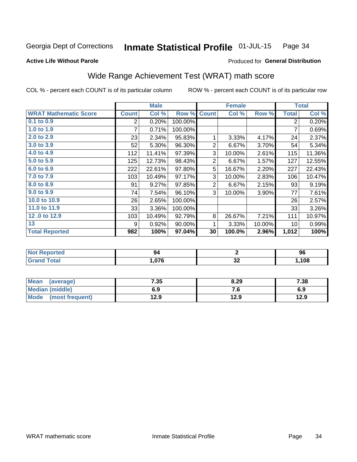#### Inmate Statistical Profile 01-JUL-15 Page 34

### **Active Life Without Parole**

# Produced for General Distribution

# Wide Range Achievement Test (WRAT) math score

COL % - percent each COUNT is of its particular column

|                                     |              | <b>Male</b>   |         |                | <b>Female</b> |        |                | <b>Total</b> |
|-------------------------------------|--------------|---------------|---------|----------------|---------------|--------|----------------|--------------|
| <b>WRAT Mathematic Score</b>        | <b>Count</b> | Col %         | Row %   | <b>Count</b>   | Col %         | Row %  | <b>Total</b>   | Col %        |
| $0.1$ to $0.9$                      | 2            | 0.20%         | 100.00% |                |               |        | $\overline{2}$ | 0.20%        |
| 1.0 to 1.9                          | 7            | 0.71%         | 100.00% |                |               |        | 7              | 0.69%        |
| 2.0 to 2.9                          | 23           | 2.34%         | 95.83%  | 1              | 3.33%         | 4.17%  | 24             | 2.37%        |
| 3.0 to 3.9                          | 52           | 5.30%         | 96.30%  | $\overline{2}$ | 6.67%         | 3.70%  | 54             | 5.34%        |
| 4.0 to 4.9                          | 112          | 11.41%        | 97.39%  | 3              | 10.00%        | 2.61%  | 115            | 11.36%       |
| 5.0 to 5.9                          | 125          | 12.73%        | 98.43%  | $\overline{2}$ | 6.67%         | 1.57%  | 127            | 12.55%       |
| 6.0 to 6.9                          | 222          | 22.61%        | 97.80%  | 5              | 16.67%        | 2.20%  | 227            | 22.43%       |
| 7.0 to 7.9                          | 103          | 10.49%        | 97.17%  | 3              | 10.00%        | 2.83%  | 106            | 10.47%       |
| 8.0 to 8.9                          | 91           | 9.27%         | 97.85%  | $\overline{2}$ | 6.67%         | 2.15%  | 93             | 9.19%        |
| 9.0 to 9.9                          | 74           | 7.54%         | 96.10%  | 3              | 10.00%        | 3.90%  | 77             | 7.61%        |
| 10.0 to 10.9                        | 26           | 2.65%         | 100.00% |                |               |        | 26             | 2.57%        |
| 11.0 to 11.9                        | 33           | 3.36%         | 100.00% |                |               |        | 33             | 3.26%        |
| 12.0 to 12.9                        | 103          | 10.49%        | 92.79%  | 8              | 26.67%        | 7.21%  | 111            | 10.97%       |
| 13                                  | 9            | 0.92%         | 90.00%  | 1              | 3.33%         | 10.00% | 10             | 0.99%        |
| <b>Total Reported</b>               | 982          | 100%          | 97.04%  | 30             | 100.0%        | 2.96%  | 1,012          | 100%         |
| <b>All and Photographs and Call</b> |              | $\sim$ $\sim$ |         |                | $\sim$        |        |                | $\sim$       |

| -N/<br>eporteg<br>. |            |     | ^'<br>সং |
|---------------------|------------|-----|----------|
|                     | <b>076</b> | IJΔ | ,108     |

| Mean<br>(average)      | 7.35 | 8.29 | 7.38 |
|------------------------|------|------|------|
| <b>Median (middle)</b> | 6.9  | 7. U | 6.9  |
| Mode (most frequent)   | 12.9 | 12.9 | 12.9 |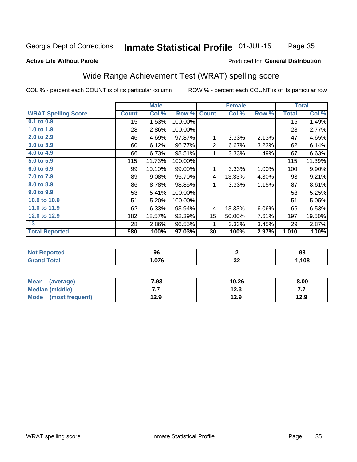#### **Inmate Statistical Profile 01-JUL-15** Page 35

### **Active Life Without Parole**

### Produced for General Distribution

# Wide Range Achievement Test (WRAT) spelling score

COL % - percent each COUNT is of its particular column

|                            |              | <b>Male</b> |         |                | <b>Female</b> |       |              | <b>Total</b> |
|----------------------------|--------------|-------------|---------|----------------|---------------|-------|--------------|--------------|
| <b>WRAT Spelling Score</b> | <b>Count</b> | Col %       | Row %   | <b>Count</b>   | Col %         | Row % | <b>Total</b> | Col %        |
| $0.1$ to $0.9$             | 15           | 1.53%       | 100.00% |                |               |       | 15           | 1.49%        |
| 1.0 to 1.9                 | 28           | 2.86%       | 100.00% |                |               |       | 28           | 2.77%        |
| 2.0 to 2.9                 | 46           | 4.69%       | 97.87%  | 1              | 3.33%         | 2.13% | 47           | 4.65%        |
| 3.0 to 3.9                 | 60           | 6.12%       | 96.77%  | $\overline{2}$ | 6.67%         | 3.23% | 62           | 6.14%        |
| 4.0 to 4.9                 | 66           | 6.73%       | 98.51%  | 1              | 3.33%         | 1.49% | 67           | 6.63%        |
| 5.0 to 5.9                 | 115          | 11.73%      | 100.00% |                |               |       | 115          | 11.39%       |
| 6.0 to 6.9                 | 99           | 10.10%      | 99.00%  | 1              | 3.33%         | 1.00% | 100          | 9.90%        |
| 7.0 to 7.9                 | 89           | 9.08%       | 95.70%  | 4              | 13.33%        | 4.30% | 93           | 9.21%        |
| 8.0 to 8.9                 | 86           | 8.78%       | 98.85%  | 1              | 3.33%         | 1.15% | 87           | 8.61%        |
| 9.0 to 9.9                 | 53           | 5.41%       | 100.00% |                |               |       | 53           | 5.25%        |
| 10.0 to 10.9               | 51           | 5.20%       | 100.00% |                |               |       | 51           | 5.05%        |
| 11.0 to 11.9               | 62           | 6.33%       | 93.94%  | 4              | 13.33%        | 6.06% | 66           | 6.53%        |
| 12.0 to 12.9               | 182          | 18.57%      | 92.39%  | 15             | 50.00%        | 7.61% | 197          | 19.50%       |
| 13                         | 28           | 2.86%       | 96.55%  | 1              | 3.33%         | 3.45% | 29           | 2.87%        |
| <b>Total Reported</b>      | 980          | 100%        | 97.03%  | 30             | 100%          | 2.97% | 1,010        | 100%         |
|                            |              |             |         |                |               |       |              |              |
|                            |              |             |         |                |               |       |              |              |

| <b>Not</b><br>Reported | 96   |             | 98   |
|------------------------|------|-------------|------|
| <b>cotal</b>           | .076 | $\sim$<br>ᅆ | ,108 |

| <b>Mean</b><br>(average)       | 7.93 | 10.26 | 8.00 |
|--------------------------------|------|-------|------|
| Median (middle)                | . .  | 12.3  |      |
| <b>Mode</b><br>(most frequent) | 12.9 | 12.9  | 12.9 |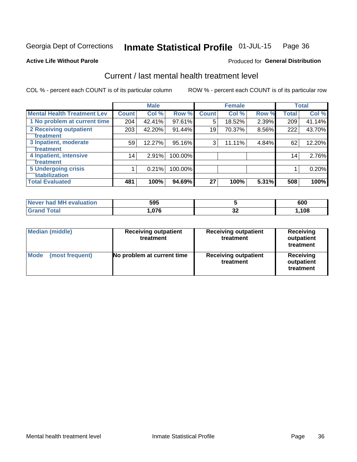#### Inmate Statistical Profile 01-JUL-15 Page 36

### **Active Life Without Parole**

# **Produced for General Distribution**

# Current / last mental health treatment level

COL % - percent each COUNT is of its particular column

|                                    |              | <b>Male</b> |         |              | <b>Female</b> |       |              | <b>Total</b> |
|------------------------------------|--------------|-------------|---------|--------------|---------------|-------|--------------|--------------|
| <b>Mental Health Treatment Lev</b> | <b>Count</b> | Col %       | Row %   | <b>Count</b> | Col %         | Row % | <b>Total</b> | Col %        |
| 1 No problem at current time       | 204          | 42.41%      | 97.61%  | 5            | 18.52%        | 2.39% | 209          | 41.14%       |
| 2 Receiving outpatient             | 203          | 42.20%      | 91.44%  | 19           | 70.37%        | 8.56% | 222          | 43.70%       |
| <b>Treatment</b>                   |              |             |         |              |               |       |              |              |
| 3 Inpatient, moderate              | 59           | 12.27%      | 95.16%  | 3            | 11.11%        | 4.84% | 62           | 12.20%       |
| Treatment                          |              |             |         |              |               |       |              |              |
| 4 Inpatient, intensive             | 14           | 2.91%       | 100.00% |              |               |       | 14           | 2.76%        |
| Treatment                          |              |             |         |              |               |       |              |              |
| <b>5 Undergoing crisis</b>         |              | 0.21%       | 100.00% |              |               |       |              | 0.20%        |
| <b>stabilization</b>               |              |             |         |              |               |       |              |              |
| <b>Total Evaluated</b>             | 481          | 100%        | 94.69%  | 27           | 100%          | 5.31% | 508          | 100%         |

| evaluation<br>Never had MI | 595          |     | 600  |
|----------------------------|--------------|-----|------|
| int                        | በ7ፎ<br>. . U | IJΔ | ,108 |

| Median (middle)                | <b>Receiving outpatient</b><br>treatment | <b>Receiving outpatient</b><br>treatment | <b>Receiving</b><br>outpatient<br>treatment |  |
|--------------------------------|------------------------------------------|------------------------------------------|---------------------------------------------|--|
| <b>Mode</b><br>(most frequent) | No problem at current time               | <b>Receiving outpatient</b><br>treatment | <b>Receiving</b><br>outpatient<br>treatment |  |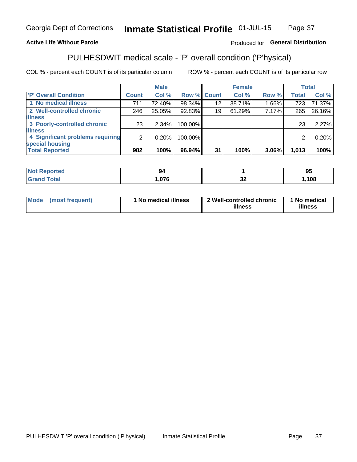#### Inmate Statistical Profile 01-JUL-15 Page 37

## **Active Life Without Parole**

### Produced for General Distribution

# PULHESDWIT medical scale - 'P' overall condition ('P'hysical)

COL % - percent each COUNT is of its particular column

|                                  |                | <b>Male</b> |         |             | <b>Female</b> |       |              | <b>Total</b> |
|----------------------------------|----------------|-------------|---------|-------------|---------------|-------|--------------|--------------|
| 'P' Overall Condition            | <b>Count</b>   | Col %       |         | Row % Count | Col %         | Row % | <b>Total</b> | Col %        |
| 1 No medical illness             | 711            | 72.40%      | 98.34%  | 12          | 38.71%        | 1.66% | 723          | 71.37%       |
| 2 Well-controlled chronic        | 246            | 25.05%      | 92.83%  | 19          | 61.29%        | 7.17% | 265          | 26.16%       |
| <b>illness</b>                   |                |             |         |             |               |       |              |              |
| 3 Poorly-controlled chronic      | 23             | $2.34\%$    | 100.00% |             |               |       | 23           | 2.27%        |
| <b>illness</b>                   |                |             |         |             |               |       |              |              |
| 4 Significant problems requiring | 2 <sub>1</sub> | 0.20%       | 100.00% |             |               |       | 2            | 0.20%        |
| special housing                  |                |             |         |             |               |       |              |              |
| <b>Total Reported</b>            | 982            | 100%        | 96.94%  | 31          | 100%          | 3.06% | 1,013        | 100%         |

| 94     |                                          | - -<br>O.<br>Ju |
|--------|------------------------------------------|-----------------|
| $\sim$ | $\overline{\phantom{a}}$<br>◡▵<br>$\sim$ | 100             |

| <b>Mode</b> | (most frequent) | 1 No medical illness | 2 Well-controlled chronic<br>illness | 1 No medical<br>illness |
|-------------|-----------------|----------------------|--------------------------------------|-------------------------|
|-------------|-----------------|----------------------|--------------------------------------|-------------------------|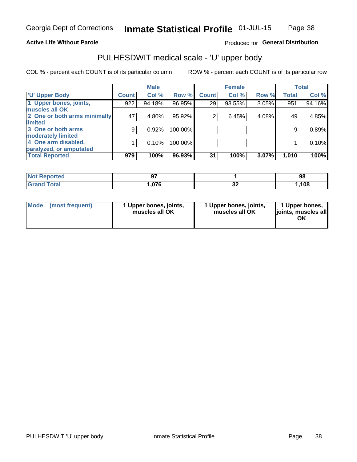### **Active Life Without Parole**

# Produced for General Distribution

# PULHESDWIT medical scale - 'U' upper body

COL % - percent each COUNT is of its particular column

|                                    | <b>Male</b> |              | <b>Female</b>                                             |       |              | <b>Total</b>            |
|------------------------------------|-------------|--------------|-----------------------------------------------------------|-------|--------------|-------------------------|
| <b>Count</b>                       | Col %       | <b>Count</b> | Col %                                                     |       | <b>Total</b> | Col %                   |
| 922                                | 94.18%      | 29           | 93.55%                                                    |       | 951          | 94.16%                  |
|                                    |             |              |                                                           |       |              |                         |
| 2 One or both arms minimally<br>47 | 4.80%       | 2            | 6.45%                                                     |       | 49           | 4.85%                   |
|                                    |             |              |                                                           |       |              |                         |
| 9                                  | 0.92%       |              |                                                           |       | 9            | 0.89%                   |
|                                    |             |              |                                                           |       |              |                         |
|                                    | 0.10%       |              |                                                           |       |              | 0.10%                   |
|                                    |             |              |                                                           |       |              |                         |
| 979                                | 100%        | 31           | 100%                                                      | 3.07% | 1,010        | 100%                    |
|                                    |             |              | Row %<br>96.95%<br>95.92%<br>100.00%<br>100.00%<br>96.93% |       |              | Row %<br>3.05%<br>4.08% |

| <b>prted</b><br>$\cdot$ NO. . |              |     | 98   |
|-------------------------------|--------------|-----|------|
| <b>Total</b>                  | 07C<br>ט וע. | IJΖ | ,108 |

| Mode | (most frequent) | 1 Upper bones, joints,<br>muscles all OK | 1 Upper bones, joints,<br>muscles all OK | 1 Upper bones,<br>ljoints, muscles all<br>OK |
|------|-----------------|------------------------------------------|------------------------------------------|----------------------------------------------|
|------|-----------------|------------------------------------------|------------------------------------------|----------------------------------------------|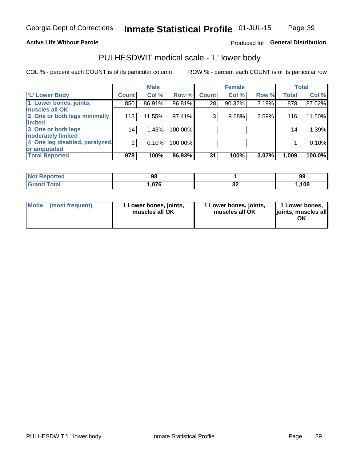### **Active Life Without Parole**

# Produced for General Distribution

# PULHESDWIT medical scale - 'L' lower body

COL % - percent each COUNT is of its particular column

|                                     | <b>Male</b> |              | <b>Female</b>                                             |       |              | <b>Total</b> |
|-------------------------------------|-------------|--------------|-----------------------------------------------------------|-------|--------------|--------------|
| <b>Count</b>                        | Col%        | <b>Count</b> | Col %                                                     | Row % | <b>Total</b> | Col %        |
| 850                                 | 86.91%      | 28           | 90.32%                                                    |       | 878          | 87.02%       |
|                                     |             |              |                                                           |       |              |              |
| 2 One or both legs minimally<br>113 | 11.55%      | 3            | 9.68%                                                     | 2.59% | 116          | 11.50%       |
|                                     |             |              |                                                           |       |              |              |
| 14 <sub>1</sub>                     | 1.43%       |              |                                                           |       | 14           | 1.39%        |
|                                     |             |              |                                                           |       |              |              |
| 4 One leg disabled, paralyzed,      | 0.10%       |              |                                                           |       |              | 0.10%        |
|                                     |             |              |                                                           |       |              |              |
| 978                                 | 100%        | 31           | 100%                                                      | 3.07% | 1,009        | 100.0%       |
|                                     |             |              | Row %<br>96.81%<br>97.41%<br>100.00%<br>100.00%<br>96.93% |       |              | 3.19%        |

| <b>Not Reported</b> | 98   |          | 99   |
|---------------------|------|----------|------|
| <b>Total</b>        | .076 | ~~<br>◡▵ | ,108 |

| Mode | (most frequent) | 1 Lower bones, joints,<br>muscles all OK | 1 Lower bones, joints,<br>muscles all OK | 1 Lower bones,<br>ljoints, muscles all<br>ΟK |
|------|-----------------|------------------------------------------|------------------------------------------|----------------------------------------------|
|------|-----------------|------------------------------------------|------------------------------------------|----------------------------------------------|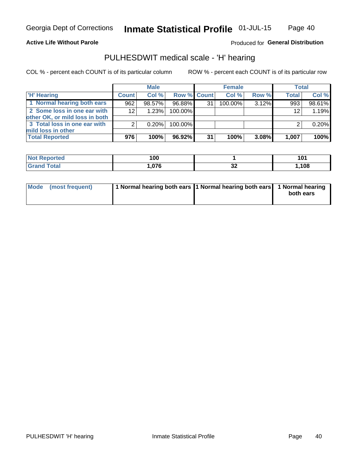### **Active Life Without Parole**

# Produced for General Distribution

# PULHESDWIT medical scale - 'H' hearing

COL % - percent each COUNT is of its particular column

|                                                               |                 | <b>Male</b> |             |    | <b>Female</b> |       | <b>Total</b> |        |
|---------------------------------------------------------------|-----------------|-------------|-------------|----|---------------|-------|--------------|--------|
| <b>H'</b> Hearing                                             | <b>Count</b>    | Col %       | Row % Count |    | Col%          | Row % | <b>Total</b> | Col %  |
| 1 Normal hearing both ears                                    | 962             | 98.57%      | 96.88%      | 31 | 100.00%       | 3.12% | 993          | 98.61% |
| 2 Some loss in one ear with<br>other OK, or mild loss in both | 12 <sub>1</sub> | 1.23%       | 100.00%     |    |               |       | 12           | 1.19%  |
| 3 Total loss in one ear with<br>mild loss in other            | 2               | 0.20%       | 100.00%     |    |               |       |              | 0.20%  |
| <b>Total Reported</b>                                         | 976             | 100%        | 96.92%      | 31 | 100%          | 3.08% | 1,007        | 100%   |

| Reported<br><b>Not</b> | 100    |          | 1 N 1<br>IVI. |
|------------------------|--------|----------|---------------|
| <b>otal</b>            | $\sim$ | ^'<br>◡▵ | ,108          |

| Mode (most frequent) | 1 Normal hearing both ears 1 Normal hearing both ears 1 Normal hearing | both ears |
|----------------------|------------------------------------------------------------------------|-----------|
|----------------------|------------------------------------------------------------------------|-----------|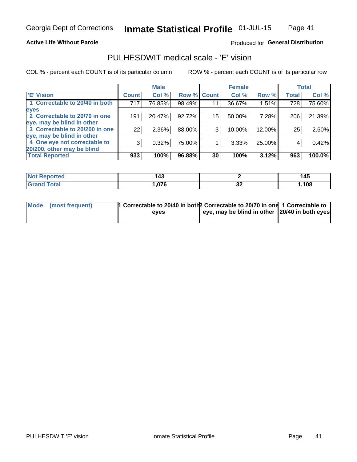### **Active Life Without Parole**

# Produced for General Distribution

# PULHESDWIT medical scale - 'E' vision

COL % - percent each COUNT is of its particular column

|                                |              | <b>Male</b> |        |             | <b>Female</b> |        |              | <b>Total</b> |
|--------------------------------|--------------|-------------|--------|-------------|---------------|--------|--------------|--------------|
| <b>E' Vision</b>               | <b>Count</b> | Col %       |        | Row % Count | Col %         | Row %  | <b>Total</b> | Col %        |
| 1 Correctable to 20/40 in both | 717          | 76.85%      | 98.49% | 11          | 36.67%        | 1.51%  | 728          | 75.60%       |
| eyes                           |              |             |        |             |               |        |              |              |
| 2 Correctable to 20/70 in one  | 191          | 20.47%      | 92.72% | 15          | 50.00%        | 7.28%  | 206          | 21.39%       |
| eye, may be blind in other     |              |             |        |             |               |        |              |              |
| 3 Correctable to 20/200 in one | 22           | 2.36%       | 88.00% | 3           | 10.00%        | 12.00% | 25           | 2.60%        |
| eye, may be blind in other     |              |             |        |             |               |        |              |              |
| 4 One eye not correctable to   | 3            | 0.32%       | 75.00% |             | 3.33%         | 25.00% | 4            | 0.42%        |
| 20/200, other may be blind     |              |             |        |             |               |        |              |              |
| <b>Total Reported</b>          | 933          | 100%        | 96.88% | 30          | 100%          | 3.12%  | 963          | $100.0\%$    |

| ortea<br>NO | $\overline{1}$<br>- - |          | 145  |
|-------------|-----------------------|----------|------|
| Total       | ,076                  | ^^<br>◡▵ | ,108 |

| Mode (most frequent) | 1 Correctable to 20/40 in both 2 Correctable to 20/70 in one 1 Correctable to<br>eves | eye, may be blind in other 20/40 in both eyes |  |
|----------------------|---------------------------------------------------------------------------------------|-----------------------------------------------|--|
|                      |                                                                                       |                                               |  |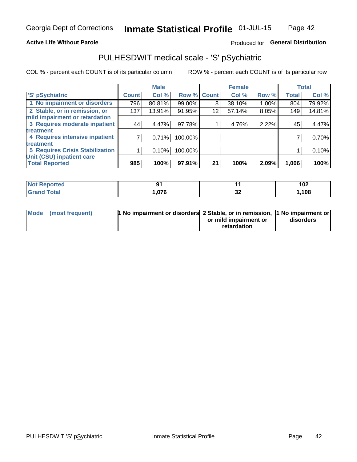### **Active Life Without Parole**

# Produced for General Distribution

# PULHESDWIT medical scale - 'S' pSychiatric

COL % - percent each COUNT is of its particular column

|                                        |              | <b>Male</b> |         |             | <b>Female</b> |       |              | <b>Total</b> |
|----------------------------------------|--------------|-------------|---------|-------------|---------------|-------|--------------|--------------|
| 'S' pSychiatric                        | <b>Count</b> | Col %       |         | Row % Count | Col %         | Row % | <b>Total</b> | Col %        |
| 1 No impairment or disorders           | 796          | 80.81%      | 99.00%  | 8           | 38.10%        | 1.00% | 804          | 79.92%       |
| 2 Stable, or in remission, or          | 137          | 13.91%      | 91.95%  | 12          | 57.14%        | 8.05% | 149          | 14.81%       |
| mild impairment or retardation         |              |             |         |             |               |       |              |              |
| 3 Requires moderate inpatient          | 44           | 4.47%       | 97.78%  |             | 4.76%         | 2.22% | 45           | 4.47%        |
| treatment                              |              |             |         |             |               |       |              |              |
| 4 Requires intensive inpatient         |              | 0.71%       | 100.00% |             |               |       |              | 0.70%        |
| treatment                              |              |             |         |             |               |       |              |              |
| <b>5 Requires Crisis Stabilization</b> |              | 0.10%       | 100.00% |             |               |       |              | 0.10%        |
| Unit (CSU) inpatient care              |              |             |         |             |               |       |              |              |
| <b>Total Reported</b>                  | 985          | 100%        | 97.91%  | 21          | 100%          | 2.09% | 1,006        | 100%         |

| <b>Not Reported</b> | n,   |          | 102  |
|---------------------|------|----------|------|
| <b>Grand Total</b>  | .076 | ^^<br>◡∠ | ,108 |

| Mode (most frequent) | <b>1 No impairment or disorders</b> 2 Stable, or in remission, 11 No impairment or |                       |           |
|----------------------|------------------------------------------------------------------------------------|-----------------------|-----------|
|                      |                                                                                    | or mild impairment or | disorders |
|                      |                                                                                    | retardation           |           |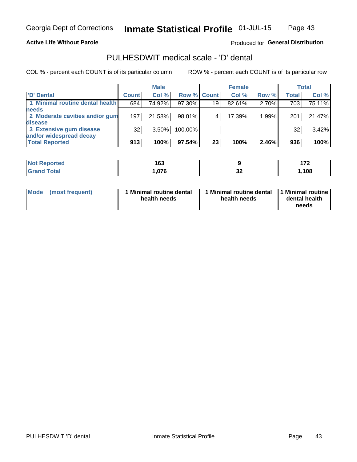### **Active Life Without Parole**

# Produced for General Distribution

# PULHESDWIT medical scale - 'D' dental

COL % - percent each COUNT is of its particular column

|                                 |              | <b>Male</b> |             |    | <b>Female</b> |       |              | <b>Total</b> |
|---------------------------------|--------------|-------------|-------------|----|---------------|-------|--------------|--------------|
| 'D' Dental                      | <b>Count</b> | Col %       | Row % Count |    | Col %         | Row % | <b>Total</b> | Col %        |
| 1 Minimal routine dental health | 684          | 74.92%      | 97.30%      | 19 | 82.61%        | 2.70% | 703          | 75.11%       |
| <b>needs</b>                    |              |             |             |    |               |       |              |              |
| 2 Moderate cavities and/or gum  | 197          | 21.58%      | 98.01%      |    | 17.39%        | 1.99% | 201          | 21.47%       |
| disease                         |              |             |             |    |               |       |              |              |
| 3 Extensive gum disease         | 32           | $3.50\%$    | 100.00%     |    |               |       | 32           | 3.42%        |
| and/or widespread decay         |              |             |             |    |               |       |              |              |
| <b>Total Reported</b>           | 913          | 100%        | 97.54%      | 23 | 100%          | 2.46% | 936          | 100%         |

| prtea<br><b>NOT</b><br> | 163       |          | .     |
|-------------------------|-----------|----------|-------|
| Гоtal                   | 07C<br>v. | n,<br>◡▵ | 108.، |

| <b>Mode</b>     | Minimal routine dental | 1 Minimal routine dental 1 Minimal routine | dental health |
|-----------------|------------------------|--------------------------------------------|---------------|
| (most frequent) | health needs           | health needs                               | needs         |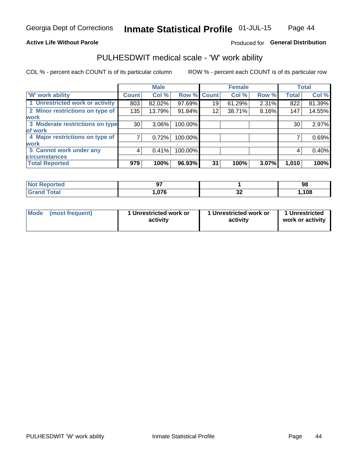### **Active Life Without Parole**

# Produced for General Distribution

# PULHESDWIT medical scale - 'W' work ability

COL % - percent each COUNT is of its particular column

|                                 |              | <b>Male</b> |         |             | <b>Female</b> |       |              | <b>Total</b> |
|---------------------------------|--------------|-------------|---------|-------------|---------------|-------|--------------|--------------|
| <b>W' work ability</b>          | <b>Count</b> | Col %       |         | Row % Count | Col %         | Row % | <b>Total</b> | Col %        |
| 1 Unrestricted work or activity | 803          | 82.02%      | 97.69%  | 19          | 61.29%        | 2.31% | 822          | 81.39%       |
| 2 Minor restrictions on type of | 135          | 13.79%      | 91.84%  | 12          | 38.71%        | 8.16% | 147          | 14.55%       |
| <b>work</b>                     |              |             |         |             |               |       |              |              |
| 3 Moderate restrictions on type | 30           | $3.06\%$    | 100.00% |             |               |       | 30           | 2.97%        |
| lof work                        |              |             |         |             |               |       |              |              |
| 4 Major restrictions on type of |              | 0.72%       | 100.00% |             |               |       |              | 0.69%        |
| <b>work</b>                     |              |             |         |             |               |       |              |              |
| 5 Cannot work under any         | 4            | 0.41%       | 100.00% |             |               |       | 4            | 0.40%        |
| <b>circumstances</b>            |              |             |         |             |               |       |              |              |
| <b>Total Reported</b>           | 979          | 100%        | 96.93%  | 31          | 100%          | 3.07% | 1,010        | 100%         |

| <b>Not Reported</b> | $\sim$ |          | 98   |
|---------------------|--------|----------|------|
| <b>Grand Total</b>  | 076,،  | ^^<br>◡▵ | ,108 |

| <b>Mode</b>     | 1 Unrestricted work or | 1 Unrestricted work or | 1 Unrestricted   |
|-----------------|------------------------|------------------------|------------------|
| (most frequent) | activity               | activity               | work or activity |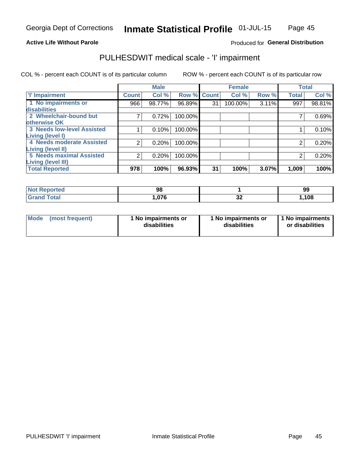### **Active Life Without Parole**

# Produced for General Distribution

# PULHESDWIT medical scale - 'I' impairment

COL % - percent each COUNT is of its particular column ROW % - percent each COUNT is of its particular row

|                                   |              | <b>Male</b> |             |    | <b>Female</b> |       |              | <b>Total</b> |
|-----------------------------------|--------------|-------------|-------------|----|---------------|-------|--------------|--------------|
| <b>T' Impairment</b>              | <b>Count</b> | Col %       | Row % Count |    | Col %         | Row % | <b>Total</b> | Col %        |
| 1 No impairments or               | 966          | 98.77%      | 96.89%      | 31 | 100.00%       | 3.11% | 997          | 98.81%       |
| disabilities                      |              |             |             |    |               |       |              |              |
| 2 Wheelchair-bound but            |              | 0.72%       | 100.00%     |    |               |       |              | 0.69%        |
| otherwise OK                      |              |             |             |    |               |       |              |              |
| <b>3 Needs low-level Assisted</b> |              | 0.10%       | 100.00%     |    |               |       |              | 0.10%        |
| Living (level I)                  |              |             |             |    |               |       |              |              |
| 4 Needs moderate Assisted         |              | 0.20%       | 100.00%     |    |               |       |              | 0.20%        |
| Living (level II)                 |              |             |             |    |               |       |              |              |
| <b>5 Needs maximal Assisted</b>   | 2            | 0.20%       | 100.00%     |    |               |       | 2            | 0.20%        |
| <b>Living (level III)</b>         |              |             |             |    |               |       |              |              |
| <b>Total Reported</b>             | 978          | 100%        | 96.93%      | 31 | 100%          | 3.07% | 1,009        | 100%         |

| meo         | 98  |     | 99   |
|-------------|-----|-----|------|
| $f$ oto $f$ | በ76 | IJΔ | ,108 |

| <b>Mode</b> | (most frequent) | <b>No impairments or</b><br>disabilities | 1 No impairments or<br>disabilities | 1 No impairments<br>or disabilities |
|-------------|-----------------|------------------------------------------|-------------------------------------|-------------------------------------|
|-------------|-----------------|------------------------------------------|-------------------------------------|-------------------------------------|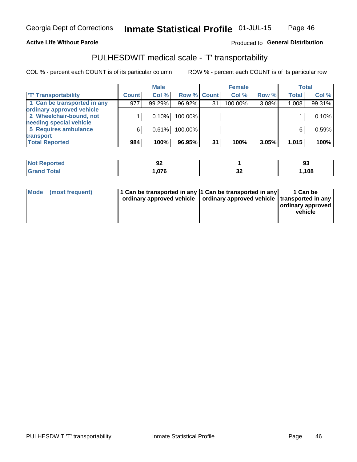### **Active Life Without Parole**

### Produced fo General Distribution

# PULHESDWIT medical scale - 'T' transportability

COL % - percent each COUNT is of its particular column

|                             |              | <b>Male</b> |             |    | <b>Female</b> |       |              | <b>Total</b> |
|-----------------------------|--------------|-------------|-------------|----|---------------|-------|--------------|--------------|
| <b>TT</b> Transportability  | <b>Count</b> | Col %       | Row % Count |    | Col %         | Row % | <b>Total</b> | Col %        |
| 1 Can be transported in any | 977          | 99.29%      | 96.92%      | 31 | 100.00%       | 3.08% | 1,008        | 99.31%       |
| ordinary approved vehicle   |              |             |             |    |               |       |              |              |
| 2 Wheelchair-bound, not     |              | 0.10%       | 100.00%     |    |               |       |              | 0.10%        |
| needing special vehicle     |              |             |             |    |               |       |              |              |
| 5 Requires ambulance        | ี            | 0.61%       | 100.00%     |    |               |       |              | 0.59%        |
| transport                   |              |             |             |    |               |       |              |              |
| <b>Total Reported</b>       | 984          | 100%        | 96.95%      | 31 | 100%          | 3.05% | 1,015        | 100%         |

| тео | JŁ     |    | . .<br><br>ັບ |
|-----|--------|----|---------------|
|     | $\sim$ | ◡▵ | ,108          |

| Mode | (most frequent) | 1 Can be transported in any 1 Can be transported in any | ordinary approved vehicle   ordinary approved vehicle   transported in any | 1 Can be<br>  ordinary approved<br>vehicle |
|------|-----------------|---------------------------------------------------------|----------------------------------------------------------------------------|--------------------------------------------|
|      |                 |                                                         |                                                                            |                                            |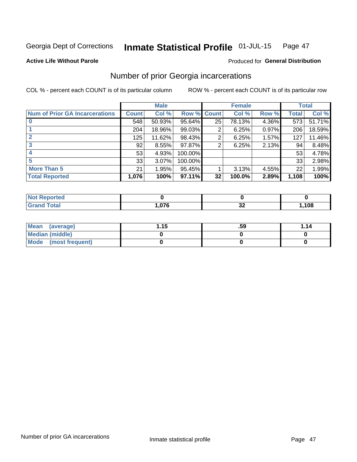#### Inmate Statistical Profile 01-JUL-15 Page 47

**Active Life Without Parole** 

### Produced for General Distribution

# Number of prior Georgia incarcerations

COL % - percent each COUNT is of its particular column

|                                       |       | <b>Male</b> |             |    | <b>Female</b> |       |       | <b>Total</b> |
|---------------------------------------|-------|-------------|-------------|----|---------------|-------|-------|--------------|
| <b>Num of Prior GA Incarcerations</b> | Count | Col %       | Row % Count |    | Col %         | Row % | Total | Col %        |
|                                       | 548   | 50.93%      | 95.64%      | 25 | 78.13%        | 4.36% | 573   | 51.71%       |
|                                       | 204   | 18.96%      | $99.03\%$   | 2  | 6.25%         | 0.97% | 206   | 18.59%       |
|                                       | 125   | 11.62%      | 98.43%      | 2  | 6.25%         | 1.57% | 127   | 11.46%       |
| 3                                     | 92    | 8.55%       | $97.87\%$   | 2  | 6.25%         | 2.13% | 94    | 8.48%        |
| 4                                     | 53    | 4.93%       | 100.00%     |    |               |       | 53    | 4.78%        |
| 5                                     | 33    | 3.07%       | 100.00%     |    |               |       | 33    | 2.98%        |
| <b>More Than 5</b>                    | 21    | 1.95%       | 95.45%      |    | 3.13%         | 4.55% | 22    | 1.99%        |
| <b>Total Reported</b>                 | 1,076 | 100%        | $97.11\%$   | 32 | 100.0%        | 2.89% | 1,108 | 100%         |

| orted<br>N                      |        |              |      |
|---------------------------------|--------|--------------|------|
| <b>otal</b><br>$\mathbf{v}$ and | $\sim$ | $\sim$<br>◡▵ | ,108 |

| Mean (average)       | 1.15 | .59 | 1.14 |
|----------------------|------|-----|------|
| Median (middle)      |      |     |      |
| Mode (most frequent) |      |     |      |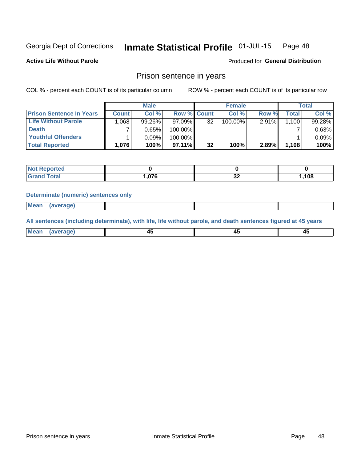#### Inmate Statistical Profile 01-JUL-15 Page 48

**Active Life Without Parole** 

Produced for General Distribution

# Prison sentence in years

COL % - percent each COUNT is of its particular column

ROW % - percent each COUNT is of its particular row

|                                 |              | <b>Male</b> |                    |                 | <b>Female</b> |          |                    | Total  |
|---------------------------------|--------------|-------------|--------------------|-----------------|---------------|----------|--------------------|--------|
| <b>Prison Sentence In Years</b> | <b>Count</b> | Col %       | <b>Row % Count</b> |                 | Col %         | Row %    | Total <sub>1</sub> | Col %  |
| <b>Life Without Parole</b>      | .068         | 99.26%      | $97.09\%$          | 32              | 100.00%       | $2.91\%$ | 1.100              | 99.28% |
| <b>Death</b>                    |              | 0.65%       | 100.00%            |                 |               |          |                    | 0.63%  |
| <b>Youthful Offenders</b>       |              | $0.09\%$    | 100.00%            |                 |               |          |                    | 0.09%  |
| <b>Total Reported</b>           | 1,076        | 100%        | 97.11%             | 32 <sub>2</sub> | 100%          | $2.89\%$ | 1.108              | 100%   |

| Not Reported |      |           |      |
|--------------|------|-----------|------|
| Total        | .076 | . .<br>◡▵ | .108 |

### **Determinate (numeric) sentences only**

**Mean** (average)

All sentences (including determinate), with life, life without parole, and death sentences figured at 45 years

| l Mea | --     | --     |  |
|-------|--------|--------|--|
| апе   | $\sim$ | $\sim$ |  |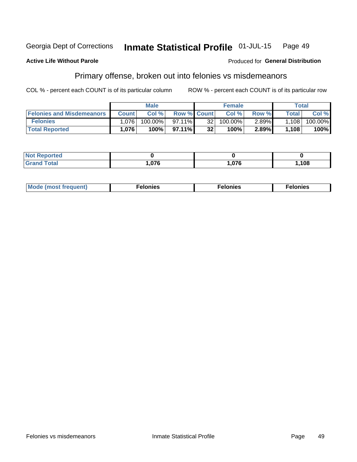#### Inmate Statistical Profile 01-JUL-15 Georgia Dept of Corrections Page 49

### **Active Life Without Parole**

### Produced for General Distribution

# Primary offense, broken out into felonies vs misdemeanors

COL % - percent each COUNT is of its particular column

|                                  |              | <b>Male</b> |                    |                 | <b>Female</b> |       |              | Total   |
|----------------------------------|--------------|-------------|--------------------|-----------------|---------------|-------|--------------|---------|
| <b>Felonies and Misdemeanors</b> | <b>Count</b> | Col%        | <b>Row % Count</b> |                 | Col%          | Row % | <b>Total</b> | Col %   |
| <b>Felonies</b>                  | .076         | $100.00\%$  | $97.11\%$          | 321             | 100.00%       | 2.89% | 1,108        | 100.00% |
| <b>Total Reported</b>            | .076         | 100%        | $97.11\%$          | 32 <sub>2</sub> | 100%          | 2.89% | 1,108        | 100%    |

| <b>Not Reported</b>       |                     |      |       |
|---------------------------|---------------------|------|-------|
| d Total<br><b>Grand 1</b> | <b>076</b><br>ט ויט | .076 | 108،، |

| $Mc$<br>equent)<br>нез<br>$\sim$<br>. | onies<br>. | <b>onies</b><br>. |
|---------------------------------------|------------|-------------------|
|---------------------------------------|------------|-------------------|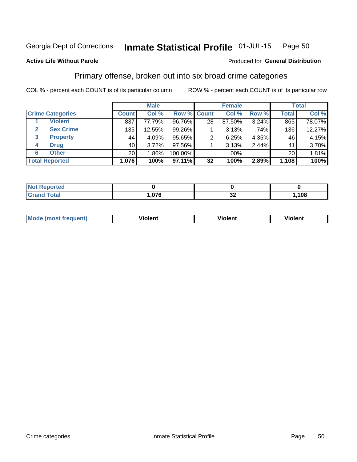#### Inmate Statistical Profile 01-JUL-15 Page 50

### **Active Life Without Parole**

### Produced for General Distribution

# Primary offense, broken out into six broad crime categories

COL % - percent each COUNT is of its particular column

|                         |                 | <b>Male</b> |           |                    | <b>Female</b> |       |                  | <b>Total</b> |
|-------------------------|-----------------|-------------|-----------|--------------------|---------------|-------|------------------|--------------|
| <b>Crime Categories</b> | <b>Count</b>    | Col %       |           | <b>Row % Count</b> | Col %         | Row % | <b>Total</b>     | Col %        |
| <b>Violent</b>          | 837             | 77.79%      | 96.76%    | 28                 | 87.50%        | 3.24% | 865              | 78.07%       |
| <b>Sex Crime</b>        | 135             | 12.55%      | 99.26%    |                    | 3.13%         | .74%  | 136 <sub>1</sub> | 12.27%       |
| 3<br><b>Property</b>    | 44              | 4.09%       | $95.65\%$ |                    | 6.25%         | 4.35% | 46               | 4.15%        |
| <b>Drug</b><br>4        | 40              | 3.72%       | $97.56\%$ |                    | 3.13%         | 2.44% | 41               | 3.70%        |
| <b>Other</b><br>6       | 20 <sub>1</sub> | $.86\%$     | 100.00%   |                    | .00%          |       | 20 <sub>1</sub>  | 1.81%        |
| <b>Total Reported</b>   | 1,076           | 100%        | $97.11\%$ | 32                 | 100%          | 2.89% | 1,108            | 100%         |

| <b>Not Reported</b> |      |          |      |
|---------------------|------|----------|------|
| <b>Grand Total</b>  | ,076 | ^^<br>◡▵ | ,108 |

| М | ,,, | - -- -<br>וחו | m |
|---|-----|---------------|---|
|   |     |               |   |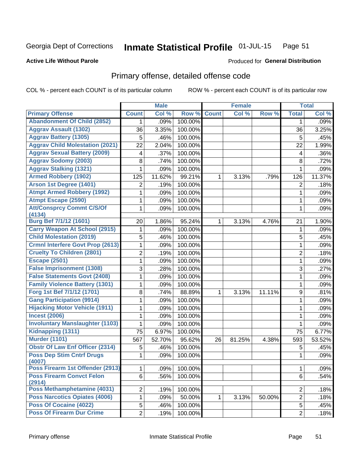#### Inmate Statistical Profile 01-JUL-15 Page 51

### **Active Life Without Parole**

### **Produced for General Distribution**

# Primary offense, detailed offense code

COL % - percent each COUNT is of its particular column

|                                            |                | <b>Male</b> |         | <b>Female</b> |        |        |                         | <b>Total</b> |
|--------------------------------------------|----------------|-------------|---------|---------------|--------|--------|-------------------------|--------------|
| <b>Primary Offense</b>                     | <b>Count</b>   | Col %       | Row %   | <b>Count</b>  | Col %  | Row %  | <b>Total</b>            | Col %        |
| <b>Abandonment Of Child (2852)</b>         | 1              | .09%        | 100.00% |               |        |        | 1                       | .09%         |
| <b>Aggrav Assault (1302)</b>               | 36             | 3.35%       | 100.00% |               |        |        | 36                      | 3.25%        |
| <b>Aggrav Battery (1305)</b>               | 5              | .46%        | 100.00% |               |        |        | 5                       | .45%         |
| <b>Aggrav Child Molestation (2021)</b>     | 22             | 2.04%       | 100.00% |               |        |        | 22                      | 1.99%        |
| <b>Aggrav Sexual Battery (2009)</b>        | 4              | .37%        | 100.00% |               |        |        | $\overline{\mathbf{4}}$ | .36%         |
| <b>Aggrav Sodomy (2003)</b>                | 8              | .74%        | 100.00% |               |        |        | 8                       | .72%         |
| <b>Aggrav Stalking (1321)</b>              | 1              | .09%        | 100.00% |               |        |        | $\mathbf{1}$            | .09%         |
| <b>Armed Robbery (1902)</b>                | 125            | 11.62%      | 99.21%  | 1             | 3.13%  | .79%   | 126                     | 11.37%       |
| Arson 1st Degree (1401)                    | 2              | .19%        | 100.00% |               |        |        | 2                       | .18%         |
| <b>Atmpt Armed Robbery (1992)</b>          | 1              | .09%        | 100.00% |               |        |        | $\mathbf{1}$            | .09%         |
| <b>Atmpt Escape (2590)</b>                 | 1              | .09%        | 100.00% |               |        |        | 1                       | .09%         |
| <b>Att/Consprcy Commt C/S/Of</b>           | 1              | .09%        | 100.00% |               |        |        | 1                       | .09%         |
| (4134)                                     |                |             |         |               |        |        |                         |              |
| <b>Burg Bef 7/1/12 (1601)</b>              | 20             | 1.86%       | 95.24%  | 1             | 3.13%  | 4.76%  | 21                      | 1.90%        |
| <b>Carry Weapon At School (2915)</b>       | 1              | .09%        | 100.00% |               |        |        | 1                       | .09%         |
| <b>Child Molestation (2019)</b>            | 5              | .46%        | 100.00% |               |        |        | 5                       | .45%         |
| <b>Crmnl Interfere Govt Prop (2613)</b>    | $\mathbf 1$    | .09%        | 100.00% |               |        |        | $\mathbf{1}$            | .09%         |
| <b>Cruelty To Children (2801)</b>          | 2              | .19%        | 100.00% |               |        |        | $\overline{2}$          | .18%         |
| <b>Escape (2501)</b>                       | 1              | .09%        | 100.00% |               |        |        | 1                       | .09%         |
| <b>False Imprisonment (1308)</b>           | 3              | .28%        | 100.00% |               |        |        | 3                       | .27%         |
| <b>False Statements Govt (2408)</b>        | 1              | .09%        | 100.00% |               |        |        | 1                       | .09%         |
| <b>Family Violence Battery (1301)</b>      | 1              | .09%        | 100.00% |               |        |        | 1                       | .09%         |
| Forg 1st Bef 7/1/12 (1701)                 | 8              | .74%        | 88.89%  | 1             | 3.13%  | 11.11% | 9                       | .81%         |
| <b>Gang Participation (9914)</b>           | 1              | .09%        | 100.00% |               |        |        | 1                       | .09%         |
| <b>Hijacking Motor Vehicle (1911)</b>      | 1              | .09%        | 100.00% |               |        |        | $\mathbf{1}$            | .09%         |
| <b>Incest (2006)</b>                       | 1              | .09%        | 100.00% |               |        |        | 1                       | .09%         |
| <b>Involuntary Manslaughter (1103)</b>     | 1              | .09%        | 100.00% |               |        |        | 1                       | .09%         |
| Kidnapping (1311)                          | 75             | 6.97%       | 100.00% |               |        |        | 75                      | 6.77%        |
| <b>Murder (1101)</b>                       | 567            | 52.70%      | 95.62%  | 26            | 81.25% | 4.38%  | 593                     | 53.52%       |
| <b>Obstr Of Law Enf Officer (2314)</b>     | 5              | .46%        | 100.00% |               |        |        | 5                       | .45%         |
| <b>Poss Dep Stim Cntrf Drugs</b><br>(4007) | 1              | .09%        | 100.00% |               |        |        | 1                       | .09%         |
| Poss Firearm 1st Offender (2913)           | $\mathbf{1}$   | .09%        | 100.00% |               |        |        | 1                       | .09%         |
| <b>Poss Firearm Convct Felon</b><br>(2914) | 6              | .56%        | 100.00% |               |        |        | 6                       | .54%         |
| Poss Methamphetamine (4031)                | $\overline{2}$ | .19%        | 100.00% |               |        |        | $\overline{2}$          | .18%         |
| <b>Poss Narcotics Opiates (4006)</b>       | $\mathbf 1$    | .09%        | 50.00%  | 1             | 3.13%  | 50.00% | $\overline{2}$          | .18%         |
| Poss Of Cocaine (4022)                     | 5              | .46%        | 100.00% |               |        |        | 5                       | .45%         |
| <b>Poss Of Firearm Dur Crime</b>           | $\overline{2}$ | .19%        | 100.00% |               |        |        | $\overline{2}$          | .18%         |
|                                            |                |             |         |               |        |        |                         |              |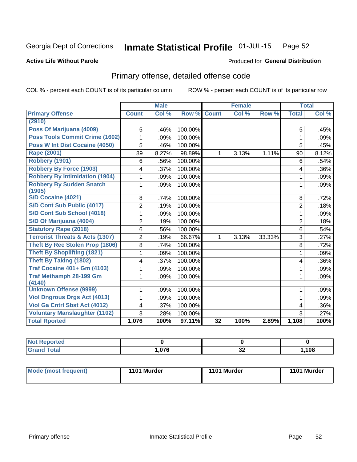#### Inmate Statistical Profile 01-JUL-15 Page 52

### **Active Life Without Parole**

## **Produced for General Distribution**

# Primary offense, detailed offense code

COL % - percent each COUNT is of its particular column

|                                            |                | <b>Male</b> |         | <b>Female</b>   |       |        | <b>Total</b>    |       |
|--------------------------------------------|----------------|-------------|---------|-----------------|-------|--------|-----------------|-------|
| <b>Primary Offense</b>                     | <b>Count</b>   | Col %       | Row %   | <b>Count</b>    | Col % | Row %  | <b>Total</b>    | Col % |
| (2910)                                     |                |             |         |                 |       |        |                 |       |
| Poss Of Marijuana (4009)                   | 5              | .46%        | 100.00% |                 |       |        | 5               | .45%  |
| Poss Tools Commit Crime (1602)             | 1              | .09%        | 100.00% |                 |       |        | 1               | .09%  |
| Poss W Int Dist Cocaine (4050)             | 5              | .46%        | 100.00% |                 |       |        | 5               | .45%  |
| <b>Rape (2001)</b>                         | 89             | 8.27%       | 98.89%  | 1               | 3.13% | 1.11%  | 90              | 8.12% |
| Robbery (1901)                             | 6              | .56%        | 100.00% |                 |       |        | $6\phantom{1}6$ | .54%  |
| <b>Robbery By Force (1903)</b>             | 4              | .37%        | 100.00% |                 |       |        | 4               | .36%  |
| <b>Robbery By Intimidation (1904)</b>      | 1              | .09%        | 100.00% |                 |       |        | 1               | .09%  |
| <b>Robbery By Sudden Snatch</b>            | 1              | .09%        | 100.00% |                 |       |        | 1               | .09%  |
| (1905)                                     |                |             |         |                 |       |        |                 |       |
| <b>S/D Cocaine (4021)</b>                  | 8              | .74%        | 100.00% |                 |       |        | 8               | .72%  |
| S/D Cont Sub Public (4017)                 | $\overline{2}$ | .19%        | 100.00% |                 |       |        | $\overline{2}$  | .18%  |
| S/D Cont Sub School (4018)                 | 1              | .09%        | 100.00% |                 |       |        | 1               | .09%  |
| S/D Of Marijuana (4004)                    | 2              | .19%        | 100.00% |                 |       |        | $\overline{2}$  | .18%  |
| <b>Statutory Rape (2018)</b>               | $6\phantom{1}$ | .56%        | 100.00% |                 |       |        | 6               | .54%  |
| <b>Terrorist Threats &amp; Acts (1307)</b> | $\overline{2}$ | .19%        | 66.67%  | 1               | 3.13% | 33.33% | 3               | .27%  |
| <b>Theft By Rec Stolen Prop (1806)</b>     | 8              | .74%        | 100.00% |                 |       |        | 8               | .72%  |
| <b>Theft By Shoplifting (1821)</b>         | 1              | .09%        | 100.00% |                 |       |        | 1               | .09%  |
| Theft By Taking (1802)                     | 4              | .37%        | 100.00% |                 |       |        | 4               | .36%  |
| <b>Traf Cocaine 401+ Gm (4103)</b>         | 1              | .09%        | 100.00% |                 |       |        | 1               | .09%  |
| <b>Traf Methamph 28-199 Gm</b><br>(4140)   | 1              | .09%        | 100.00% |                 |       |        | 1               | .09%  |
| <b>Unknown Offense (9999)</b>              | 1              | .09%        | 100.00% |                 |       |        | 1               | .09%  |
| <b>Viol Dngrous Drgs Act (4013)</b>        | 1              | .09%        | 100.00% |                 |       |        | 1               | .09%  |
| Viol Ga Cntrl Sbst Act (4012)              | 4              | .37%        | 100.00% |                 |       |        | 4               | .36%  |
| <b>Voluntary Manslaughter (1102)</b>       | 3              | .28%        | 100.00% |                 |       |        | 3               | .27%  |
| <b>Total Rported</b>                       | 1,076          | 100%        | 97.11%  | $\overline{32}$ | 100%  | 2.89%  | 1,108           | 100%  |

| portea<br>N     |     |         |      |
|-----------------|-----|---------|------|
| $\sim$<br>_____ | ^7^ | ົ<br>◡▵ | ,108 |

| Mode (most frequent) | 1101 Murder | 1101 Murder | 1101 Murder |
|----------------------|-------------|-------------|-------------|
|                      |             |             |             |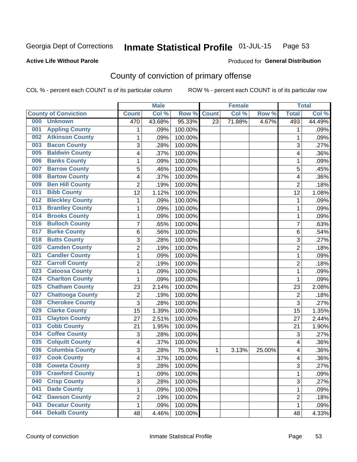#### Inmate Statistical Profile 01-JUL-15 Page 53

### **Active Life Without Parole**

### Produced for General Distribution

# County of conviction of primary offense

COL % - percent each COUNT is of its particular column

|                                |                | <b>Male</b> |         |                 | <b>Female</b> |        |                           | <b>Total</b> |
|--------------------------------|----------------|-------------|---------|-----------------|---------------|--------|---------------------------|--------------|
| <b>County of Conviction</b>    | <b>Count</b>   | Col %       | Row %   | <b>Count</b>    | Col %         | Row %  | <b>Total</b>              | Col %        |
| 000<br><b>Unknown</b>          | 470            | 43.68%      | 95.33%  | $\overline{23}$ | 71.88%        | 4.67%  | 493                       | 44.49%       |
| <b>Appling County</b><br>001   | 1              | .09%        | 100.00% |                 |               |        | 1                         | .09%         |
| <b>Atkinson County</b><br>002  | $\mathbf{1}$   | .09%        | 100.00% |                 |               |        | 1                         | .09%         |
| <b>Bacon County</b><br>003     | 3              | .28%        | 100.00% |                 |               |        | 3                         | .27%         |
| <b>Baldwin County</b><br>005   | 4              | .37%        | 100.00% |                 |               |        | 4                         | .36%         |
| <b>Banks County</b><br>006     | 1              | .09%        | 100.00% |                 |               |        | $\mathbf 1$               | .09%         |
| <b>Barrow County</b><br>007    | 5              | .46%        | 100.00% |                 |               |        | 5                         | .45%         |
| <b>Bartow County</b><br>008    | 4              | .37%        | 100.00% |                 |               |        | 4                         | .36%         |
| <b>Ben Hill County</b><br>009  | $\overline{2}$ | .19%        | 100.00% |                 |               |        | $\overline{2}$            | .18%         |
| <b>Bibb County</b><br>011      | 12             | 1.12%       | 100.00% |                 |               |        | 12                        | 1.08%        |
| <b>Bleckley County</b><br>012  | 1              | .09%        | 100.00% |                 |               |        | 1                         | .09%         |
| <b>Brantley County</b><br>013  | $\mathbf{1}$   | .09%        | 100.00% |                 |               |        | $\mathbf 1$               | .09%         |
| <b>Brooks County</b><br>014    | $\mathbf{1}$   | .09%        | 100.00% |                 |               |        | $\mathbf 1$               | .09%         |
| <b>Bulloch County</b><br>016   | 7              | .65%        | 100.00% |                 |               |        | 7                         | .63%         |
| <b>Burke County</b><br>017     | 6              | .56%        | 100.00% |                 |               |        | 6                         | .54%         |
| <b>Butts County</b><br>018     | 3              | .28%        | 100.00% |                 |               |        | 3                         | .27%         |
| <b>Camden County</b><br>020    | $\overline{2}$ | .19%        | 100.00% |                 |               |        | $\overline{2}$            | .18%         |
| <b>Candler County</b><br>021   | 1              | .09%        | 100.00% |                 |               |        | 1                         | .09%         |
| <b>Carroll County</b><br>022   | $\overline{2}$ | .19%        | 100.00% |                 |               |        | $\overline{2}$            | .18%         |
| <b>Catoosa County</b><br>023   | 1              | .09%        | 100.00% |                 |               |        | 1                         | .09%         |
| <b>Charlton County</b><br>024  | $\mathbf{1}$   | .09%        | 100.00% |                 |               |        | 1                         | .09%         |
| <b>Chatham County</b><br>025   | 23             | 2.14%       | 100.00% |                 |               |        | 23                        | 2.08%        |
| <b>Chattooga County</b><br>027 | $\overline{c}$ | .19%        | 100.00% |                 |               |        | $\overline{2}$            | .18%         |
| <b>Cherokee County</b><br>028  | $\overline{3}$ | .28%        | 100.00% |                 |               |        | 3                         | .27%         |
| <b>Clarke County</b><br>029    | 15             | 1.39%       | 100.00% |                 |               |        | 15                        | 1.35%        |
| <b>Clayton County</b><br>031   | 27             | 2.51%       | 100.00% |                 |               |        | 27                        | 2.44%        |
| <b>Cobb County</b><br>033      | 21             | 1.95%       | 100.00% |                 |               |        | 21                        | 1.90%        |
| <b>Coffee County</b><br>034    | $\mathbf{3}$   | .28%        | 100.00% |                 |               |        | $\ensuremath{\mathsf{3}}$ | .27%         |
| <b>Colquitt County</b><br>035  | 4              | .37%        | 100.00% |                 |               |        | 4                         | .36%         |
| <b>Columbia County</b><br>036  | 3              | .28%        | 75.00%  | 1               | 3.13%         | 25.00% | 4                         | .36%         |
| <b>Cook County</b><br>037      | 4              | .37%        | 100.00% |                 |               |        | 4                         | .36%         |
| 038<br><b>Coweta County</b>    | 3              | .28%        | 100.00% |                 |               |        | 3                         | .27%         |
| <b>Crawford County</b><br>039  | 1              | .09%        | 100.00% |                 |               |        | $\mathbf{1}$              | .09%         |
| <b>Crisp County</b><br>040     | 3              | .28%        | 100.00% |                 |               |        | 3                         | .27%         |
| <b>Dade County</b><br>041      | 1              | .09%        | 100.00% |                 |               |        | $\mathbf{1}$              | .09%         |
| <b>Dawson County</b><br>042    | $\overline{c}$ | .19%        | 100.00% |                 |               |        | $\overline{c}$            | .18%         |
| <b>Decatur County</b><br>043   | $\mathbf{1}$   | .09%        | 100.00% |                 |               |        | 1                         | .09%         |
| <b>Dekalb County</b><br>044    | 48             | 4.46%       | 100.00% |                 |               |        | 48                        | 4.33%        |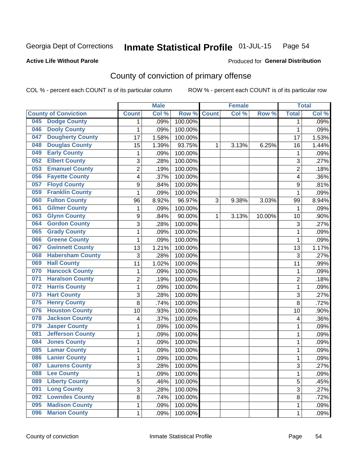#### Inmate Statistical Profile 01-JUL-15 Page 54

**Active Life Without Parole** 

**Produced for General Distribution** 

# County of conviction of primary offense

COL % - percent each COUNT is of its particular column

|                                |                | <b>Male</b> |         |              | <b>Female</b> |        |                | <b>Total</b> |
|--------------------------------|----------------|-------------|---------|--------------|---------------|--------|----------------|--------------|
| <b>County of Conviction</b>    | <b>Count</b>   | Col %       | Row %   | <b>Count</b> | Col %         | Row %  | <b>Total</b>   | Col %        |
| <b>Dodge County</b><br>045     | 1              | .09%        | 100.00% |              |               |        | 1              | .09%         |
| <b>Dooly County</b><br>046     | 1              | .09%        | 100.00% |              |               |        | $\mathbf{1}$   | .09%         |
| <b>Dougherty County</b><br>047 | 17             | 1.58%       | 100.00% |              |               |        | 17             | 1.53%        |
| <b>Douglas County</b><br>048   | 15             | 1.39%       | 93.75%  | 1            | 3.13%         | 6.25%  | 16             | 1.44%        |
| <b>Early County</b><br>049     | $\mathbf{1}$   | .09%        | 100.00% |              |               |        | $\mathbf{1}$   | .09%         |
| <b>Elbert County</b><br>052    | 3              | .28%        | 100.00% |              |               |        | 3              | .27%         |
| <b>Emanuel County</b><br>053   | $\overline{2}$ | .19%        | 100.00% |              |               |        | $\overline{2}$ | .18%         |
| <b>Fayette County</b><br>056   | 4              | .37%        | 100.00% |              |               |        | 4              | .36%         |
| <b>Floyd County</b><br>057     | 9              | .84%        | 100.00% |              |               |        | 9              | .81%         |
| <b>Franklin County</b><br>059  | 1              | .09%        | 100.00% |              |               |        | $\mathbf{1}$   | .09%         |
| <b>Fulton County</b><br>060    | 96             | 8.92%       | 96.97%  | 3            | 9.38%         | 3.03%  | 99             | 8.94%        |
| <b>Gilmer County</b><br>061    | 1              | .09%        | 100.00% |              |               |        | 1              | .09%         |
| <b>Glynn County</b><br>063     | 9              | .84%        | 90.00%  | 1            | 3.13%         | 10.00% | 10             | .90%         |
| <b>Gordon County</b><br>064    | 3              | .28%        | 100.00% |              |               |        | 3              | .27%         |
| <b>Grady County</b><br>065     | 1              | .09%        | 100.00% |              |               |        | $\mathbf{1}$   | .09%         |
| <b>Greene County</b><br>066    | 1              | .09%        | 100.00% |              |               |        | $\mathbf{1}$   | .09%         |
| <b>Gwinnett County</b><br>067  | 13             | 1.21%       | 100.00% |              |               |        | 13             | 1.17%        |
| <b>Habersham County</b><br>068 | 3              | .28%        | 100.00% |              |               |        | 3              | .27%         |
| <b>Hall County</b><br>069      | 11             | 1.02%       | 100.00% |              |               |        | 11             | .99%         |
| <b>Hancock County</b><br>070   | 1              | .09%        | 100.00% |              |               |        | 1              | .09%         |
| <b>Haralson County</b><br>071  | $\overline{2}$ | .19%        | 100.00% |              |               |        | $\overline{2}$ | .18%         |
| <b>Harris County</b><br>072    | 1              | .09%        | 100.00% |              |               |        | $\mathbf{1}$   | .09%         |
| <b>Hart County</b><br>073      | 3              | .28%        | 100.00% |              |               |        | 3              | .27%         |
| <b>Henry County</b><br>075     | $\overline{8}$ | .74%        | 100.00% |              |               |        | 8              | .72%         |
| <b>Houston County</b><br>076   | 10             | .93%        | 100.00% |              |               |        | 10             | .90%         |
| <b>Jackson County</b><br>078   | 4              | .37%        | 100.00% |              |               |        | 4              | .36%         |
| <b>Jasper County</b><br>079    | 1              | .09%        | 100.00% |              |               |        | 1              | .09%         |
| <b>Jefferson County</b><br>081 | 1              | .09%        | 100.00% |              |               |        | 1              | .09%         |
| <b>Jones County</b><br>084     | 1              | .09%        | 100.00% |              |               |        | $\mathbf{1}$   | .09%         |
| <b>Lamar County</b><br>085     | 1              | .09%        | 100.00% |              |               |        | 1              | .09%         |
| <b>Lanier County</b><br>086    | 1              | .09%        | 100.00% |              |               |        | 1              | .09%         |
| 087<br><b>Laurens County</b>   | 3              | .28%        | 100.00% |              |               |        | 3              | .27%         |
| <b>Lee County</b><br>088       | 1              | .09%        | 100.00% |              |               |        | $\mathbf{1}$   | .09%         |
| <b>Liberty County</b><br>089   | 5              | .46%        | 100.00% |              |               |        | 5              | .45%         |
| <b>Long County</b><br>091      | $\overline{3}$ | .28%        | 100.00% |              |               |        | $\overline{3}$ | .27%         |
| <b>Lowndes County</b><br>092   | 8              | .74%        | 100.00% |              |               |        | 8              | .72%         |
| <b>Madison County</b><br>095   | 1              | .09%        | 100.00% |              |               |        | $\mathbf{1}$   | .09%         |
| <b>Marion County</b><br>096    | 1              | .09%        | 100.00% |              |               |        | $\mathbf 1$    | .09%         |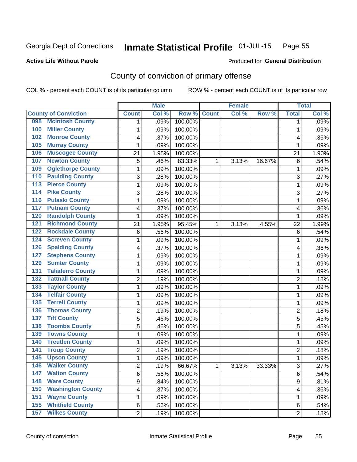#### Inmate Statistical Profile 01-JUL-15 Page 55

**Active Life Without Parole** 

Produced for General Distribution

# County of conviction of primary offense

COL % - percent each COUNT is of its particular column

|                                        |                | <b>Male</b> |         |              | <b>Female</b> |        | <b>Total</b>            |         |
|----------------------------------------|----------------|-------------|---------|--------------|---------------|--------|-------------------------|---------|
| <b>County of Conviction</b>            | <b>Count</b>   | Col %       | Row %   | <b>Count</b> | Col %         | Row %  | <b>Total</b>            | Col %   |
| <b>Mcintosh County</b><br>098          | 1              | .09%        | 100.00% |              |               |        | 1                       | .09%    |
| <b>Miller County</b><br>100            | 1              | .09%        | 100.00% |              |               |        | 1                       | .09%    |
| <b>Monroe County</b><br>102            | 4              | .37%        | 100.00% |              |               |        | 4                       | .36%    |
| <b>Murray County</b><br>105            | 1              | .09%        | 100.00% |              |               |        | 1                       | .09%    |
| <b>Muscogee County</b><br>106          | 21             | 1.95%       | 100.00% |              |               |        | 21                      | 1.90%   |
| <b>Newton County</b><br>107            | 5              | .46%        | 83.33%  | 1            | 3.13%         | 16.67% | 6                       | .54%    |
| <b>Oglethorpe County</b><br>109        | 1              | .09%        | 100.00% |              |               |        | $\mathbf 1$             | .09%    |
| <b>Paulding County</b><br>110          | 3              | .28%        | 100.00% |              |               |        | 3                       | .27%    |
| <b>Pierce County</b><br>113            | 1              | .09%        | 100.00% |              |               |        | $\mathbf 1$             | .09%    |
| <b>Pike County</b><br>$\overline{114}$ | 3              | .28%        | 100.00% |              |               |        | 3                       | .27%    |
| <b>Pulaski County</b><br>116           | 1              | .09%        | 100.00% |              |               |        | 1                       | .09%    |
| <b>Putnam County</b><br>117            | 4              | .37%        | 100.00% |              |               |        | 4                       | .36%    |
| <b>Randolph County</b><br>120          | 1              | .09%        | 100.00% |              |               |        | $\mathbf 1$             | .09%    |
| <b>Richmond County</b><br>121          | 21             | 1.95%       | 95.45%  | $\mathbf{1}$ | 3.13%         | 4.55%  | 22                      | 1.99%   |
| <b>Rockdale County</b><br>122          | $\,6\,$        | .56%        | 100.00% |              |               |        | 6                       | .54%    |
| <b>Screven County</b><br>124           | 1              | .09%        | 100.00% |              |               |        | 1                       | .09%    |
| <b>Spalding County</b><br>126          | 4              | .37%        | 100.00% |              |               |        | 4                       | .36%    |
| <b>Stephens County</b><br>127          | 1              | .09%        | 100.00% |              |               |        | 1                       | .09%    |
| <b>Sumter County</b><br>129            | 1              | .09%        | 100.00% |              |               |        | 1                       | .09%    |
| <b>Taliaferro County</b><br>131        | 1              | .09%        | 100.00% |              |               |        | 1                       | .09%    |
| <b>Tattnall County</b><br>132          | $\overline{2}$ | .19%        | 100.00% |              |               |        | $\overline{2}$          | .18%    |
| <b>Taylor County</b><br>133            | 1              | .09%        | 100.00% |              |               |        | 1                       | .09%    |
| <b>Telfair County</b><br>134           | 1              | .09%        | 100.00% |              |               |        | 1                       | .09%    |
| <b>Terrell County</b><br>135           | 1              | .09%        | 100.00% |              |               |        | 1                       | .09%    |
| <b>Thomas County</b><br>136            | $\overline{2}$ | .19%        | 100.00% |              |               |        | $\overline{2}$          | .18%    |
| <b>Tift County</b><br>137              | 5              | .46%        | 100.00% |              |               |        | 5                       | .45%    |
| <b>Toombs County</b><br>138            | 5              | .46%        | 100.00% |              |               |        | 5                       | .45%    |
| <b>Towns County</b><br>139             | 1              | .09%        | 100.00% |              |               |        | 1                       | .09%    |
| <b>Treutlen County</b><br>140          | 1              | .09%        | 100.00% |              |               |        | $\mathbf 1$             | .09%    |
| <b>Troup County</b><br>141             | $\overline{2}$ | .19%        | 100.00% |              |               |        | $\overline{2}$          | .18%    |
| <b>Upson County</b><br>145             | 1              | .09%        | 100.00% |              |               |        | $\mathbf 1$             | .09%    |
| <b>Walker County</b><br>146            | 2              | .19%        | 66.67%  | 1            | 3.13%         | 33.33% | 3                       | $.27\%$ |
| <b>Walton County</b><br>147            | 6              | .56%        | 100.00% |              |               |        | 6                       | .54%    |
| <b>Ware County</b><br>$\overline{148}$ | 9              | .84%        | 100.00% |              |               |        | 9                       | .81%    |
| <b>Washington County</b><br>150        | 4              | .37%        | 100.00% |              |               |        | $\overline{\mathbf{4}}$ | .36%    |
| <b>Wayne County</b><br>151             | 1              | .09%        | 100.00% |              |               |        | 1                       | .09%    |
| <b>Whitfield County</b><br>155         | 6              | .56%        | 100.00% |              |               |        | 6                       | .54%    |
| <b>Wilkes County</b><br>157            | $\overline{2}$ | .19%        | 100.00% |              |               |        | $\overline{2}$          | .18%    |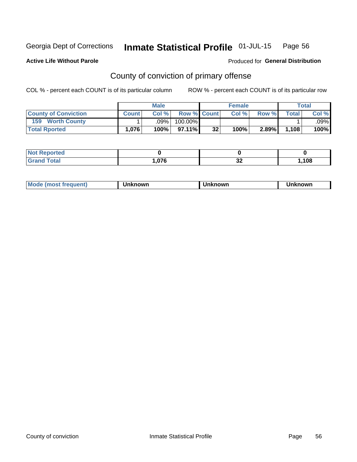#### Inmate Statistical Profile 01-JUL-15 Page 56

Produced for General Distribution

# **Active Life Without Parole**

# County of conviction of primary offense

COL % - percent each COUNT is of its particular column

|                             | <b>Male</b>  |      | <b>Female</b>      |    |      | Total |       |                        |
|-----------------------------|--------------|------|--------------------|----|------|-------|-------|------------------------|
| <b>County of Conviction</b> | <b>Count</b> | Col% | <b>Row % Count</b> |    | Col% | Row % | Total | Col %                  |
| <b>Worth County</b><br>159  |              | .09% | 100.00%            |    |      |       |       | $.09\%$ $\blacksquare$ |
| <b>Total Rported</b>        | 1,076        | 100% | $97.11\%$          | 32 | 100% | 2.89% | 1,108 | 100%                   |

| _____ | $\sim$ | . .<br>IJΔ | 108 |
|-------|--------|------------|-----|

|  | <b>Mode</b><br>1111187 | . .<br>nown | Jnknown | nown<br>______ |
|--|------------------------|-------------|---------|----------------|
|--|------------------------|-------------|---------|----------------|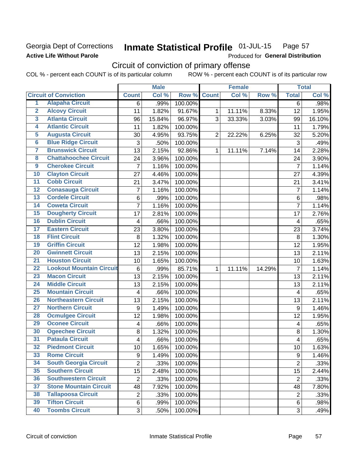# **Georgia Dept of Corrections Active Life Without Parole**

### Inmate Statistical Profile 01-JUL-15 Page 57

Produced for General Distribution

# Circuit of conviction of primary offense

COL % - percent each COUNT is of its particular column ROW % - percent each COUNT is of its particular row

|                         |                                 |                         | <b>Male</b> |         |                | <b>Female</b> |        | <b>Total</b>   |        |
|-------------------------|---------------------------------|-------------------------|-------------|---------|----------------|---------------|--------|----------------|--------|
|                         | <b>Circuit of Conviction</b>    | <b>Count</b>            | Col %       | Row %   | <b>Count</b>   | Col%          | Row %  | <b>Total</b>   | Col %  |
| 1                       | <b>Alapaha Circuit</b>          | 6                       | .99%        | 100.00% |                |               |        | 6              | .98%   |
| $\overline{2}$          | <b>Alcovy Circuit</b>           | 11                      | 1.82%       | 91.67%  | $\mathbf{1}$   | 11.11%        | 8.33%  | 12             | 1.95%  |
| $\overline{\mathbf{3}}$ | <b>Atlanta Circuit</b>          | 96                      | 15.84%      | 96.97%  | 3              | 33.33%        | 3.03%  | 99             | 16.10% |
| 4                       | <b>Atlantic Circuit</b>         | 11                      | 1.82%       | 100.00% |                |               |        | 11             | 1.79%  |
| 5                       | <b>Augusta Circuit</b>          | 30                      | 4.95%       | 93.75%  | $\overline{2}$ | 22.22%        | 6.25%  | 32             | 5.20%  |
| $6\phantom{a}$          | <b>Blue Ridge Circuit</b>       | 3                       | .50%        | 100.00% |                |               |        | 3              | .49%   |
| $\overline{\mathbf{7}}$ | <b>Brunswick Circuit</b>        | 13                      | 2.15%       | 92.86%  | $\mathbf 1$    | 11.11%        | 7.14%  | 14             | 2.28%  |
| 8                       | <b>Chattahoochee Circuit</b>    | 24                      | 3.96%       | 100.00% |                |               |        | 24             | 3.90%  |
| $\overline{9}$          | <b>Cherokee Circuit</b>         | $\overline{7}$          | 1.16%       | 100.00% |                |               |        | $\overline{7}$ | 1.14%  |
| 10                      | <b>Clayton Circuit</b>          | 27                      | 4.46%       | 100.00% |                |               |        | 27             | 4.39%  |
| $\overline{11}$         | <b>Cobb Circuit</b>             | 21                      | 3.47%       | 100.00% |                |               |        | 21             | 3.41%  |
| $\overline{12}$         | <b>Conasauga Circuit</b>        | 7                       | 1.16%       | 100.00% |                |               |        | $\overline{7}$ | 1.14%  |
| 13                      | <b>Cordele Circuit</b>          | 6                       | .99%        | 100.00% |                |               |        | 6              | .98%   |
| 14                      | <b>Coweta Circuit</b>           | $\overline{7}$          | 1.16%       | 100.00% |                |               |        | $\overline{7}$ | 1.14%  |
| 15                      | <b>Dougherty Circuit</b>        | 17                      | 2.81%       | 100.00% |                |               |        | 17             | 2.76%  |
| 16                      | <b>Dublin Circuit</b>           | 4                       | .66%        | 100.00% |                |               |        | 4              | .65%   |
| 17                      | <b>Eastern Circuit</b>          | 23                      | 3.80%       | 100.00% |                |               |        | 23             | 3.74%  |
| 18                      | <b>Flint Circuit</b>            | 8                       | 1.32%       | 100.00% |                |               |        | 8              | 1.30%  |
| 19                      | <b>Griffin Circuit</b>          | 12                      | 1.98%       | 100.00% |                |               |        | 12             | 1.95%  |
| 20                      | <b>Gwinnett Circuit</b>         | 13                      | 2.15%       | 100.00% |                |               |        | 13             | 2.11%  |
| $\overline{21}$         | <b>Houston Circuit</b>          | 10                      | 1.65%       | 100.00% |                |               |        | 10             | 1.63%  |
| $\overline{22}$         | <b>Lookout Mountain Circuit</b> | 6                       | .99%        | 85.71%  | $\mathbf{1}$   | 11.11%        | 14.29% | $\overline{7}$ | 1.14%  |
| 23                      | <b>Macon Circuit</b>            | 13                      | 2.15%       | 100.00% |                |               |        | 13             | 2.11%  |
| $\overline{24}$         | <b>Middle Circuit</b>           | 13                      | 2.15%       | 100.00% |                |               |        | 13             | 2.11%  |
| $\overline{25}$         | <b>Mountain Circuit</b>         | $\overline{\mathbf{4}}$ | .66%        | 100.00% |                |               |        | 4              | .65%   |
| 26                      | <b>Northeastern Circuit</b>     | 13                      | 2.15%       | 100.00% |                |               |        | 13             | 2.11%  |
| $\overline{27}$         | <b>Northern Circuit</b>         | 9                       | 1.49%       | 100.00% |                |               |        | 9              | 1.46%  |
| 28                      | <b>Ocmulgee Circuit</b>         | 12                      | 1.98%       | 100.00% |                |               |        | 12             | 1.95%  |
| 29                      | <b>Oconee Circuit</b>           | $\overline{\mathbf{4}}$ | .66%        | 100.00% |                |               |        | 4              | .65%   |
| 30                      | <b>Ogeechee Circuit</b>         | 8                       | 1.32%       | 100.00% |                |               |        | 8              | 1.30%  |
| $\overline{31}$         | <b>Pataula Circuit</b>          | 4                       | .66%        | 100.00% |                |               |        | 4              | .65%   |
| 32                      | <b>Piedmont Circuit</b>         | 10                      | 1.65%       | 100.00% |                |               |        | 10             | 1.63%  |
| 33                      | <b>Rome Circuit</b>             | 9                       | 1.49%       | 100.00% |                |               |        | 9              | 1.46%  |
| 34                      | <b>South Georgia Circuit</b>    | $\overline{2}$          | .33%        | 100.00% |                |               |        | $\overline{2}$ | .33%   |
| 35                      | <b>Southern Circuit</b>         | 15                      | 2.48%       | 100.00% |                |               |        | 15             | 2.44%  |
| 36                      | <b>Southwestern Circuit</b>     | $\overline{2}$          | .33%        | 100.00% |                |               |        | $\overline{2}$ | .33%   |
| 37                      | <b>Stone Mountain Circuit</b>   | 48                      | 7.92%       | 100.00% |                |               |        | 48             | 7.80%  |
| 38                      | <b>Tallapoosa Circuit</b>       | $\overline{2}$          | .33%        | 100.00% |                |               |        | $\overline{2}$ | .33%   |
| 39                      | <b>Tifton Circuit</b>           | 6                       | .99%        | 100.00% |                |               |        | 6              | .98%   |
| 40                      | <b>Toombs Circuit</b>           | $\overline{3}$          | .50%        | 100.00% |                |               |        | $\overline{3}$ | .49%   |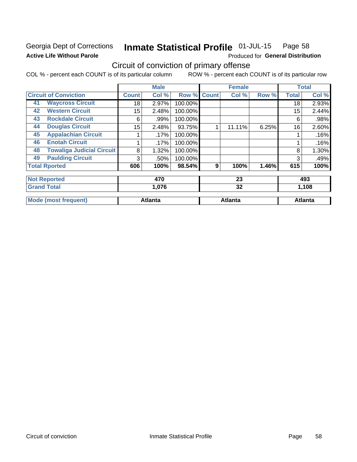# **Georgia Dept of Corrections Active Life Without Parole**

### Inmate Statistical Profile 01-JUL-15 Page 58

Produced for General Distribution

# Circuit of conviction of primary offense

COL % - percent each COUNT is of its particular column ROW % - percent each COUNT is of its particular row

|                                        |                 | <b>Male</b>    |         | <b>Female</b> |                |       | <b>Total</b> |                |  |
|----------------------------------------|-----------------|----------------|---------|---------------|----------------|-------|--------------|----------------|--|
| <b>Circuit of Conviction</b>           | <b>Count</b>    | Col %          | Row %   | <b>Count</b>  | Col %          | Row % | <b>Total</b> | Col %          |  |
| <b>Waycross Circuit</b><br>41          | 18              | 2.97%          | 100.00% |               |                |       | 18           | 2.93%          |  |
| <b>Western Circuit</b><br>42           | 15 <sub>2</sub> | 2.48%          | 100.00% |               |                |       | 15           | 2.44%          |  |
| <b>Rockdale Circuit</b><br>43          | 6               | .99%           | 100.00% |               |                |       | 6            | .98%           |  |
| <b>Douglas Circuit</b><br>44           | 15              | 2.48%          | 93.75%  | 1             | 11.11%         | 6.25% | 16           | 2.60%          |  |
| <b>Appalachian Circuit</b><br>45       |                 | .17%           | 100.00% |               |                |       |              | .16%           |  |
| <b>Enotah Circuit</b><br>46            |                 | .17%           | 100.00% |               |                |       |              | .16%           |  |
| <b>Towaliga Judicial Circuit</b><br>48 | 8               | 1.32%          | 100.00% |               |                |       | 8            | 1.30%          |  |
| <b>Paulding Circuit</b><br>49          | 3               | .50%           | 100.00% |               |                |       | 3            | .49%           |  |
| <b>Total Rported</b>                   | 606             | 100%           | 98.54%  | 9             | 100%           | 1.46% | 615          | 100%           |  |
| <b>Not Reported</b>                    |                 | 470            |         | 23            |                |       | 493          |                |  |
| <b>Grand Total</b>                     |                 | 1,076<br>32    |         |               | 1,108          |       |              |                |  |
| <b>Mode (most frequent)</b>            |                 | <b>Atlanta</b> |         |               | <b>Atlanta</b> |       |              | <b>Atlanta</b> |  |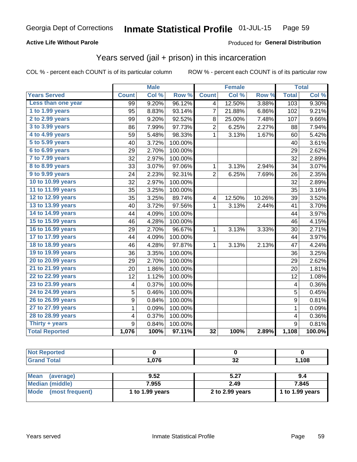# **Active Life Without Parole**

### **Produced for General Distribution**

# Years served (jail + prison) in this incarceration

COL % - percent each COUNT is of its particular column

| Col %<br>Row %<br>Col %<br><b>Total</b><br><b>Years Served</b><br><b>Count</b><br><b>Count</b><br>Row %<br>Less than one year<br>9.20%<br>96.12%<br>12.50%<br>3.88%<br>103<br>99<br>4<br>1 to 1.99 years<br>7<br>95<br>8.83%<br>93.14%<br>21.88%<br>6.86%<br>102<br>2 to 2.99 years<br>9.20%<br>92.52%<br>25.00%<br>7.48%<br>107<br>99<br>8<br>3 to 3.99 years<br>7.99%<br>97.73%<br>$\overline{c}$<br>6.25%<br>2.27%<br>86<br>88<br>4 to 4.99 years<br>98.33%<br>$\mathbf 1$<br>59<br>5.48%<br>3.13%<br>1.67%<br>60<br>5 to 5.99 years<br>40<br>3.72%<br>100.00%<br>40<br>6 to 6.99 years<br>2.70%<br>100.00%<br>29<br>29<br>7 to 7.99 years<br>32<br>2.97%<br>100.00%<br>32<br>8 to 8.99 years<br>33<br>97.06%<br>3.13%<br>3.07%<br>1<br>2.94%<br>34<br>9 to 9.99 years<br>24<br>2.23%<br>92.31%<br>$\overline{2}$<br>6.25%<br>7.69%<br>26<br>10 to 10.99 years<br>32<br>2.97%<br>100.00%<br>32<br>11 to 11.99 years<br>3.25%<br>100.00%<br>35<br>35<br>12 to 12.99 years<br>35<br>89.74%<br>12.50%<br>10.26%<br>3.25%<br>39<br>4<br>13 to 13.99 years<br>97.56%<br>3.13%<br>40<br>3.72%<br>1<br>2.44%<br>41<br>14 to 14.99 years<br>100.00%<br>44<br>4.09%<br>44<br>15 to 15.99 years<br>100.00%<br>46<br>4.28%<br>46<br>16 to 16.99 years<br>29<br>2.70%<br>96.67%<br>1<br>3.13%<br>30<br>3.33%<br>17 to 17.99 years<br>4.09%<br>100.00%<br>44<br>44<br>18 to 18.99 years<br>$\mathbf 1$<br>4.28%<br>97.87%<br>3.13%<br>2.13%<br>47<br>46<br>19 to 19.99 years<br>36<br>3.35%<br>100.00%<br>36<br>20 to 20.99 years<br>100.00%<br>29<br>2.70%<br>29<br>21 to 21.99 years<br>100.00%<br>1.86%<br>20<br>20<br>22 to 22.99 years<br>12<br>1.12%<br>100.00%<br>12<br>23 to 23.99 years<br>100.00%<br>4<br>4<br>0.37%<br>24 to 24.99 years<br>5<br>0.46%<br>100.00%<br>5<br>26 to 26.99 years<br>$\boldsymbol{9}$<br>9<br>0.84%<br>100.00%<br>27 to 27.99 years<br>$\overline{1}$<br>$\overline{1}$<br>100.00%<br>0.09%<br>28 to 28.99 years<br>4<br>0.37%<br>100.00%<br>4 |                | <b>Male</b>      |       | <b>Female</b> |  |  | <b>Total</b> |   |        |
|---------------------------------------------------------------------------------------------------------------------------------------------------------------------------------------------------------------------------------------------------------------------------------------------------------------------------------------------------------------------------------------------------------------------------------------------------------------------------------------------------------------------------------------------------------------------------------------------------------------------------------------------------------------------------------------------------------------------------------------------------------------------------------------------------------------------------------------------------------------------------------------------------------------------------------------------------------------------------------------------------------------------------------------------------------------------------------------------------------------------------------------------------------------------------------------------------------------------------------------------------------------------------------------------------------------------------------------------------------------------------------------------------------------------------------------------------------------------------------------------------------------------------------------------------------------------------------------------------------------------------------------------------------------------------------------------------------------------------------------------------------------------------------------------------------------------------------------------------------------------------------------------------------------------------------------------------------------------------|----------------|------------------|-------|---------------|--|--|--------------|---|--------|
|                                                                                                                                                                                                                                                                                                                                                                                                                                                                                                                                                                                                                                                                                                                                                                                                                                                                                                                                                                                                                                                                                                                                                                                                                                                                                                                                                                                                                                                                                                                                                                                                                                                                                                                                                                                                                                                                                                                                                                           |                |                  |       |               |  |  |              |   | Col %  |
|                                                                                                                                                                                                                                                                                                                                                                                                                                                                                                                                                                                                                                                                                                                                                                                                                                                                                                                                                                                                                                                                                                                                                                                                                                                                                                                                                                                                                                                                                                                                                                                                                                                                                                                                                                                                                                                                                                                                                                           |                |                  |       |               |  |  |              |   | 9.30%  |
|                                                                                                                                                                                                                                                                                                                                                                                                                                                                                                                                                                                                                                                                                                                                                                                                                                                                                                                                                                                                                                                                                                                                                                                                                                                                                                                                                                                                                                                                                                                                                                                                                                                                                                                                                                                                                                                                                                                                                                           |                |                  |       |               |  |  |              |   | 9.21%  |
|                                                                                                                                                                                                                                                                                                                                                                                                                                                                                                                                                                                                                                                                                                                                                                                                                                                                                                                                                                                                                                                                                                                                                                                                                                                                                                                                                                                                                                                                                                                                                                                                                                                                                                                                                                                                                                                                                                                                                                           |                |                  |       |               |  |  |              |   | 9.66%  |
|                                                                                                                                                                                                                                                                                                                                                                                                                                                                                                                                                                                                                                                                                                                                                                                                                                                                                                                                                                                                                                                                                                                                                                                                                                                                                                                                                                                                                                                                                                                                                                                                                                                                                                                                                                                                                                                                                                                                                                           |                |                  |       |               |  |  |              |   | 7.94%  |
|                                                                                                                                                                                                                                                                                                                                                                                                                                                                                                                                                                                                                                                                                                                                                                                                                                                                                                                                                                                                                                                                                                                                                                                                                                                                                                                                                                                                                                                                                                                                                                                                                                                                                                                                                                                                                                                                                                                                                                           |                |                  |       |               |  |  |              |   | 5.42%  |
|                                                                                                                                                                                                                                                                                                                                                                                                                                                                                                                                                                                                                                                                                                                                                                                                                                                                                                                                                                                                                                                                                                                                                                                                                                                                                                                                                                                                                                                                                                                                                                                                                                                                                                                                                                                                                                                                                                                                                                           |                |                  |       |               |  |  |              |   | 3.61%  |
|                                                                                                                                                                                                                                                                                                                                                                                                                                                                                                                                                                                                                                                                                                                                                                                                                                                                                                                                                                                                                                                                                                                                                                                                                                                                                                                                                                                                                                                                                                                                                                                                                                                                                                                                                                                                                                                                                                                                                                           |                |                  |       |               |  |  |              |   | 2.62%  |
|                                                                                                                                                                                                                                                                                                                                                                                                                                                                                                                                                                                                                                                                                                                                                                                                                                                                                                                                                                                                                                                                                                                                                                                                                                                                                                                                                                                                                                                                                                                                                                                                                                                                                                                                                                                                                                                                                                                                                                           |                |                  |       |               |  |  |              |   | 2.89%  |
|                                                                                                                                                                                                                                                                                                                                                                                                                                                                                                                                                                                                                                                                                                                                                                                                                                                                                                                                                                                                                                                                                                                                                                                                                                                                                                                                                                                                                                                                                                                                                                                                                                                                                                                                                                                                                                                                                                                                                                           |                |                  |       |               |  |  |              |   | 3.07%  |
|                                                                                                                                                                                                                                                                                                                                                                                                                                                                                                                                                                                                                                                                                                                                                                                                                                                                                                                                                                                                                                                                                                                                                                                                                                                                                                                                                                                                                                                                                                                                                                                                                                                                                                                                                                                                                                                                                                                                                                           |                |                  |       |               |  |  |              |   | 2.35%  |
|                                                                                                                                                                                                                                                                                                                                                                                                                                                                                                                                                                                                                                                                                                                                                                                                                                                                                                                                                                                                                                                                                                                                                                                                                                                                                                                                                                                                                                                                                                                                                                                                                                                                                                                                                                                                                                                                                                                                                                           |                |                  |       |               |  |  |              |   | 2.89%  |
|                                                                                                                                                                                                                                                                                                                                                                                                                                                                                                                                                                                                                                                                                                                                                                                                                                                                                                                                                                                                                                                                                                                                                                                                                                                                                                                                                                                                                                                                                                                                                                                                                                                                                                                                                                                                                                                                                                                                                                           |                |                  |       |               |  |  |              |   | 3.16%  |
|                                                                                                                                                                                                                                                                                                                                                                                                                                                                                                                                                                                                                                                                                                                                                                                                                                                                                                                                                                                                                                                                                                                                                                                                                                                                                                                                                                                                                                                                                                                                                                                                                                                                                                                                                                                                                                                                                                                                                                           |                |                  |       |               |  |  |              |   | 3.52%  |
|                                                                                                                                                                                                                                                                                                                                                                                                                                                                                                                                                                                                                                                                                                                                                                                                                                                                                                                                                                                                                                                                                                                                                                                                                                                                                                                                                                                                                                                                                                                                                                                                                                                                                                                                                                                                                                                                                                                                                                           |                |                  |       |               |  |  |              |   | 3.70%  |
|                                                                                                                                                                                                                                                                                                                                                                                                                                                                                                                                                                                                                                                                                                                                                                                                                                                                                                                                                                                                                                                                                                                                                                                                                                                                                                                                                                                                                                                                                                                                                                                                                                                                                                                                                                                                                                                                                                                                                                           |                |                  |       |               |  |  |              |   | 3.97%  |
|                                                                                                                                                                                                                                                                                                                                                                                                                                                                                                                                                                                                                                                                                                                                                                                                                                                                                                                                                                                                                                                                                                                                                                                                                                                                                                                                                                                                                                                                                                                                                                                                                                                                                                                                                                                                                                                                                                                                                                           |                |                  |       |               |  |  |              |   | 4.15%  |
|                                                                                                                                                                                                                                                                                                                                                                                                                                                                                                                                                                                                                                                                                                                                                                                                                                                                                                                                                                                                                                                                                                                                                                                                                                                                                                                                                                                                                                                                                                                                                                                                                                                                                                                                                                                                                                                                                                                                                                           |                |                  |       |               |  |  |              |   | 2.71%  |
|                                                                                                                                                                                                                                                                                                                                                                                                                                                                                                                                                                                                                                                                                                                                                                                                                                                                                                                                                                                                                                                                                                                                                                                                                                                                                                                                                                                                                                                                                                                                                                                                                                                                                                                                                                                                                                                                                                                                                                           |                |                  |       |               |  |  |              |   | 3.97%  |
|                                                                                                                                                                                                                                                                                                                                                                                                                                                                                                                                                                                                                                                                                                                                                                                                                                                                                                                                                                                                                                                                                                                                                                                                                                                                                                                                                                                                                                                                                                                                                                                                                                                                                                                                                                                                                                                                                                                                                                           |                |                  |       |               |  |  |              |   | 4.24%  |
|                                                                                                                                                                                                                                                                                                                                                                                                                                                                                                                                                                                                                                                                                                                                                                                                                                                                                                                                                                                                                                                                                                                                                                                                                                                                                                                                                                                                                                                                                                                                                                                                                                                                                                                                                                                                                                                                                                                                                                           |                |                  |       |               |  |  |              |   | 3.25%  |
|                                                                                                                                                                                                                                                                                                                                                                                                                                                                                                                                                                                                                                                                                                                                                                                                                                                                                                                                                                                                                                                                                                                                                                                                                                                                                                                                                                                                                                                                                                                                                                                                                                                                                                                                                                                                                                                                                                                                                                           |                |                  |       |               |  |  |              |   | 2.62%  |
|                                                                                                                                                                                                                                                                                                                                                                                                                                                                                                                                                                                                                                                                                                                                                                                                                                                                                                                                                                                                                                                                                                                                                                                                                                                                                                                                                                                                                                                                                                                                                                                                                                                                                                                                                                                                                                                                                                                                                                           |                |                  |       |               |  |  |              |   | 1.81%  |
|                                                                                                                                                                                                                                                                                                                                                                                                                                                                                                                                                                                                                                                                                                                                                                                                                                                                                                                                                                                                                                                                                                                                                                                                                                                                                                                                                                                                                                                                                                                                                                                                                                                                                                                                                                                                                                                                                                                                                                           |                |                  |       |               |  |  |              |   | 1.08%  |
|                                                                                                                                                                                                                                                                                                                                                                                                                                                                                                                                                                                                                                                                                                                                                                                                                                                                                                                                                                                                                                                                                                                                                                                                                                                                                                                                                                                                                                                                                                                                                                                                                                                                                                                                                                                                                                                                                                                                                                           |                |                  |       |               |  |  |              |   | 0.36%  |
|                                                                                                                                                                                                                                                                                                                                                                                                                                                                                                                                                                                                                                                                                                                                                                                                                                                                                                                                                                                                                                                                                                                                                                                                                                                                                                                                                                                                                                                                                                                                                                                                                                                                                                                                                                                                                                                                                                                                                                           |                |                  |       |               |  |  |              |   | 0.45%  |
|                                                                                                                                                                                                                                                                                                                                                                                                                                                                                                                                                                                                                                                                                                                                                                                                                                                                                                                                                                                                                                                                                                                                                                                                                                                                                                                                                                                                                                                                                                                                                                                                                                                                                                                                                                                                                                                                                                                                                                           |                |                  |       |               |  |  |              |   | 0.81%  |
|                                                                                                                                                                                                                                                                                                                                                                                                                                                                                                                                                                                                                                                                                                                                                                                                                                                                                                                                                                                                                                                                                                                                                                                                                                                                                                                                                                                                                                                                                                                                                                                                                                                                                                                                                                                                                                                                                                                                                                           |                |                  |       |               |  |  |              |   | 0.09%  |
|                                                                                                                                                                                                                                                                                                                                                                                                                                                                                                                                                                                                                                                                                                                                                                                                                                                                                                                                                                                                                                                                                                                                                                                                                                                                                                                                                                                                                                                                                                                                                                                                                                                                                                                                                                                                                                                                                                                                                                           |                |                  |       |               |  |  |              |   | 0.36%  |
|                                                                                                                                                                                                                                                                                                                                                                                                                                                                                                                                                                                                                                                                                                                                                                                                                                                                                                                                                                                                                                                                                                                                                                                                                                                                                                                                                                                                                                                                                                                                                                                                                                                                                                                                                                                                                                                                                                                                                                           | Thirty + years | $\boldsymbol{9}$ | 0.84% | 100.00%       |  |  |              | 9 | 0.81%  |
| <b>Total Reported</b><br>1,076<br>97.11%<br>100%<br>$\overline{32}$<br>100%<br>2.89%<br>1,108                                                                                                                                                                                                                                                                                                                                                                                                                                                                                                                                                                                                                                                                                                                                                                                                                                                                                                                                                                                                                                                                                                                                                                                                                                                                                                                                                                                                                                                                                                                                                                                                                                                                                                                                                                                                                                                                             |                |                  |       |               |  |  |              |   | 100.0% |

| _____ | $\sim$ | $\sim$<br>◡▵ | ,108 |
|-------|--------|--------------|------|

| <b>Mean</b><br>(average) | 9.52              | 5.27            | 9.4             |
|--------------------------|-------------------|-----------------|-----------------|
| Median (middle)          | 7.955             | 2.49            | 7.845           |
| Mode (most frequent)     | 1 to $1.99$ years | 2 to 2.99 years | 1 to 1.99 years |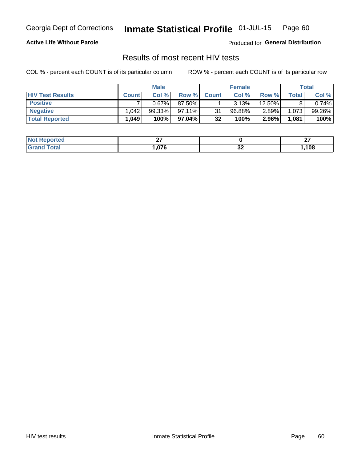#### Inmate Statistical Profile 01-JUL-15 Page 60

### **Active Life Without Parole**

Produced for General Distribution

# Results of most recent HIV tests

COL % - percent each COUNT is of its particular column

|                         |              | <b>Male</b> |        |              | <b>Female</b> |          |             | Total  |
|-------------------------|--------------|-------------|--------|--------------|---------------|----------|-------------|--------|
| <b>HIV Test Results</b> | <b>Count</b> | Col%        | Row %  | <b>Count</b> | Col %         | Row %    | $\tau$ otal | Col %  |
| <b>Positive</b>         |              | $0.67\%$    | 87.50% |              | 3.13%         | 12.50%   |             | 0.74%  |
| <b>Negative</b>         | .042         | $99.33\%$   | 97.11% | 31           | 96.88%        | $2.89\%$ | 1,073       | 99.26% |
| <b>Total Reported</b>   | ,049         | $100\%$     | 97.04% | 32           | 100%          | 2.96%    | 1,081       | 100%   |

| <b>Not Reported</b>  | ~-<br>-- |          | ~-<br>-- |
|----------------------|----------|----------|----------|
| <b>Total</b><br>Gr2r | .076     | ^'<br>◡▵ | ,108     |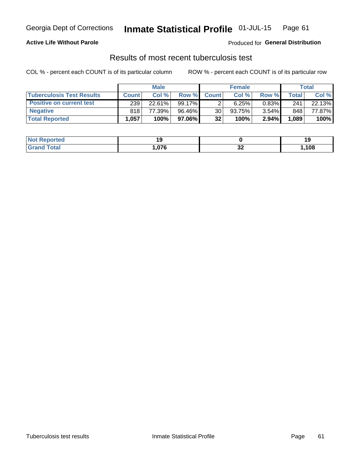# Georgia Dept of Corrections **Inmate Statistical Profile** 01-JUL-15 Page 61

### **Active Life Without Parole**

Produced for **General Distribution**

# Results of most recent tuberculosis test

COL % - percent each COUNT is of its particular column ROW % - percent each COUNT is of its particular row

|                                  |              | <b>Male</b> |        |              | <b>Female</b> |          |       | Total  |
|----------------------------------|--------------|-------------|--------|--------------|---------------|----------|-------|--------|
| <b>Tuberculosis Test Results</b> | <b>Count</b> | Col%        | Row %  | <b>Count</b> | Col%          | Row %    | Total | Col %  |
| <b>Positive on current test</b>  | 239          | 22.61%      | 99.17% |              | 6.25%         | 0.83%    | 241   | 22.13% |
| <b>Negative</b>                  | 818          | 77.39%      | 96.46% | 30           | $93.75\%$     | $3.54\%$ | 848   | 77.87% |
| <b>Total Reported</b>            | .057         | 100%        | 97.06% | 32           | 100%          | 2.94%    | 1,089 | 100%   |

| <b>Not Reported</b> |      |          | . . |
|---------------------|------|----------|-----|
| <b>Total</b>        | .076 | ~<br>IJΔ | 108 |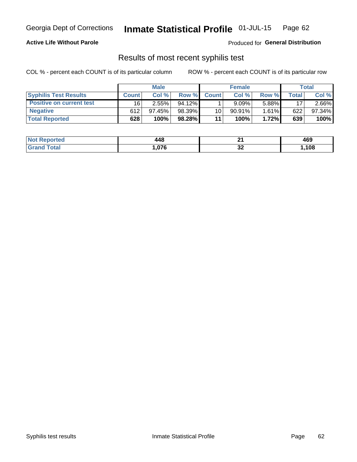# Georgia Dept of Corrections **Inmate Statistical Profile** 01-JUL-15 Page 62

### **Active Life Without Parole**

Produced for **General Distribution**

# Results of most recent syphilis test

COL % - percent each COUNT is of its particular column ROW % - percent each COUNT is of its particular row

|                                 |              | <b>Male</b> |           |              | <b>Female</b> |        |             | Total  |
|---------------------------------|--------------|-------------|-----------|--------------|---------------|--------|-------------|--------|
| <b>Syphilis Test Results</b>    | <b>Count</b> | Col%        | Row %     | <b>Count</b> | Col %         | Row %I | $\tau$ otal | Col %  |
| <b>Positive on current test</b> | 16           | $2.55\%$    | $94.12\%$ |              | 9.09%         | 5.88%  | 17          | 2.66%  |
| <b>Negative</b>                 | 612          | $97.45\%$   | 98.39%    | 10           | $90.91\%$     | 1.61%  | 622         | 97.34% |
| <b>Total Reported</b>           | 628          | 100%        | 98.28%    | 11           | 100%          | 1.72%  | 639         | 100%   |

| <b>Not Reported</b> | 448  | $\sim$<br>- - | 469  |
|---------------------|------|---------------|------|
| <b>Grand Total</b>  | .076 | ~<br>◡▵       | ,108 |